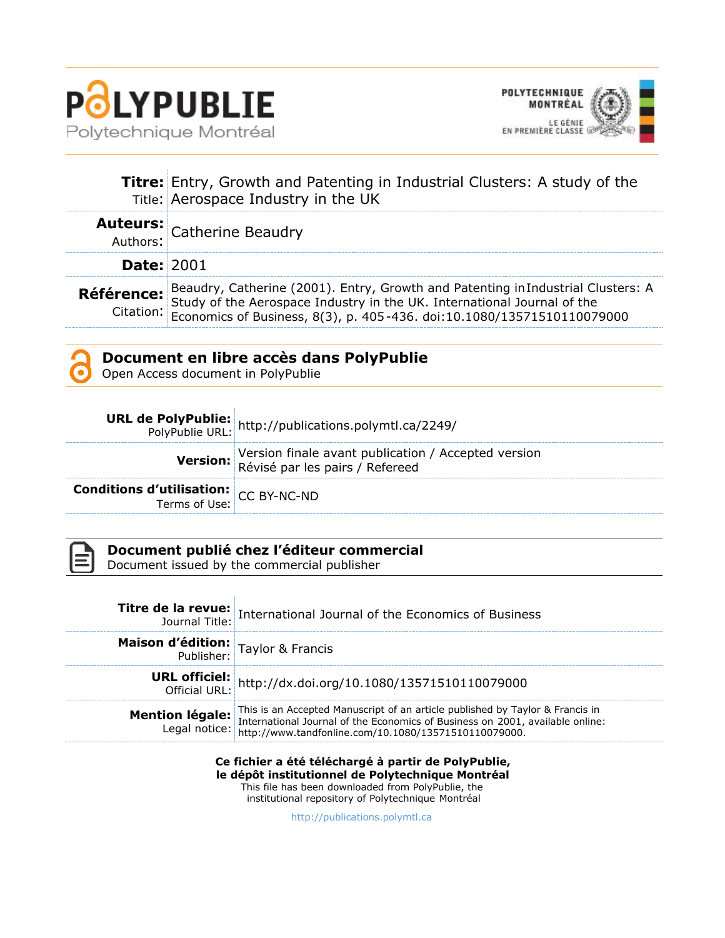



# **Titre:** Entry, Growth and Patenting in Industrial Clusters: A study of the Title: Aerospace Industry in the UK

|                   | <b>Auteurs:</b> Catherine Beaudry                                                                                                                                                                                                   |
|-------------------|-------------------------------------------------------------------------------------------------------------------------------------------------------------------------------------------------------------------------------------|
| <b>Date: 2001</b> |                                                                                                                                                                                                                                     |
|                   | <b>Référence:</b> Beaudry, Catherine (2001). Entry, Growth and Patenting in Industrial Clusters: A Study of the Aerospace Industry in the UK. International Journal of the Citation: Economics of Business, 8(3), p. 405-436. doi:1 |

## **Document en libre accès dans PolyPublie**

Open Access document in PolyPublie

|                                                                           | <b>URL de PolyPublie:</b> http://publications.polymtl.ca/2249/<br>PolyPublie URL: http://publications.polymtl.ca/2249/ |
|---------------------------------------------------------------------------|------------------------------------------------------------------------------------------------------------------------|
|                                                                           | Version finale avant publication / Accepted version<br>Révisé par les pairs / Refereed                                 |
| <b>Conditions d'utilisation:</b> CC BY-NC-ND<br>Terms of Use: CC BY-NC-ND |                                                                                                                        |

## **Document publié chez l'éditeur commercial**

Document issued by the commercial publisher

|                                    | <b>Titre de la revue:</b> International Journal of the Economics of Business<br>Journal Title:                                                                                                                                      |
|------------------------------------|-------------------------------------------------------------------------------------------------------------------------------------------------------------------------------------------------------------------------------------|
| Maison d'édition: Taylor & Francis |                                                                                                                                                                                                                                     |
|                                    | <b>URL officiel:</b><br>Official URL: http://dx.doi.org/10.1080/13571510110079000                                                                                                                                                   |
|                                    | <b>Mention légale:</b> This is an Accepted Manuscript of an article published by Taylor & Francis in International Journal of the Economics of Business on 2001, available online: Legal notice: http://www.tandfonline.com/10.1080 |

**Ce fichier a été téléchargé à partir de PolyPublie, le dépôt institutionnel de Polytechnique Montréal** This file has been downloaded from PolyPublie, the

institutional repository of Polytechnique Montréal

[http://publications.polymtl.ca](http://publications.polymtl.ca/)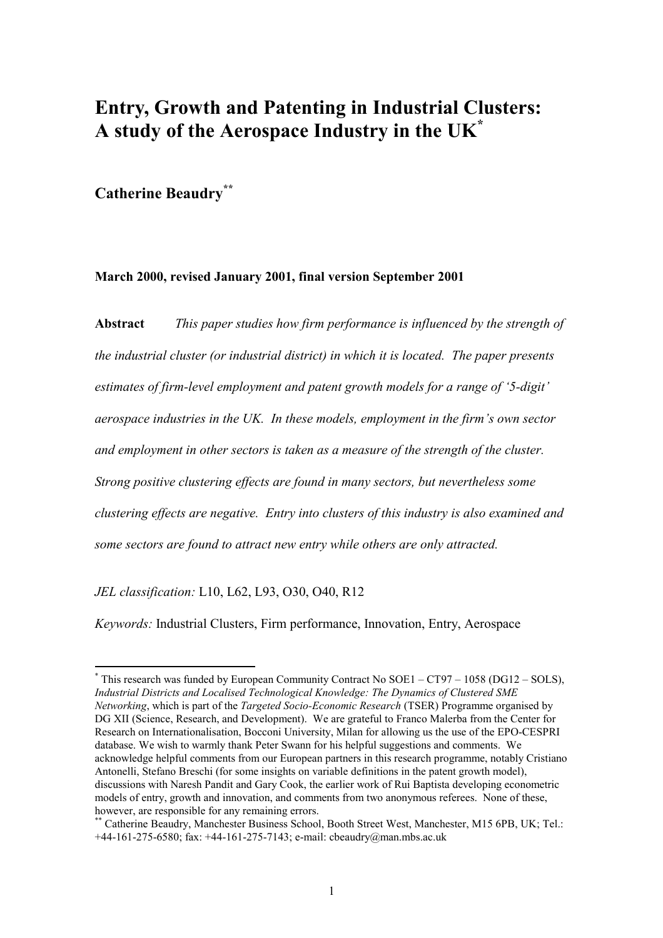# **Entry, Growth and Patenting in Industrial Clusters: A study of the Aerospace Industry in the UK\***

**Catherine Beaudry\*\*** 

**March 2000, revised January 2001, final version September 2001** 

**Abstract** *This paper studies how firm performance is influenced by the strength of the industrial cluster (or industrial district) in which it is located. The paper presents estimates of firm-level employment and patent growth models for a range of '5-digit' aerospace industries in the UK. In these models, employment in the firm's own sector and employment in other sectors is taken as a measure of the strength of the cluster. Strong positive clustering effects are found in many sectors, but nevertheless some clustering effects are negative. Entry into clusters of this industry is also examined and some sectors are found to attract new entry while others are only attracted.*

*JEL classification:* L10, L62, L93, O30, O40, R12

 $\overline{a}$ 

*Keywords:* Industrial Clusters, Firm performance, Innovation, Entry, Aerospace

<sup>\*</sup> This research was funded by European Community Contract No SOE1 – CT97 – 1058 (DG12 – SOLS), *Industrial Districts and Localised Technological Knowledge: The Dynamics of Clustered SME Networking*, which is part of the *Targeted Socio-Economic Research* (TSER) Programme organised by DG XII (Science, Research, and Development). We are grateful to Franco Malerba from the Center for Research on Internationalisation, Bocconi University, Milan for allowing us the use of the EPO-CESPRI database. We wish to warmly thank Peter Swann for his helpful suggestions and comments. We acknowledge helpful comments from our European partners in this research programme, notably Cristiano Antonelli, Stefano Breschi (for some insights on variable definitions in the patent growth model), discussions with Naresh Pandit and Gary Cook, the earlier work of Rui Baptista developing econometric models of entry, growth and innovation, and comments from two anonymous referees. None of these, however, are responsible for any remaining errors.

<sup>\*\*</sup> Catherine Beaudry, Manchester Business School, Booth Street West, Manchester, M15 6PB, UK; Tel.: +44-161-275-6580; fax: +44-161-275-7143; e-mail: cbeaudry@man.mbs.ac.uk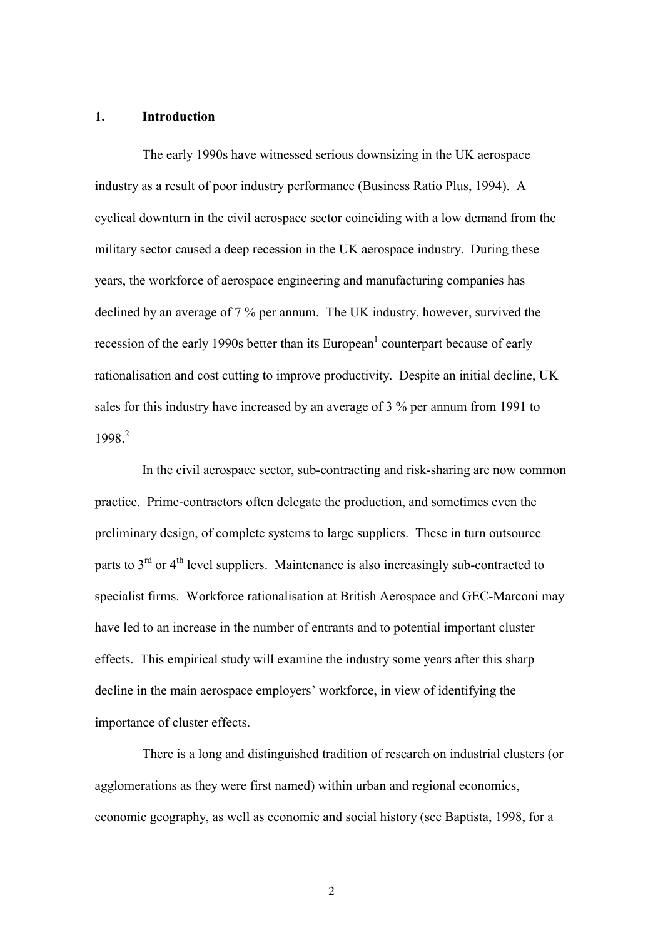#### **1. Introduction**

The early 1990s have witnessed serious downsizing in the UK aerospace industry as a result of poor industry performance (Business Ratio Plus, 1994). A cyclical downturn in the civil aerospace sector coinciding with a low demand from the military sector caused a deep recession in the UK aerospace industry. During these years, the workforce of aerospace engineering and manufacturing companies has declined by an average of 7 % per annum. The UK industry, however, survived the recession of the early 1990s better than its European<sup>1</sup> counterpart because of early rationalisation and cost cutting to improve productivity. Despite an initial decline, UK sales for this industry have increased by an average of 3 % per annum from 1991 to 1998<sup>2</sup>

In the civil aerospace sector, sub-contracting and risk-sharing are now common practice. Prime-contractors often delegate the production, and sometimes even the preliminary design, of complete systems to large suppliers. These in turn outsource parts to  $3<sup>rd</sup>$  or  $4<sup>th</sup>$  level suppliers. Maintenance is also increasingly sub-contracted to specialist firms. Workforce rationalisation at British Aerospace and GEC-Marconi may have led to an increase in the number of entrants and to potential important cluster effects. This empirical study will examine the industry some years after this sharp decline in the main aerospace employers' workforce, in view of identifying the importance of cluster effects.

There is a long and distinguished tradition of research on industrial clusters (or agglomerations as they were first named) within urban and regional economics, economic geography, as well as economic and social history (see Baptista, 1998, for a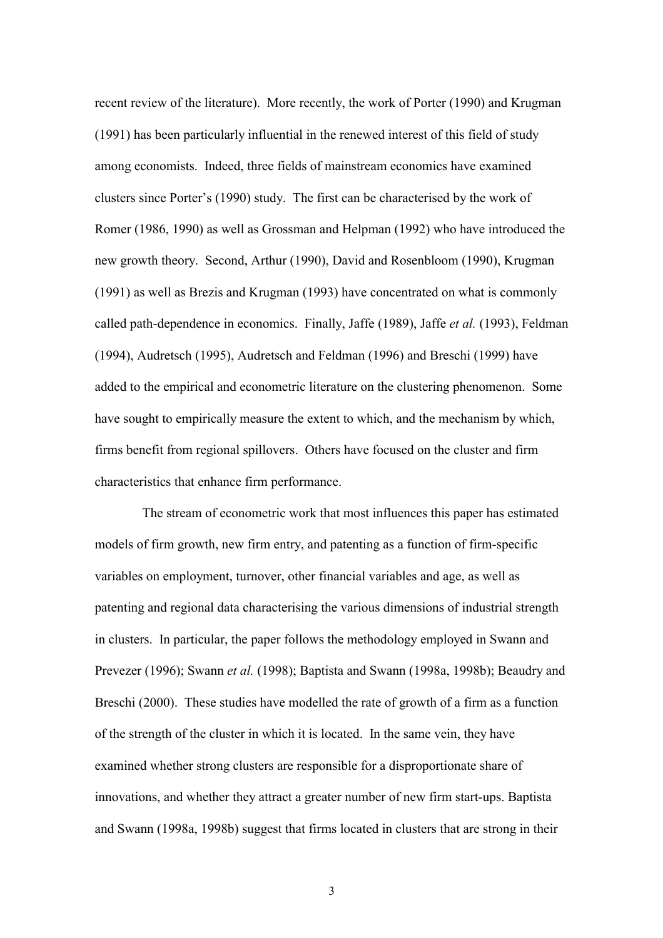recent review of the literature). More recently, the work of Porter (1990) and Krugman (1991) has been particularly influential in the renewed interest of this field of study among economists. Indeed, three fields of mainstream economics have examined clusters since Porter's (1990) study. The first can be characterised by the work of Romer (1986, 1990) as well as Grossman and Helpman (1992) who have introduced the new growth theory. Second, Arthur (1990), David and Rosenbloom (1990), Krugman (1991) as well as Brezis and Krugman (1993) have concentrated on what is commonly called path-dependence in economics. Finally, Jaffe (1989), Jaffe *et al.* (1993), Feldman (1994), Audretsch (1995), Audretsch and Feldman (1996) and Breschi (1999) have added to the empirical and econometric literature on the clustering phenomenon. Some have sought to empirically measure the extent to which, and the mechanism by which, firms benefit from regional spillovers. Others have focused on the cluster and firm characteristics that enhance firm performance.

The stream of econometric work that most influences this paper has estimated models of firm growth, new firm entry, and patenting as a function of firm-specific variables on employment, turnover, other financial variables and age, as well as patenting and regional data characterising the various dimensions of industrial strength in clusters. In particular, the paper follows the methodology employed in Swann and Prevezer (1996); Swann *et al.* (1998); Baptista and Swann (1998a, 1998b); Beaudry and Breschi (2000). These studies have modelled the rate of growth of a firm as a function of the strength of the cluster in which it is located. In the same vein, they have examined whether strong clusters are responsible for a disproportionate share of innovations, and whether they attract a greater number of new firm start-ups. Baptista and Swann (1998a, 1998b) suggest that firms located in clusters that are strong in their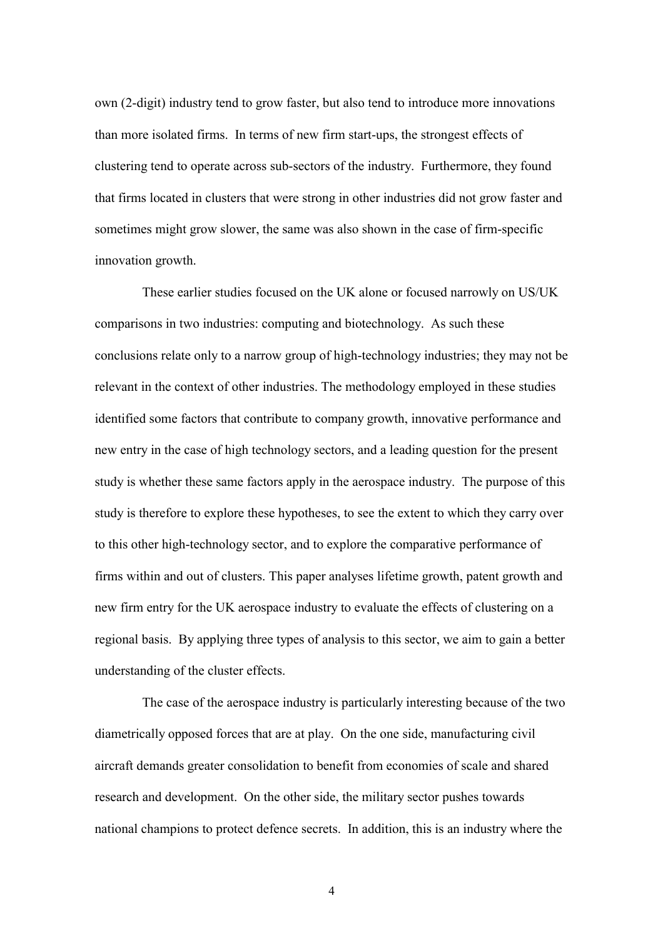own (2-digit) industry tend to grow faster, but also tend to introduce more innovations than more isolated firms. In terms of new firm start-ups, the strongest effects of clustering tend to operate across sub-sectors of the industry. Furthermore, they found that firms located in clusters that were strong in other industries did not grow faster and sometimes might grow slower, the same was also shown in the case of firm-specific innovation growth.

These earlier studies focused on the UK alone or focused narrowly on US/UK comparisons in two industries: computing and biotechnology. As such these conclusions relate only to a narrow group of high-technology industries; they may not be relevant in the context of other industries. The methodology employed in these studies identified some factors that contribute to company growth, innovative performance and new entry in the case of high technology sectors, and a leading question for the present study is whether these same factors apply in the aerospace industry. The purpose of this study is therefore to explore these hypotheses, to see the extent to which they carry over to this other high-technology sector, and to explore the comparative performance of firms within and out of clusters. This paper analyses lifetime growth, patent growth and new firm entry for the UK aerospace industry to evaluate the effects of clustering on a regional basis. By applying three types of analysis to this sector, we aim to gain a better understanding of the cluster effects.

The case of the aerospace industry is particularly interesting because of the two diametrically opposed forces that are at play. On the one side, manufacturing civil aircraft demands greater consolidation to benefit from economies of scale and shared research and development. On the other side, the military sector pushes towards national champions to protect defence secrets. In addition, this is an industry where the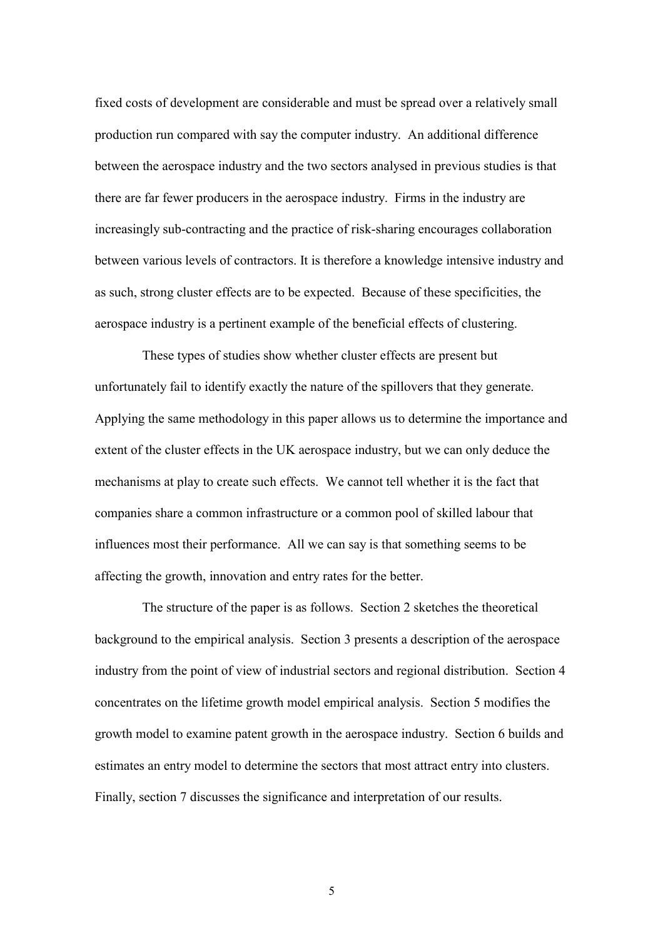fixed costs of development are considerable and must be spread over a relatively small production run compared with say the computer industry. An additional difference between the aerospace industry and the two sectors analysed in previous studies is that there are far fewer producers in the aerospace industry. Firms in the industry are increasingly sub-contracting and the practice of risk-sharing encourages collaboration between various levels of contractors. It is therefore a knowledge intensive industry and as such, strong cluster effects are to be expected. Because of these specificities, the aerospace industry is a pertinent example of the beneficial effects of clustering.

These types of studies show whether cluster effects are present but unfortunately fail to identify exactly the nature of the spillovers that they generate. Applying the same methodology in this paper allows us to determine the importance and extent of the cluster effects in the UK aerospace industry, but we can only deduce the mechanisms at play to create such effects. We cannot tell whether it is the fact that companies share a common infrastructure or a common pool of skilled labour that influences most their performance. All we can say is that something seems to be affecting the growth, innovation and entry rates for the better.

The structure of the paper is as follows. Section 2 sketches the theoretical background to the empirical analysis. Section 3 presents a description of the aerospace industry from the point of view of industrial sectors and regional distribution. Section 4 concentrates on the lifetime growth model empirical analysis. Section 5 modifies the growth model to examine patent growth in the aerospace industry. Section 6 builds and estimates an entry model to determine the sectors that most attract entry into clusters. Finally, section 7 discusses the significance and interpretation of our results.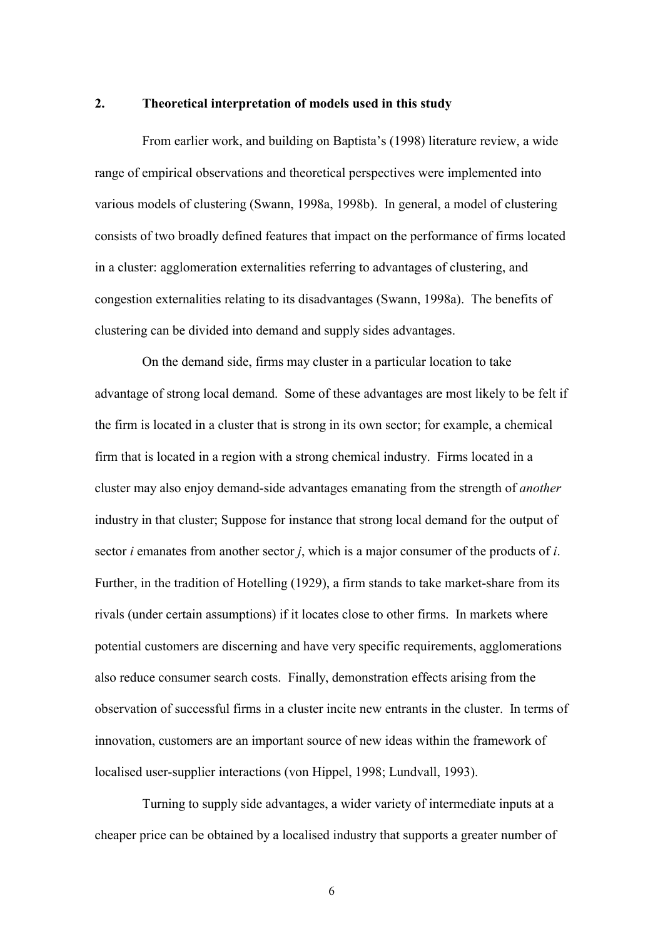#### **2. Theoretical interpretation of models used in this study**

From earlier work, and building on Baptista's (1998) literature review, a wide range of empirical observations and theoretical perspectives were implemented into various models of clustering (Swann, 1998a, 1998b). In general, a model of clustering consists of two broadly defined features that impact on the performance of firms located in a cluster: agglomeration externalities referring to advantages of clustering, and congestion externalities relating to its disadvantages (Swann, 1998a). The benefits of clustering can be divided into demand and supply sides advantages.

On the demand side, firms may cluster in a particular location to take advantage of strong local demand. Some of these advantages are most likely to be felt if the firm is located in a cluster that is strong in its own sector; for example, a chemical firm that is located in a region with a strong chemical industry. Firms located in a cluster may also enjoy demand-side advantages emanating from the strength of *another* industry in that cluster; Suppose for instance that strong local demand for the output of sector *i* emanates from another sector *j*, which is a major consumer of the products of *i*. Further, in the tradition of Hotelling (1929), a firm stands to take market-share from its rivals (under certain assumptions) if it locates close to other firms. In markets where potential customers are discerning and have very specific requirements, agglomerations also reduce consumer search costs. Finally, demonstration effects arising from the observation of successful firms in a cluster incite new entrants in the cluster. In terms of innovation, customers are an important source of new ideas within the framework of localised user-supplier interactions (von Hippel, 1998; Lundvall, 1993).

Turning to supply side advantages, a wider variety of intermediate inputs at a cheaper price can be obtained by a localised industry that supports a greater number of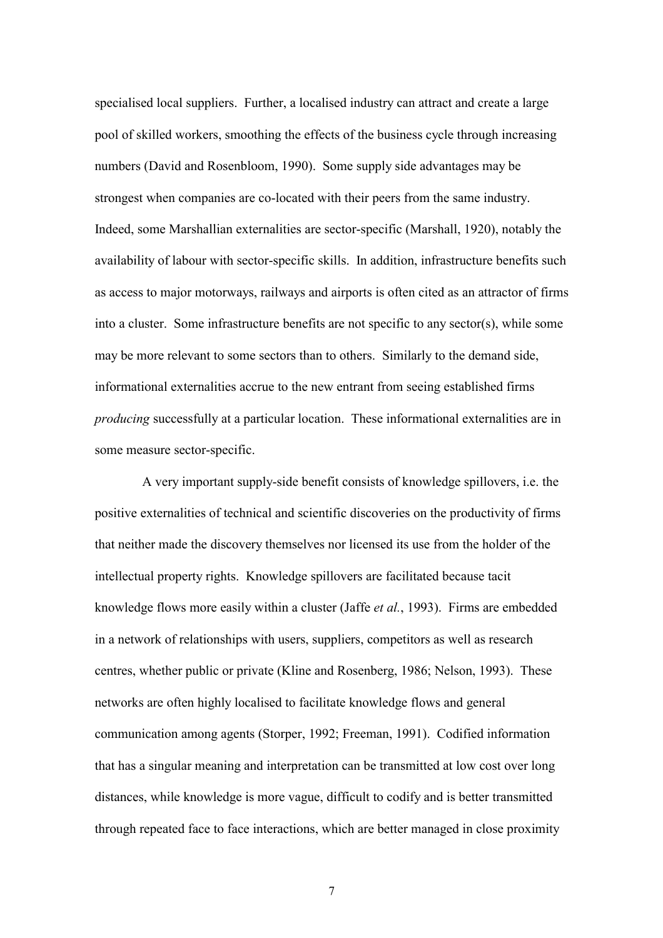specialised local suppliers. Further, a localised industry can attract and create a large pool of skilled workers, smoothing the effects of the business cycle through increasing numbers (David and Rosenbloom, 1990). Some supply side advantages may be strongest when companies are co-located with their peers from the same industry. Indeed, some Marshallian externalities are sector-specific (Marshall, 1920), notably the availability of labour with sector-specific skills. In addition, infrastructure benefits such as access to major motorways, railways and airports is often cited as an attractor of firms into a cluster. Some infrastructure benefits are not specific to any sector(s), while some may be more relevant to some sectors than to others. Similarly to the demand side, informational externalities accrue to the new entrant from seeing established firms *producing* successfully at a particular location. These informational externalities are in some measure sector-specific.

A very important supply-side benefit consists of knowledge spillovers, i.e. the positive externalities of technical and scientific discoveries on the productivity of firms that neither made the discovery themselves nor licensed its use from the holder of the intellectual property rights. Knowledge spillovers are facilitated because tacit knowledge flows more easily within a cluster (Jaffe *et al.*, 1993). Firms are embedded in a network of relationships with users, suppliers, competitors as well as research centres, whether public or private (Kline and Rosenberg, 1986; Nelson, 1993). These networks are often highly localised to facilitate knowledge flows and general communication among agents (Storper, 1992; Freeman, 1991). Codified information that has a singular meaning and interpretation can be transmitted at low cost over long distances, while knowledge is more vague, difficult to codify and is better transmitted through repeated face to face interactions, which are better managed in close proximity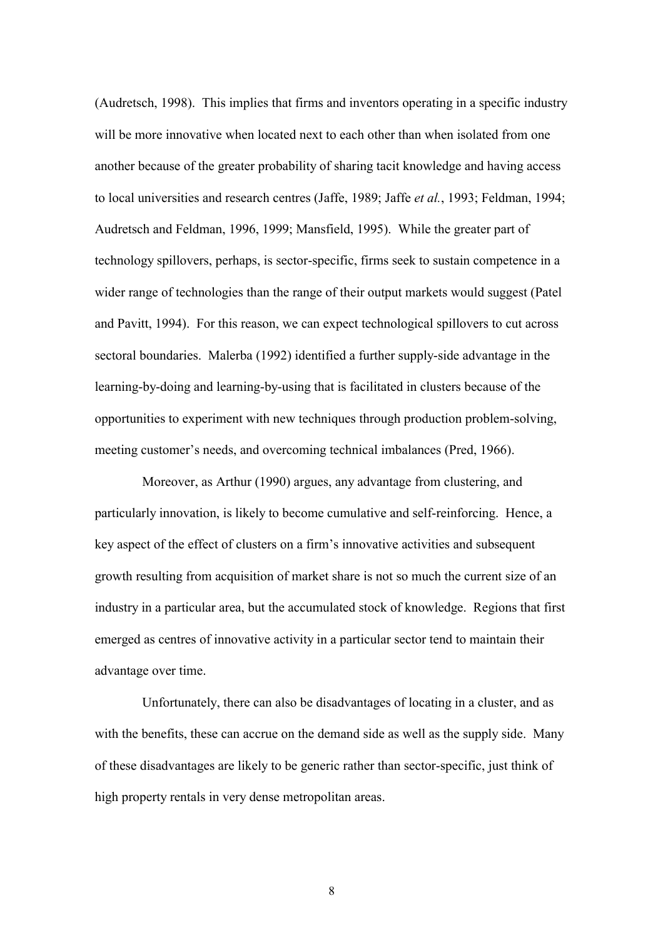(Audretsch, 1998). This implies that firms and inventors operating in a specific industry will be more innovative when located next to each other than when isolated from one another because of the greater probability of sharing tacit knowledge and having access to local universities and research centres (Jaffe, 1989; Jaffe *et al.*, 1993; Feldman, 1994; Audretsch and Feldman, 1996, 1999; Mansfield, 1995). While the greater part of technology spillovers, perhaps, is sector-specific, firms seek to sustain competence in a wider range of technologies than the range of their output markets would suggest (Patel and Pavitt, 1994). For this reason, we can expect technological spillovers to cut across sectoral boundaries. Malerba (1992) identified a further supply-side advantage in the learning-by-doing and learning-by-using that is facilitated in clusters because of the opportunities to experiment with new techniques through production problem-solving, meeting customer's needs, and overcoming technical imbalances (Pred, 1966).

Moreover, as Arthur (1990) argues, any advantage from clustering, and particularly innovation, is likely to become cumulative and self-reinforcing. Hence, a key aspect of the effect of clusters on a firm's innovative activities and subsequent growth resulting from acquisition of market share is not so much the current size of an industry in a particular area, but the accumulated stock of knowledge. Regions that first emerged as centres of innovative activity in a particular sector tend to maintain their advantage over time.

Unfortunately, there can also be disadvantages of locating in a cluster, and as with the benefits, these can accrue on the demand side as well as the supply side. Many of these disadvantages are likely to be generic rather than sector-specific, just think of high property rentals in very dense metropolitan areas.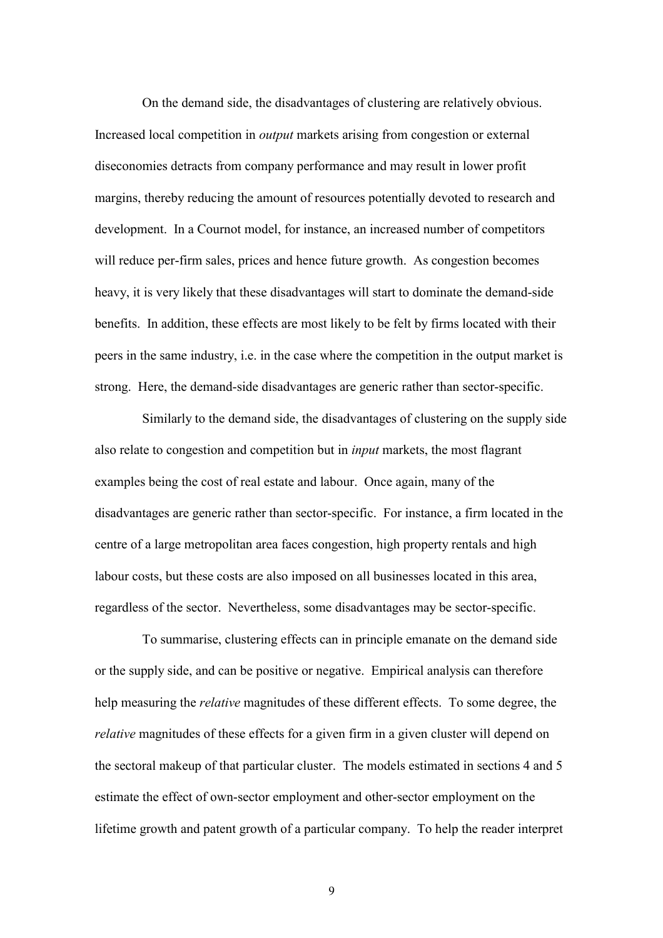On the demand side, the disadvantages of clustering are relatively obvious. Increased local competition in *output* markets arising from congestion or external diseconomies detracts from company performance and may result in lower profit margins, thereby reducing the amount of resources potentially devoted to research and development. In a Cournot model, for instance, an increased number of competitors will reduce per-firm sales, prices and hence future growth. As congestion becomes heavy, it is very likely that these disadvantages will start to dominate the demand-side benefits. In addition, these effects are most likely to be felt by firms located with their peers in the same industry, i.e. in the case where the competition in the output market is strong. Here, the demand-side disadvantages are generic rather than sector-specific.

Similarly to the demand side, the disadvantages of clustering on the supply side also relate to congestion and competition but in *input* markets, the most flagrant examples being the cost of real estate and labour. Once again, many of the disadvantages are generic rather than sector-specific. For instance, a firm located in the centre of a large metropolitan area faces congestion, high property rentals and high labour costs, but these costs are also imposed on all businesses located in this area, regardless of the sector. Nevertheless, some disadvantages may be sector-specific.

To summarise, clustering effects can in principle emanate on the demand side or the supply side, and can be positive or negative. Empirical analysis can therefore help measuring the *relative* magnitudes of these different effects. To some degree, the *relative* magnitudes of these effects for a given firm in a given cluster will depend on the sectoral makeup of that particular cluster. The models estimated in sections 4 and 5 estimate the effect of own-sector employment and other-sector employment on the lifetime growth and patent growth of a particular company. To help the reader interpret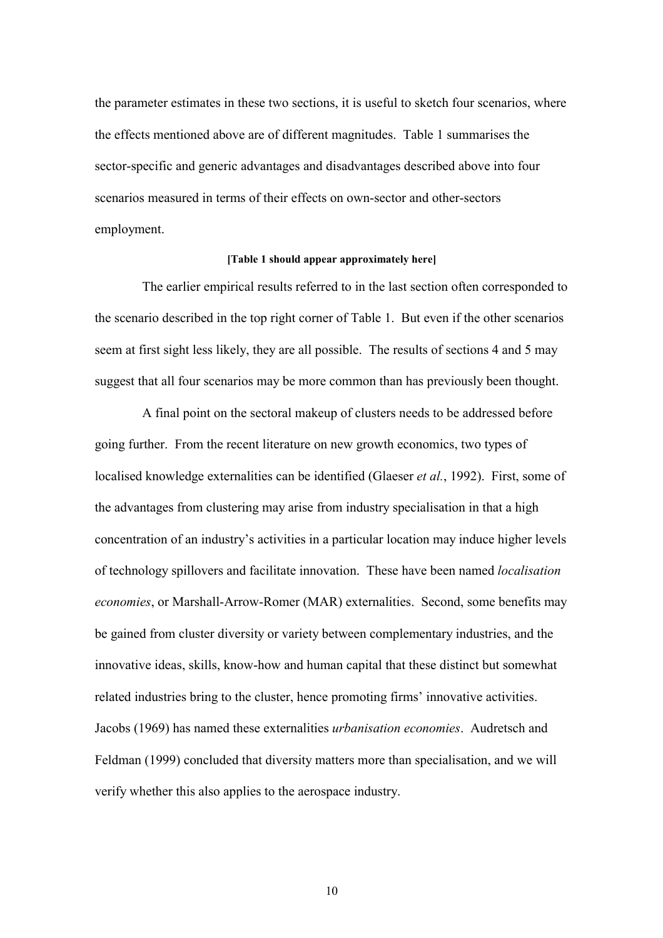the parameter estimates in these two sections, it is useful to sketch four scenarios, where the effects mentioned above are of different magnitudes. Table 1 summarises the sector-specific and generic advantages and disadvantages described above into four scenarios measured in terms of their effects on own-sector and other-sectors employment.

#### **[Table 1 should appear approximately here]**

The earlier empirical results referred to in the last section often corresponded to the scenario described in the top right corner of Table 1. But even if the other scenarios seem at first sight less likely, they are all possible. The results of sections 4 and 5 may suggest that all four scenarios may be more common than has previously been thought.

A final point on the sectoral makeup of clusters needs to be addressed before going further. From the recent literature on new growth economics, two types of localised knowledge externalities can be identified (Glaeser *et al.*, 1992). First, some of the advantages from clustering may arise from industry specialisation in that a high concentration of an industry's activities in a particular location may induce higher levels of technology spillovers and facilitate innovation. These have been named *localisation economies*, or Marshall-Arrow-Romer (MAR) externalities. Second, some benefits may be gained from cluster diversity or variety between complementary industries, and the innovative ideas, skills, know-how and human capital that these distinct but somewhat related industries bring to the cluster, hence promoting firms' innovative activities. Jacobs (1969) has named these externalities *urbanisation economies*. Audretsch and Feldman (1999) concluded that diversity matters more than specialisation, and we will verify whether this also applies to the aerospace industry.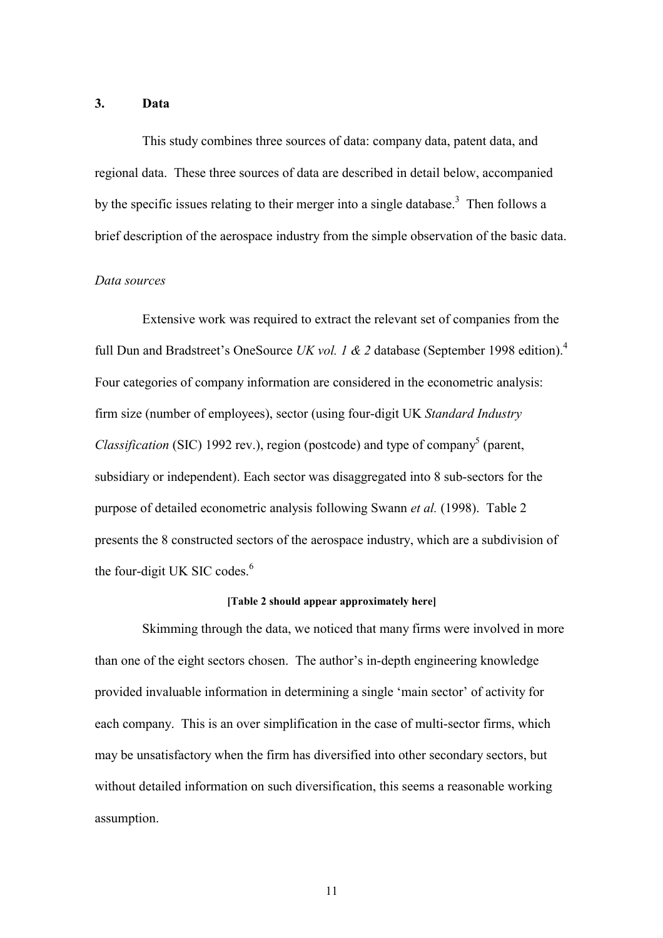#### **3. Data**

This study combines three sources of data: company data, patent data, and regional data. These three sources of data are described in detail below, accompanied by the specific issues relating to their merger into a single database.<sup>3</sup> Then follows a brief description of the aerospace industry from the simple observation of the basic data.

#### *Data sources*

Extensive work was required to extract the relevant set of companies from the full Dun and Bradstreet's OneSource *UK vol. 1 & 2* database (September 1998 edition).<sup>4</sup> Four categories of company information are considered in the econometric analysis: firm size (number of employees), sector (using four-digit UK *Standard Industry*  Classification (SIC) 1992 rev.), region (postcode) and type of company<sup>5</sup> (parent, subsidiary or independent). Each sector was disaggregated into 8 sub-sectors for the purpose of detailed econometric analysis following Swann *et al.* (1998). Table 2 presents the 8 constructed sectors of the aerospace industry, which are a subdivision of the four-digit UK SIC codes. $<sup>6</sup>$ </sup>

#### **[Table 2 should appear approximately here]**

Skimming through the data, we noticed that many firms were involved in more than one of the eight sectors chosen. The author's in-depth engineering knowledge provided invaluable information in determining a single 'main sector' of activity for each company. This is an over simplification in the case of multi-sector firms, which may be unsatisfactory when the firm has diversified into other secondary sectors, but without detailed information on such diversification, this seems a reasonable working assumption.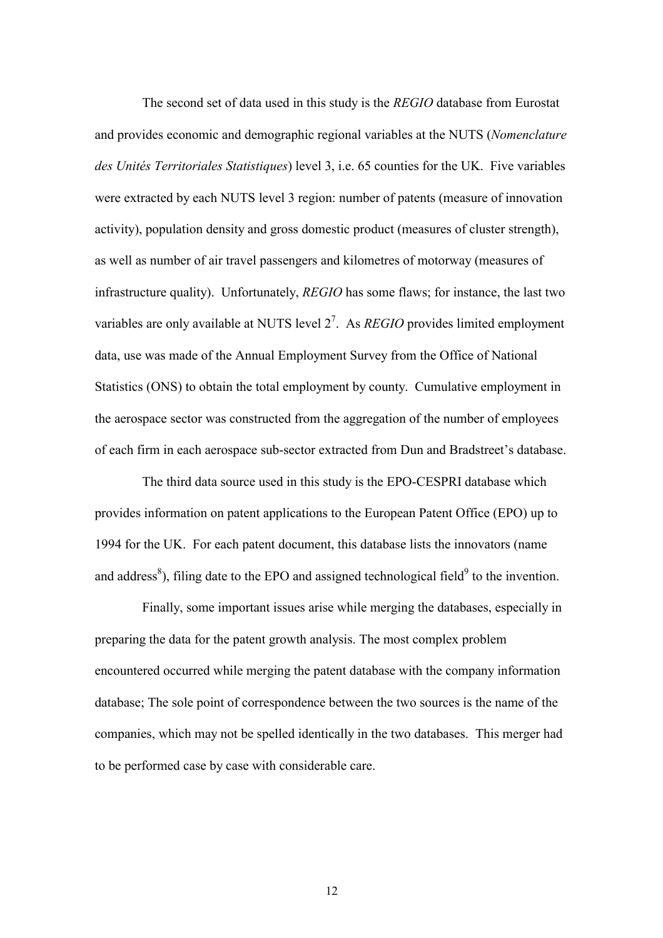The second set of data used in this study is the *REGIO* database from Eurostat and provides economic and demographic regional variables at the NUTS (*Nomenclature des Unités Territoriales Statistiques*) level 3, i.e. 65 counties for the UK. Five variables were extracted by each NUTS level 3 region: number of patents (measure of innovation activity), population density and gross domestic product (measures of cluster strength), as well as number of air travel passengers and kilometres of motorway (measures of infrastructure quality). Unfortunately, *REGIO* has some flaws; for instance, the last two variables are only available at NUTS level 2<sup>7</sup>. As *REGIO* provides limited employment data, use was made of the Annual Employment Survey from the Office of National Statistics (ONS) to obtain the total employment by county. Cumulative employment in the aerospace sector was constructed from the aggregation of the number of employees of each firm in each aerospace sub-sector extracted from Dun and Bradstreet's database.

The third data source used in this study is the EPO-CESPRI database which provides information on patent applications to the European Patent Office (EPO) up to 1994 for the UK. For each patent document, this database lists the innovators (name and address<sup>8</sup>), filing date to the EPO and assigned technological field<sup>9</sup> to the invention.

Finally, some important issues arise while merging the databases, especially in preparing the data for the patent growth analysis. The most complex problem encountered occurred while merging the patent database with the company information database; The sole point of correspondence between the two sources is the name of the companies, which may not be spelled identically in the two databases. This merger had to be performed case by case with considerable care.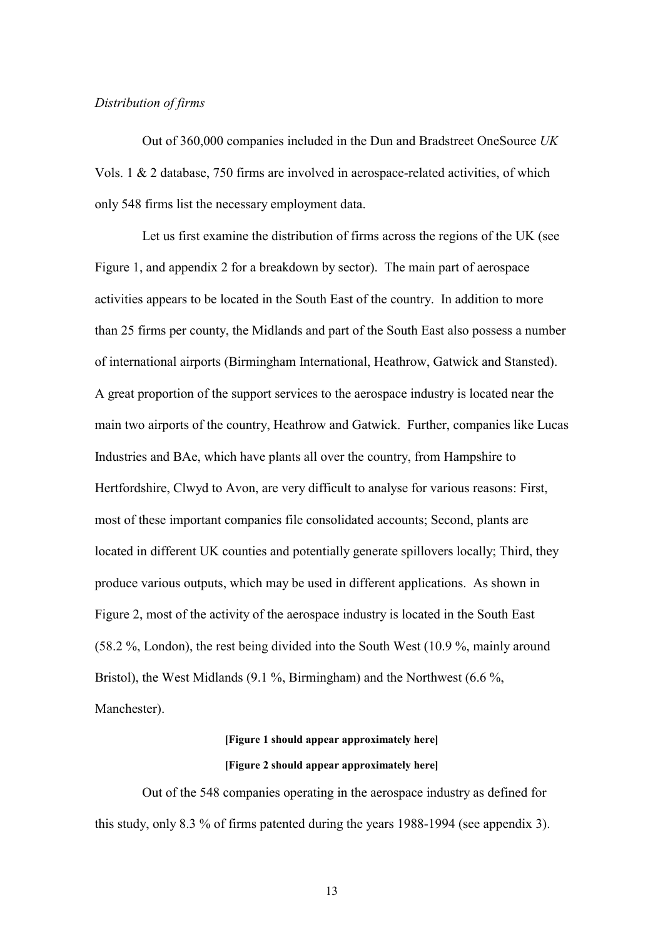#### *Distribution of firms*

Out of 360,000 companies included in the Dun and Bradstreet OneSource *UK*  Vols. 1 & 2 database, 750 firms are involved in aerospace-related activities, of which only 548 firms list the necessary employment data.

Let us first examine the distribution of firms across the regions of the UK (see Figure 1, and appendix 2 for a breakdown by sector). The main part of aerospace activities appears to be located in the South East of the country. In addition to more than 25 firms per county, the Midlands and part of the South East also possess a number of international airports (Birmingham International, Heathrow, Gatwick and Stansted). A great proportion of the support services to the aerospace industry is located near the main two airports of the country, Heathrow and Gatwick. Further, companies like Lucas Industries and BAe, which have plants all over the country, from Hampshire to Hertfordshire, Clwyd to Avon, are very difficult to analyse for various reasons: First, most of these important companies file consolidated accounts; Second, plants are located in different UK counties and potentially generate spillovers locally; Third, they produce various outputs, which may be used in different applications. As shown in Figure 2, most of the activity of the aerospace industry is located in the South East (58.2 %, London), the rest being divided into the South West (10.9 %, mainly around Bristol), the West Midlands (9.1 %, Birmingham) and the Northwest (6.6 %, Manchester).

## **[Figure 1 should appear approximately here] [Figure 2 should appear approximately here]**

Out of the 548 companies operating in the aerospace industry as defined for this study, only 8.3 % of firms patented during the years 1988-1994 (see appendix 3).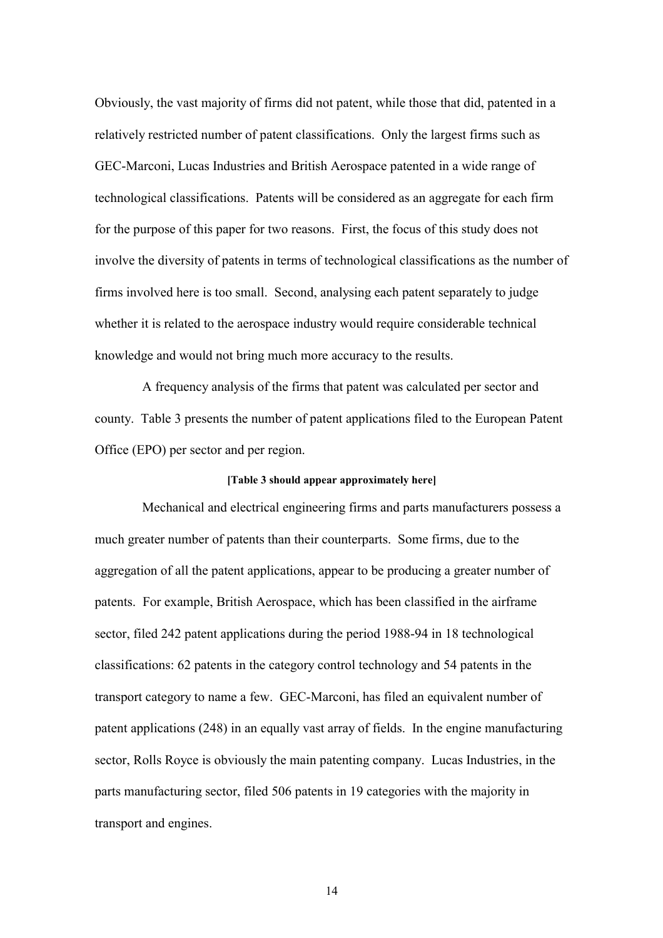Obviously, the vast majority of firms did not patent, while those that did, patented in a relatively restricted number of patent classifications. Only the largest firms such as GEC-Marconi, Lucas Industries and British Aerospace patented in a wide range of technological classifications. Patents will be considered as an aggregate for each firm for the purpose of this paper for two reasons. First, the focus of this study does not involve the diversity of patents in terms of technological classifications as the number of firms involved here is too small. Second, analysing each patent separately to judge whether it is related to the aerospace industry would require considerable technical knowledge and would not bring much more accuracy to the results.

A frequency analysis of the firms that patent was calculated per sector and county. Table 3 presents the number of patent applications filed to the European Patent Office (EPO) per sector and per region.

#### **[Table 3 should appear approximately here]**

Mechanical and electrical engineering firms and parts manufacturers possess a much greater number of patents than their counterparts. Some firms, due to the aggregation of all the patent applications, appear to be producing a greater number of patents. For example, British Aerospace, which has been classified in the airframe sector, filed 242 patent applications during the period 1988-94 in 18 technological classifications: 62 patents in the category control technology and 54 patents in the transport category to name a few. GEC-Marconi, has filed an equivalent number of patent applications (248) in an equally vast array of fields. In the engine manufacturing sector, Rolls Royce is obviously the main patenting company. Lucas Industries, in the parts manufacturing sector, filed 506 patents in 19 categories with the majority in transport and engines.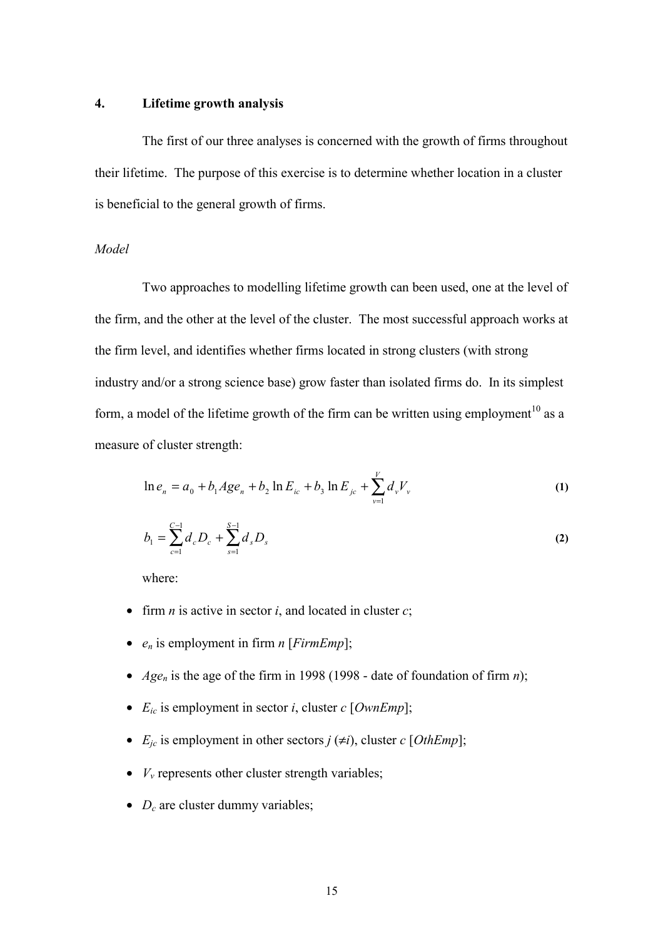### **4. Lifetime growth analysis**

The first of our three analyses is concerned with the growth of firms throughout their lifetime. The purpose of this exercise is to determine whether location in a cluster is beneficial to the general growth of firms.

#### *Model*

Two approaches to modelling lifetime growth can been used, one at the level of the firm, and the other at the level of the cluster. The most successful approach works at the firm level, and identifies whether firms located in strong clusters (with strong industry and/or a strong science base) grow faster than isolated firms do. In its simplest form, a model of the lifetime growth of the firm can be written using employment<sup>10</sup> as a measure of cluster strength:

$$
\ln e_n = a_0 + b_1 A g e_n + b_2 \ln E_{ic} + b_3 \ln E_{jc} + \sum_{\nu=1}^{V} d_{\nu} V_{\nu}
$$
 (1)

$$
b_1 = \sum_{c=1}^{C-1} d_c D_c + \sum_{s=1}^{S-1} d_s D_s \tag{2}
$$

where:

- firm *n* is active in sector *i*, and located in cluster *c*;
- *en* is employment in firm *n* [*FirmEmp*];
- *Agen* is the age of the firm in 1998 (1998 date of foundation of firm *n*);
- *Eic* is employment in sector *i*, cluster *c* [*OwnEmp*];
- $E_{jc}$  is employment in other sectors  $j \neq i$ ), cluster  $c$  [OthEmp];
- $V_v$  represents other cluster strength variables;
- *D<sub>c</sub>* are cluster dummy variables;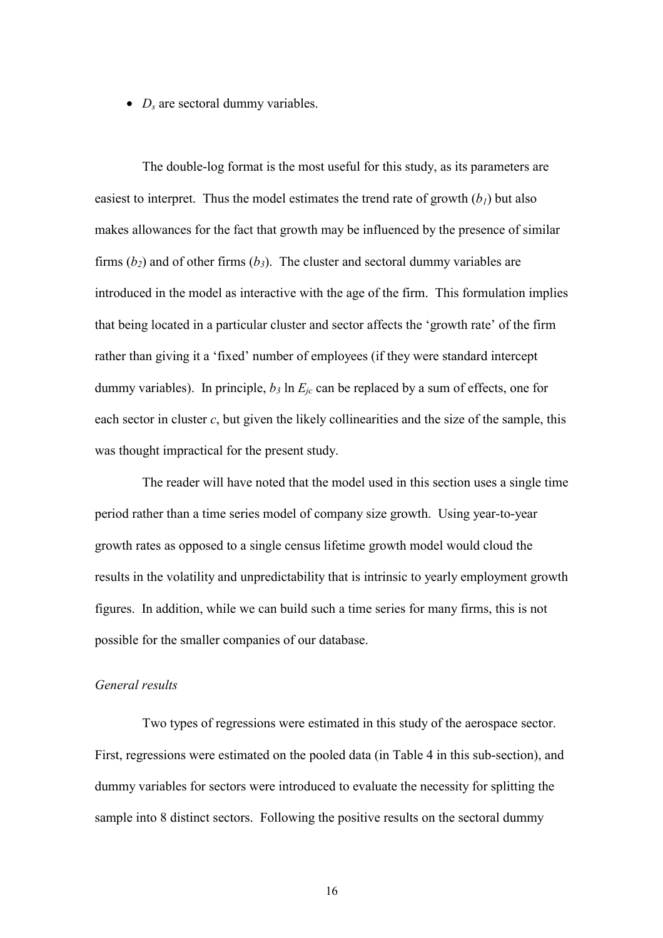• *D<sub>s</sub>* are sectoral dummy variables.

The double-log format is the most useful for this study, as its parameters are easiest to interpret. Thus the model estimates the trend rate of growth  $(b_1)$  but also makes allowances for the fact that growth may be influenced by the presence of similar firms  $(b_2)$  and of other firms  $(b_3)$ . The cluster and sectoral dummy variables are introduced in the model as interactive with the age of the firm. This formulation implies that being located in a particular cluster and sector affects the 'growth rate' of the firm rather than giving it a 'fixed' number of employees (if they were standard intercept dummy variables). In principle,  $b_3 \ln E_i$  can be replaced by a sum of effects, one for each sector in cluster *c*, but given the likely collinearities and the size of the sample, this was thought impractical for the present study.

The reader will have noted that the model used in this section uses a single time period rather than a time series model of company size growth. Using year-to-year growth rates as opposed to a single census lifetime growth model would cloud the results in the volatility and unpredictability that is intrinsic to yearly employment growth figures. In addition, while we can build such a time series for many firms, this is not possible for the smaller companies of our database.

#### *General results*

Two types of regressions were estimated in this study of the aerospace sector. First, regressions were estimated on the pooled data (in Table 4 in this sub-section), and dummy variables for sectors were introduced to evaluate the necessity for splitting the sample into 8 distinct sectors. Following the positive results on the sectoral dummy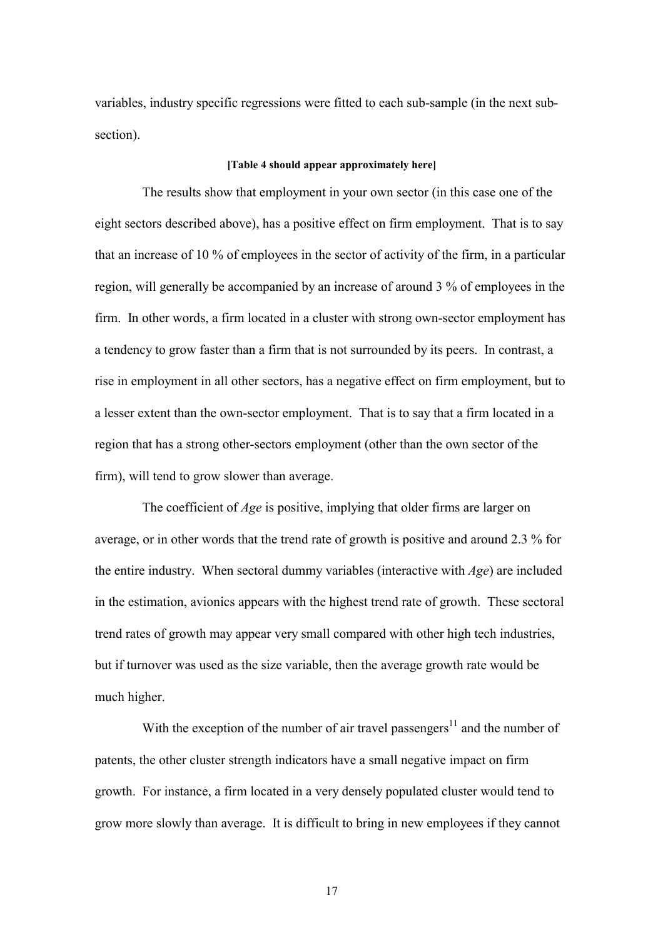variables, industry specific regressions were fitted to each sub-sample (in the next subsection).

#### **[Table 4 should appear approximately here]**

The results show that employment in your own sector (in this case one of the eight sectors described above), has a positive effect on firm employment. That is to say that an increase of 10 % of employees in the sector of activity of the firm, in a particular region, will generally be accompanied by an increase of around 3 % of employees in the firm. In other words, a firm located in a cluster with strong own-sector employment has a tendency to grow faster than a firm that is not surrounded by its peers. In contrast, a rise in employment in all other sectors, has a negative effect on firm employment, but to a lesser extent than the own-sector employment. That is to say that a firm located in a region that has a strong other-sectors employment (other than the own sector of the firm), will tend to grow slower than average.

The coefficient of *Age* is positive, implying that older firms are larger on average, or in other words that the trend rate of growth is positive and around 2.3 % for the entire industry. When sectoral dummy variables (interactive with *Age*) are included in the estimation, avionics appears with the highest trend rate of growth. These sectoral trend rates of growth may appear very small compared with other high tech industries, but if turnover was used as the size variable, then the average growth rate would be much higher.

With the exception of the number of air travel passengers<sup>11</sup> and the number of patents, the other cluster strength indicators have a small negative impact on firm growth. For instance, a firm located in a very densely populated cluster would tend to grow more slowly than average. It is difficult to bring in new employees if they cannot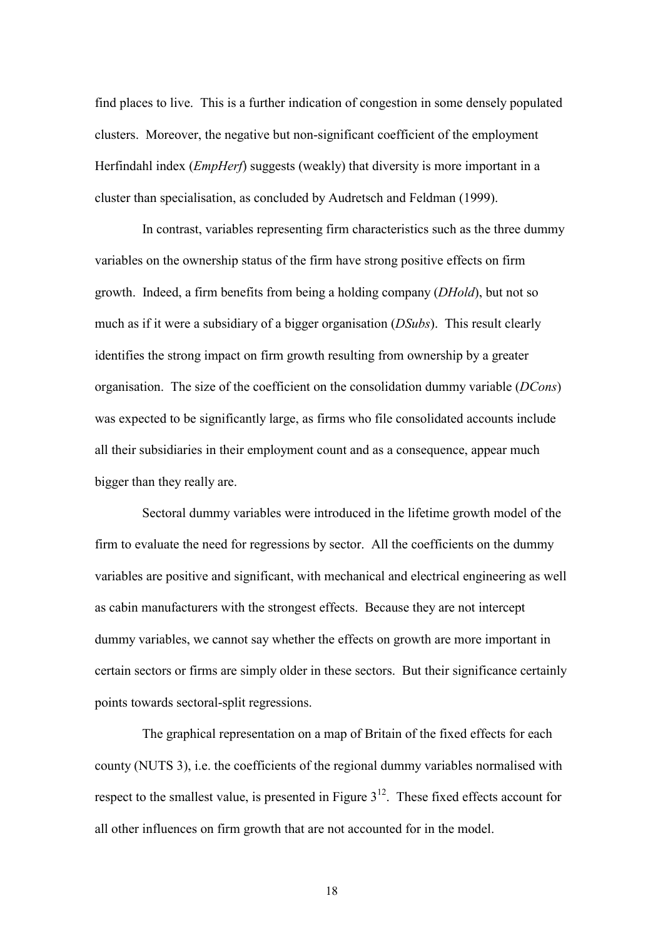find places to live. This is a further indication of congestion in some densely populated clusters. Moreover, the negative but non-significant coefficient of the employment Herfindahl index (*EmpHerf*) suggests (weakly) that diversity is more important in a cluster than specialisation, as concluded by Audretsch and Feldman (1999).

In contrast, variables representing firm characteristics such as the three dummy variables on the ownership status of the firm have strong positive effects on firm growth. Indeed, a firm benefits from being a holding company (*DHold*), but not so much as if it were a subsidiary of a bigger organisation (*DSubs*). This result clearly identifies the strong impact on firm growth resulting from ownership by a greater organisation. The size of the coefficient on the consolidation dummy variable (*DCons*) was expected to be significantly large, as firms who file consolidated accounts include all their subsidiaries in their employment count and as a consequence, appear much bigger than they really are.

Sectoral dummy variables were introduced in the lifetime growth model of the firm to evaluate the need for regressions by sector. All the coefficients on the dummy variables are positive and significant, with mechanical and electrical engineering as well as cabin manufacturers with the strongest effects. Because they are not intercept dummy variables, we cannot say whether the effects on growth are more important in certain sectors or firms are simply older in these sectors. But their significance certainly points towards sectoral-split regressions.

The graphical representation on a map of Britain of the fixed effects for each county (NUTS 3), i.e. the coefficients of the regional dummy variables normalised with respect to the smallest value, is presented in Figure  $3<sup>12</sup>$ . These fixed effects account for all other influences on firm growth that are not accounted for in the model.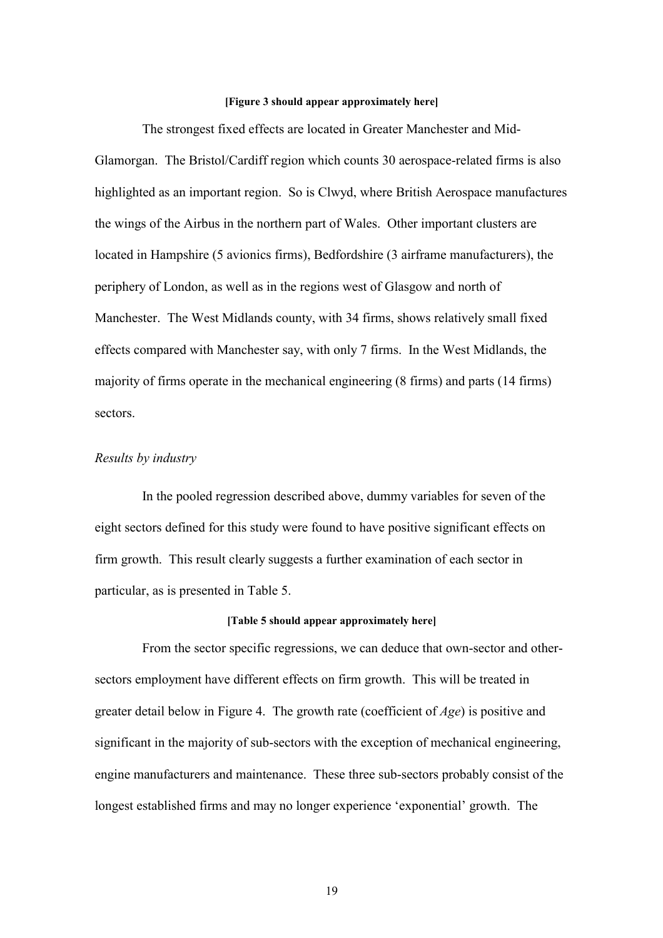#### **[Figure 3 should appear approximately here]**

The strongest fixed effects are located in Greater Manchester and Mid-Glamorgan. The Bristol/Cardiff region which counts 30 aerospace-related firms is also highlighted as an important region. So is Clwyd, where British Aerospace manufactures the wings of the Airbus in the northern part of Wales. Other important clusters are located in Hampshire (5 avionics firms), Bedfordshire (3 airframe manufacturers), the periphery of London, as well as in the regions west of Glasgow and north of Manchester. The West Midlands county, with 34 firms, shows relatively small fixed effects compared with Manchester say, with only 7 firms. In the West Midlands, the majority of firms operate in the mechanical engineering (8 firms) and parts (14 firms) sectors.

#### *Results by industry*

In the pooled regression described above, dummy variables for seven of the eight sectors defined for this study were found to have positive significant effects on firm growth. This result clearly suggests a further examination of each sector in particular, as is presented in Table 5.

#### **[Table 5 should appear approximately here]**

From the sector specific regressions, we can deduce that own-sector and othersectors employment have different effects on firm growth. This will be treated in greater detail below in Figure 4. The growth rate (coefficient of *Age*) is positive and significant in the majority of sub-sectors with the exception of mechanical engineering, engine manufacturers and maintenance. These three sub-sectors probably consist of the longest established firms and may no longer experience 'exponential' growth. The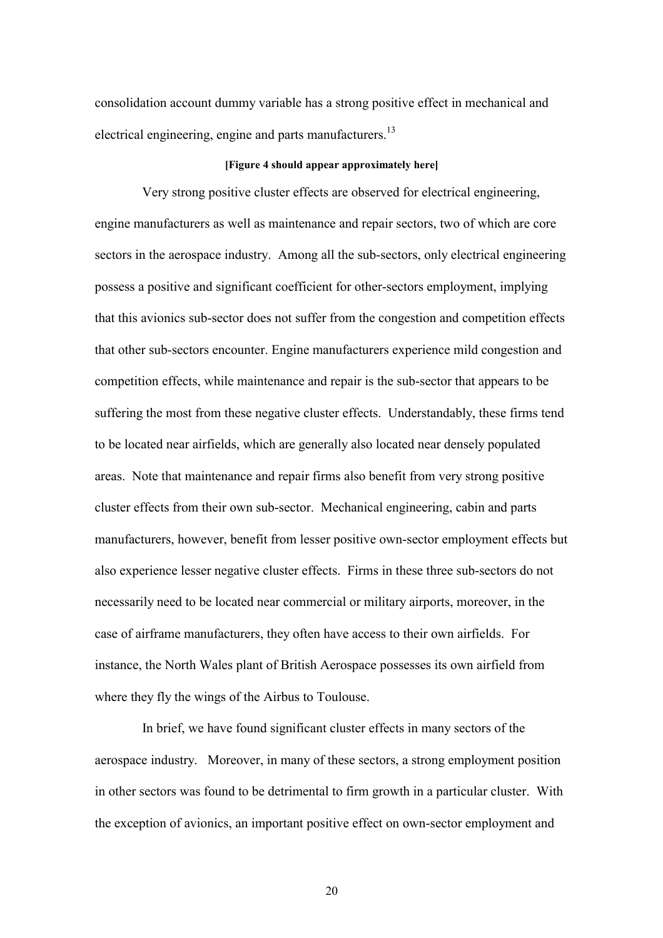consolidation account dummy variable has a strong positive effect in mechanical and electrical engineering, engine and parts manufacturers.<sup>13</sup>

#### **[Figure 4 should appear approximately here]**

Very strong positive cluster effects are observed for electrical engineering, engine manufacturers as well as maintenance and repair sectors, two of which are core sectors in the aerospace industry. Among all the sub-sectors, only electrical engineering possess a positive and significant coefficient for other-sectors employment, implying that this avionics sub-sector does not suffer from the congestion and competition effects that other sub-sectors encounter. Engine manufacturers experience mild congestion and competition effects, while maintenance and repair is the sub-sector that appears to be suffering the most from these negative cluster effects. Understandably, these firms tend to be located near airfields, which are generally also located near densely populated areas. Note that maintenance and repair firms also benefit from very strong positive cluster effects from their own sub-sector. Mechanical engineering, cabin and parts manufacturers, however, benefit from lesser positive own-sector employment effects but also experience lesser negative cluster effects. Firms in these three sub-sectors do not necessarily need to be located near commercial or military airports, moreover, in the case of airframe manufacturers, they often have access to their own airfields. For instance, the North Wales plant of British Aerospace possesses its own airfield from where they fly the wings of the Airbus to Toulouse.

In brief, we have found significant cluster effects in many sectors of the aerospace industry. Moreover, in many of these sectors, a strong employment position in other sectors was found to be detrimental to firm growth in a particular cluster. With the exception of avionics, an important positive effect on own-sector employment and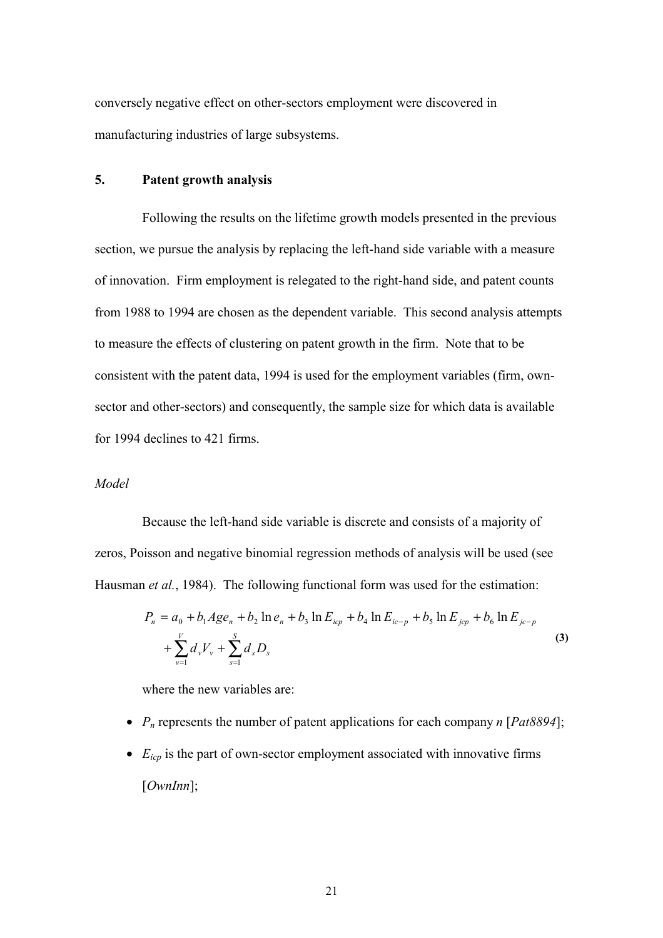conversely negative effect on other-sectors employment were discovered in manufacturing industries of large subsystems.

### **5. Patent growth analysis**

Following the results on the lifetime growth models presented in the previous section, we pursue the analysis by replacing the left-hand side variable with a measure of innovation. Firm employment is relegated to the right-hand side, and patent counts from 1988 to 1994 are chosen as the dependent variable. This second analysis attempts to measure the effects of clustering on patent growth in the firm. Note that to be consistent with the patent data, 1994 is used for the employment variables (firm, ownsector and other-sectors) and consequently, the sample size for which data is available for 1994 declines to 421 firms.

#### *Model*

Because the left-hand side variable is discrete and consists of a majority of zeros, Poisson and negative binomial regression methods of analysis will be used (see Hausman *et al.*, 1984). The following functional form was used for the estimation:

$$
P_n = a_0 + b_1 A g e_n + b_2 \ln e_n + b_3 \ln E_{icp} + b_4 \ln E_{ic-p} + b_5 \ln E_{jcp} + b_6 \ln E_{jc-p}
$$
  
+ 
$$
\sum_{\nu=1}^{V} d_{\nu} V_{\nu} + \sum_{s=1}^{S} d_s D_s
$$
 (3)

where the new variables are:

- *Pn* represents the number of patent applications for each company *n* [*Pat8894*];
- $\bullet$  *E<sub>icp</sub>* is the part of own-sector employment associated with innovative firms [*OwnInn*];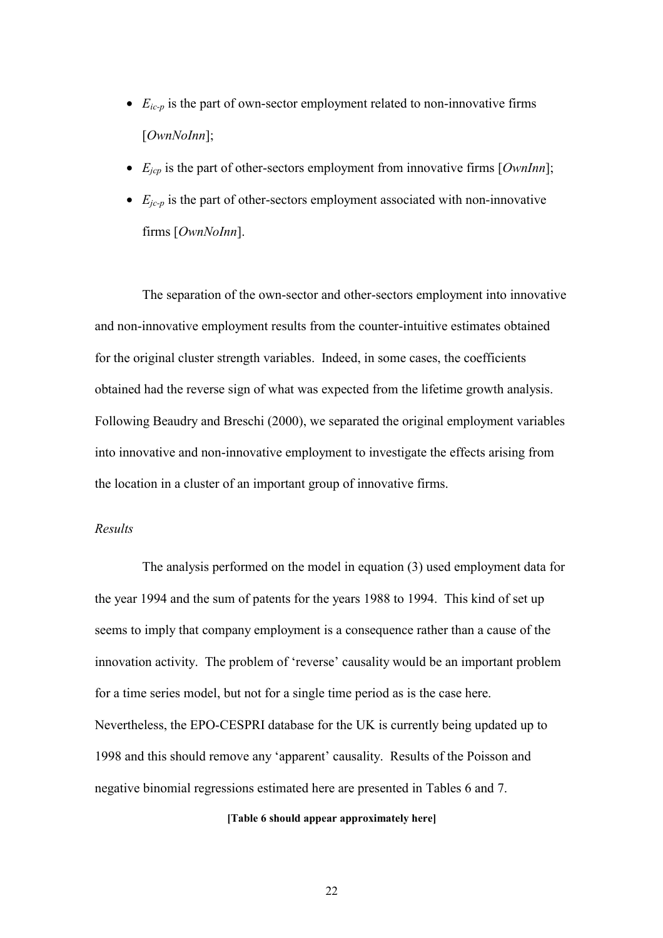- $\bullet$  *E<sub>ic-p</sub>* is the part of own-sector employment related to non-innovative firms [*OwnNoInn*];
- *Ejcp* is the part of other-sectors employment from innovative firms [*OwnInn*];
- $E_{j \ncap$  is the part of other-sectors employment associated with non-innovative firms [*OwnNoInn*].

The separation of the own-sector and other-sectors employment into innovative and non-innovative employment results from the counter-intuitive estimates obtained for the original cluster strength variables. Indeed, in some cases, the coefficients obtained had the reverse sign of what was expected from the lifetime growth analysis. Following Beaudry and Breschi (2000), we separated the original employment variables into innovative and non-innovative employment to investigate the effects arising from the location in a cluster of an important group of innovative firms.

#### *Results*

The analysis performed on the model in equation (3) used employment data for the year 1994 and the sum of patents for the years 1988 to 1994. This kind of set up seems to imply that company employment is a consequence rather than a cause of the innovation activity. The problem of 'reverse' causality would be an important problem for a time series model, but not for a single time period as is the case here. Nevertheless, the EPO-CESPRI database for the UK is currently being updated up to 1998 and this should remove any 'apparent' causality. Results of the Poisson and negative binomial regressions estimated here are presented in Tables 6 and 7.

**[Table 6 should appear approximately here]**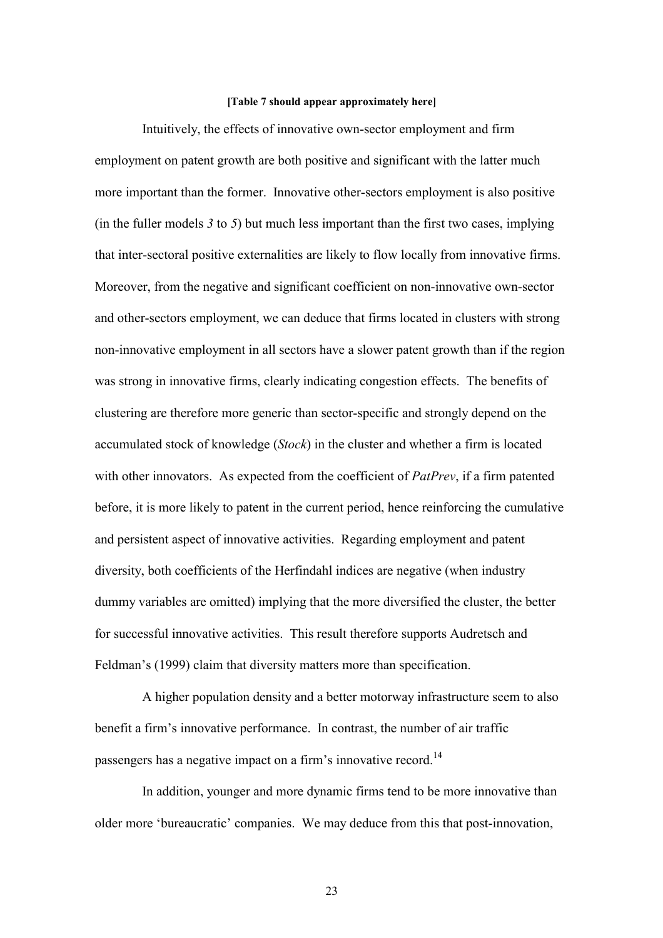#### **[Table 7 should appear approximately here]**

Intuitively, the effects of innovative own-sector employment and firm employment on patent growth are both positive and significant with the latter much more important than the former. Innovative other-sectors employment is also positive (in the fuller models *3* to *5*) but much less important than the first two cases, implying that inter-sectoral positive externalities are likely to flow locally from innovative firms. Moreover, from the negative and significant coefficient on non-innovative own-sector and other-sectors employment, we can deduce that firms located in clusters with strong non-innovative employment in all sectors have a slower patent growth than if the region was strong in innovative firms, clearly indicating congestion effects. The benefits of clustering are therefore more generic than sector-specific and strongly depend on the accumulated stock of knowledge (*Stock*) in the cluster and whether a firm is located with other innovators. As expected from the coefficient of *PatPrev*, if a firm patented before, it is more likely to patent in the current period, hence reinforcing the cumulative and persistent aspect of innovative activities. Regarding employment and patent diversity, both coefficients of the Herfindahl indices are negative (when industry dummy variables are omitted) implying that the more diversified the cluster, the better for successful innovative activities. This result therefore supports Audretsch and Feldman's (1999) claim that diversity matters more than specification.

A higher population density and a better motorway infrastructure seem to also benefit a firm's innovative performance. In contrast, the number of air traffic passengers has a negative impact on a firm's innovative record.<sup>14</sup>

In addition, younger and more dynamic firms tend to be more innovative than older more 'bureaucratic' companies. We may deduce from this that post-innovation,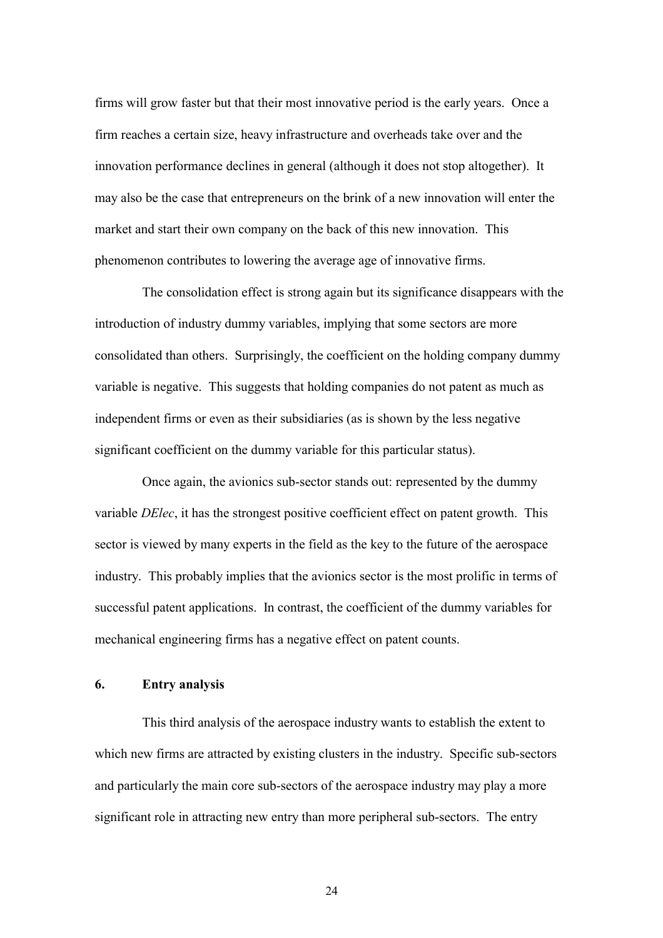firms will grow faster but that their most innovative period is the early years. Once a firm reaches a certain size, heavy infrastructure and overheads take over and the innovation performance declines in general (although it does not stop altogether). It may also be the case that entrepreneurs on the brink of a new innovation will enter the market and start their own company on the back of this new innovation. This phenomenon contributes to lowering the average age of innovative firms.

The consolidation effect is strong again but its significance disappears with the introduction of industry dummy variables, implying that some sectors are more consolidated than others. Surprisingly, the coefficient on the holding company dummy variable is negative. This suggests that holding companies do not patent as much as independent firms or even as their subsidiaries (as is shown by the less negative significant coefficient on the dummy variable for this particular status).

Once again, the avionics sub-sector stands out: represented by the dummy variable *DElec*, it has the strongest positive coefficient effect on patent growth. This sector is viewed by many experts in the field as the key to the future of the aerospace industry. This probably implies that the avionics sector is the most prolific in terms of successful patent applications. In contrast, the coefficient of the dummy variables for mechanical engineering firms has a negative effect on patent counts.

#### **6. Entry analysis**

This third analysis of the aerospace industry wants to establish the extent to which new firms are attracted by existing clusters in the industry. Specific sub-sectors and particularly the main core sub-sectors of the aerospace industry may play a more significant role in attracting new entry than more peripheral sub-sectors. The entry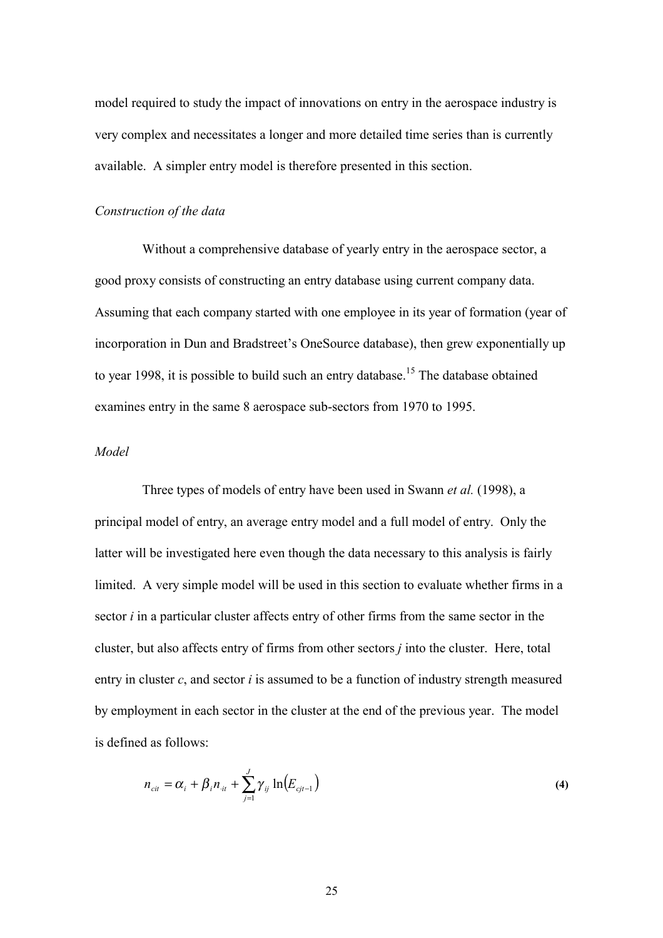model required to study the impact of innovations on entry in the aerospace industry is very complex and necessitates a longer and more detailed time series than is currently available. A simpler entry model is therefore presented in this section.

#### *Construction of the data*

Without a comprehensive database of yearly entry in the aerospace sector, a good proxy consists of constructing an entry database using current company data. Assuming that each company started with one employee in its year of formation (year of incorporation in Dun and Bradstreet's OneSource database), then grew exponentially up to year 1998, it is possible to build such an entry database.<sup>15</sup> The database obtained examines entry in the same 8 aerospace sub-sectors from 1970 to 1995.

## *Model*

Three types of models of entry have been used in Swann *et al.* (1998), a principal model of entry, an average entry model and a full model of entry. Only the latter will be investigated here even though the data necessary to this analysis is fairly limited. A very simple model will be used in this section to evaluate whether firms in a sector *i* in a particular cluster affects entry of other firms from the same sector in the cluster, but also affects entry of firms from other sectors *j* into the cluster. Here, total entry in cluster *c*, and sector *i* is assumed to be a function of industry strength measured by employment in each sector in the cluster at the end of the previous year. The model is defined as follows:

$$
n_{\text{cit}} = \alpha_i + \beta_i n_{\text{it}} + \sum_{j=1}^{J} \gamma_{ij} \ln(E_{\text{cjt}-1})
$$
\n(4)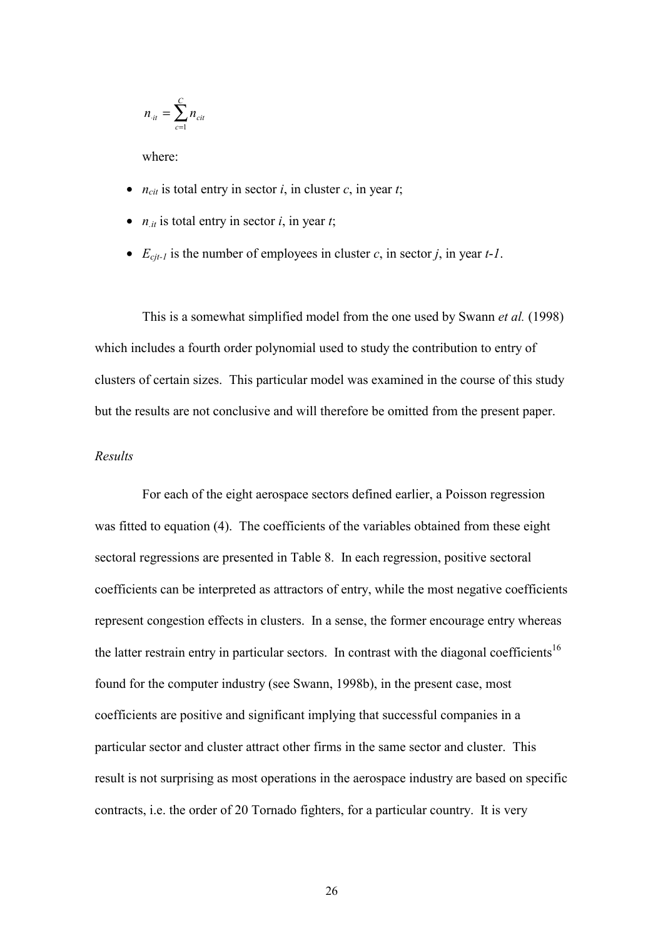$$
n_{\cdot it} = \sum_{c=1}^{C} n_{\cdot cit}
$$

where:

- $n_{\text{crit}}$  is total entry in sector *i*, in cluster *c*, in year *t*;
- $n_{it}$  is total entry in sector *i*, in year *t*;
- $E_{\text{cjt-1}}$  is the number of employees in cluster *c*, in sector *j*, in year *t*-*1*.

This is a somewhat simplified model from the one used by Swann *et al.* (1998) which includes a fourth order polynomial used to study the contribution to entry of clusters of certain sizes. This particular model was examined in the course of this study but the results are not conclusive and will therefore be omitted from the present paper.

## *Results*

For each of the eight aerospace sectors defined earlier, a Poisson regression was fitted to equation (4). The coefficients of the variables obtained from these eight sectoral regressions are presented in Table 8. In each regression, positive sectoral coefficients can be interpreted as attractors of entry, while the most negative coefficients represent congestion effects in clusters. In a sense, the former encourage entry whereas the latter restrain entry in particular sectors. In contrast with the diagonal coefficients<sup>16</sup> found for the computer industry (see Swann, 1998b), in the present case, most coefficients are positive and significant implying that successful companies in a particular sector and cluster attract other firms in the same sector and cluster. This result is not surprising as most operations in the aerospace industry are based on specific contracts, i.e. the order of 20 Tornado fighters, for a particular country. It is very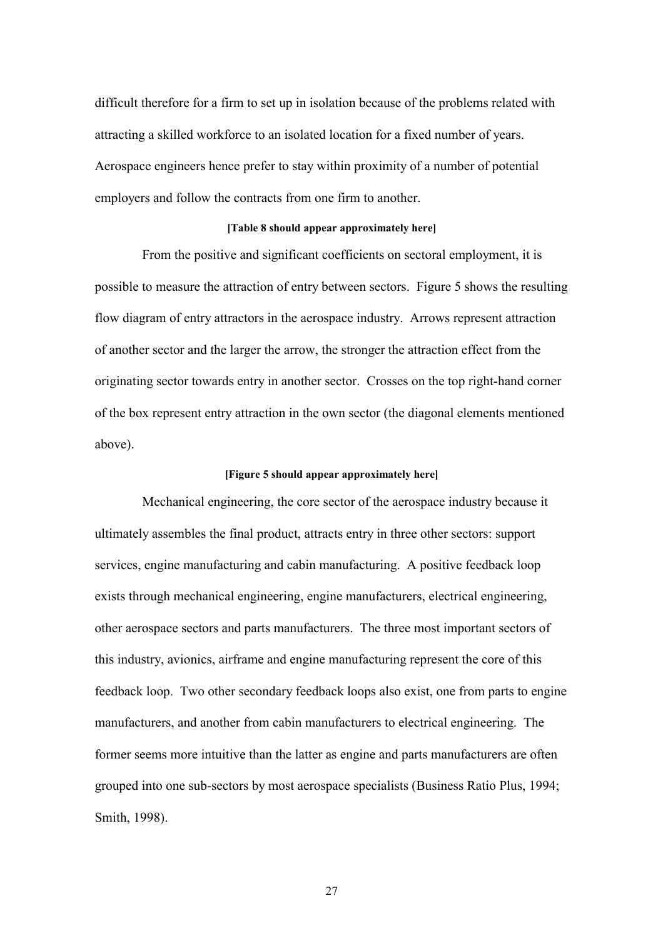difficult therefore for a firm to set up in isolation because of the problems related with attracting a skilled workforce to an isolated location for a fixed number of years. Aerospace engineers hence prefer to stay within proximity of a number of potential employers and follow the contracts from one firm to another.

#### **[Table 8 should appear approximately here]**

From the positive and significant coefficients on sectoral employment, it is possible to measure the attraction of entry between sectors. Figure 5 shows the resulting flow diagram of entry attractors in the aerospace industry. Arrows represent attraction of another sector and the larger the arrow, the stronger the attraction effect from the originating sector towards entry in another sector. Crosses on the top right-hand corner of the box represent entry attraction in the own sector (the diagonal elements mentioned above).

#### **[Figure 5 should appear approximately here]**

Mechanical engineering, the core sector of the aerospace industry because it ultimately assembles the final product, attracts entry in three other sectors: support services, engine manufacturing and cabin manufacturing. A positive feedback loop exists through mechanical engineering, engine manufacturers, electrical engineering, other aerospace sectors and parts manufacturers. The three most important sectors of this industry, avionics, airframe and engine manufacturing represent the core of this feedback loop. Two other secondary feedback loops also exist, one from parts to engine manufacturers, and another from cabin manufacturers to electrical engineering. The former seems more intuitive than the latter as engine and parts manufacturers are often grouped into one sub-sectors by most aerospace specialists (Business Ratio Plus, 1994; Smith, 1998).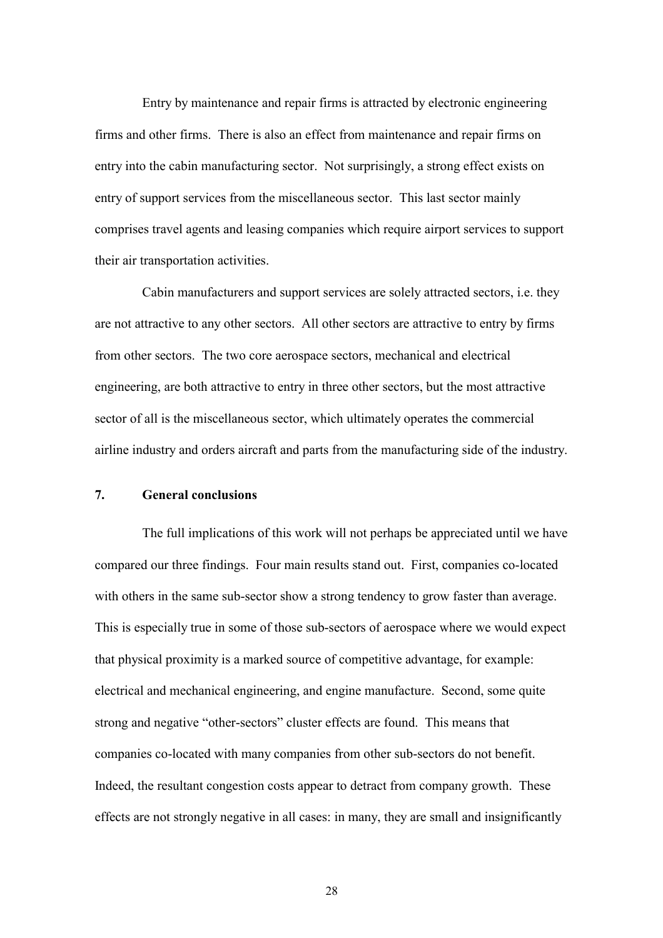Entry by maintenance and repair firms is attracted by electronic engineering firms and other firms. There is also an effect from maintenance and repair firms on entry into the cabin manufacturing sector. Not surprisingly, a strong effect exists on entry of support services from the miscellaneous sector. This last sector mainly comprises travel agents and leasing companies which require airport services to support their air transportation activities.

Cabin manufacturers and support services are solely attracted sectors, i.e. they are not attractive to any other sectors. All other sectors are attractive to entry by firms from other sectors. The two core aerospace sectors, mechanical and electrical engineering, are both attractive to entry in three other sectors, but the most attractive sector of all is the miscellaneous sector, which ultimately operates the commercial airline industry and orders aircraft and parts from the manufacturing side of the industry.

## **7. General conclusions**

The full implications of this work will not perhaps be appreciated until we have compared our three findings. Four main results stand out. First, companies co-located with others in the same sub-sector show a strong tendency to grow faster than average. This is especially true in some of those sub-sectors of aerospace where we would expect that physical proximity is a marked source of competitive advantage, for example: electrical and mechanical engineering, and engine manufacture. Second, some quite strong and negative "other-sectors" cluster effects are found. This means that companies co-located with many companies from other sub-sectors do not benefit. Indeed, the resultant congestion costs appear to detract from company growth. These effects are not strongly negative in all cases: in many, they are small and insignificantly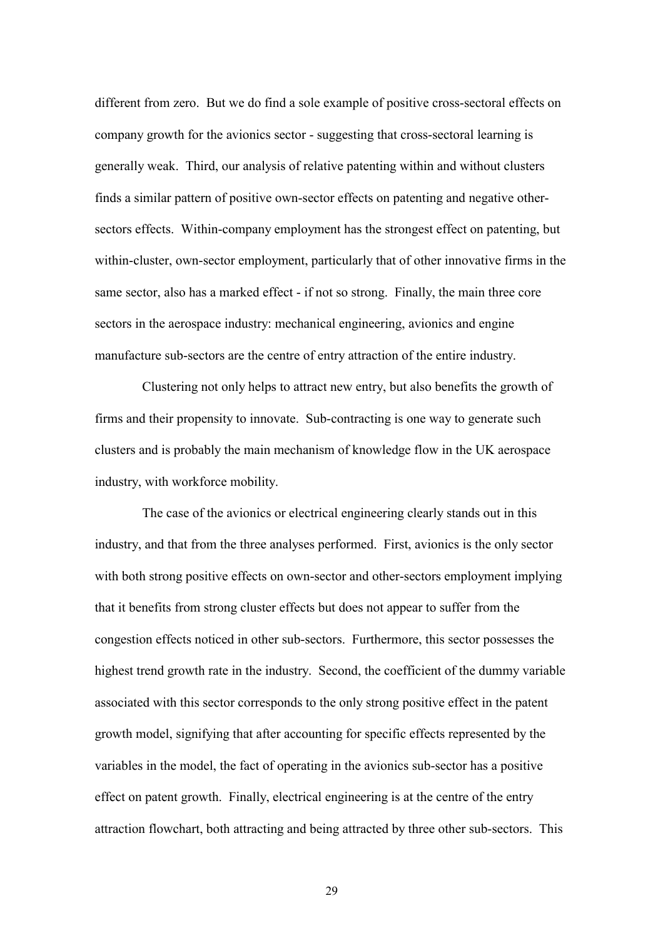different from zero. But we do find a sole example of positive cross-sectoral effects on company growth for the avionics sector - suggesting that cross-sectoral learning is generally weak. Third, our analysis of relative patenting within and without clusters finds a similar pattern of positive own-sector effects on patenting and negative othersectors effects. Within-company employment has the strongest effect on patenting, but within-cluster, own-sector employment, particularly that of other innovative firms in the same sector, also has a marked effect - if not so strong. Finally, the main three core sectors in the aerospace industry: mechanical engineering, avionics and engine manufacture sub-sectors are the centre of entry attraction of the entire industry.

Clustering not only helps to attract new entry, but also benefits the growth of firms and their propensity to innovate. Sub-contracting is one way to generate such clusters and is probably the main mechanism of knowledge flow in the UK aerospace industry, with workforce mobility.

The case of the avionics or electrical engineering clearly stands out in this industry, and that from the three analyses performed. First, avionics is the only sector with both strong positive effects on own-sector and other-sectors employment implying that it benefits from strong cluster effects but does not appear to suffer from the congestion effects noticed in other sub-sectors. Furthermore, this sector possesses the highest trend growth rate in the industry. Second, the coefficient of the dummy variable associated with this sector corresponds to the only strong positive effect in the patent growth model, signifying that after accounting for specific effects represented by the variables in the model, the fact of operating in the avionics sub-sector has a positive effect on patent growth. Finally, electrical engineering is at the centre of the entry attraction flowchart, both attracting and being attracted by three other sub-sectors. This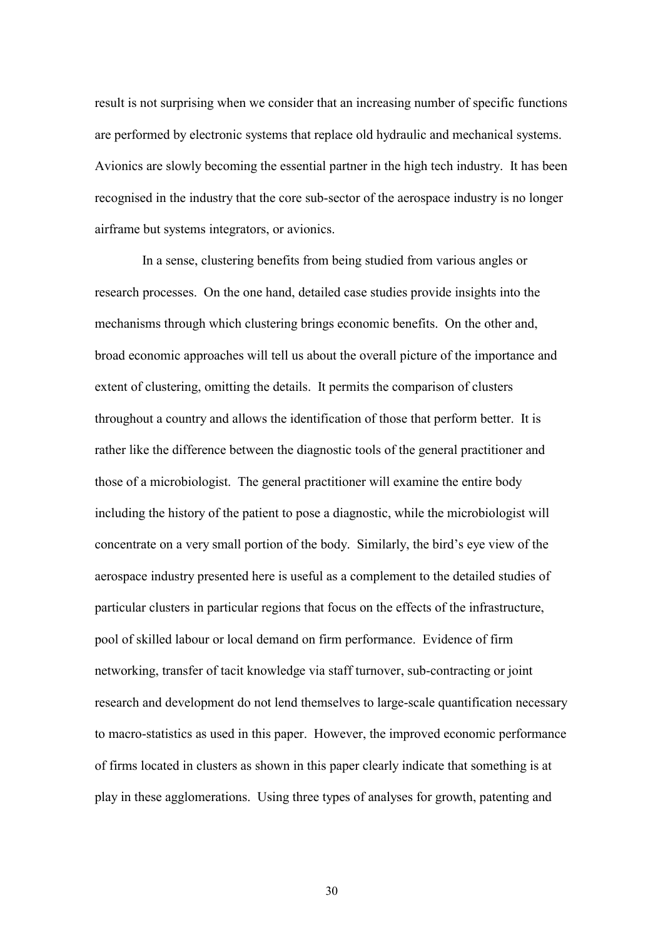result is not surprising when we consider that an increasing number of specific functions are performed by electronic systems that replace old hydraulic and mechanical systems. Avionics are slowly becoming the essential partner in the high tech industry. It has been recognised in the industry that the core sub-sector of the aerospace industry is no longer airframe but systems integrators, or avionics.

In a sense, clustering benefits from being studied from various angles or research processes. On the one hand, detailed case studies provide insights into the mechanisms through which clustering brings economic benefits. On the other and, broad economic approaches will tell us about the overall picture of the importance and extent of clustering, omitting the details. It permits the comparison of clusters throughout a country and allows the identification of those that perform better. It is rather like the difference between the diagnostic tools of the general practitioner and those of a microbiologist. The general practitioner will examine the entire body including the history of the patient to pose a diagnostic, while the microbiologist will concentrate on a very small portion of the body. Similarly, the bird's eye view of the aerospace industry presented here is useful as a complement to the detailed studies of particular clusters in particular regions that focus on the effects of the infrastructure, pool of skilled labour or local demand on firm performance. Evidence of firm networking, transfer of tacit knowledge via staff turnover, sub-contracting or joint research and development do not lend themselves to large-scale quantification necessary to macro-statistics as used in this paper. However, the improved economic performance of firms located in clusters as shown in this paper clearly indicate that something is at play in these agglomerations. Using three types of analyses for growth, patenting and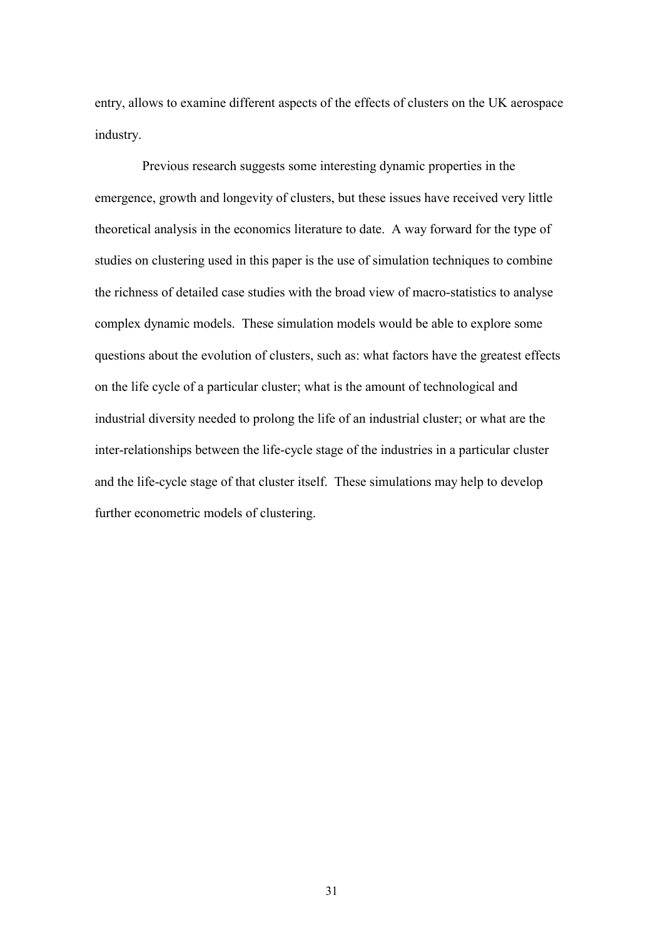entry, allows to examine different aspects of the effects of clusters on the UK aerospace industry.

Previous research suggests some interesting dynamic properties in the emergence, growth and longevity of clusters, but these issues have received very little theoretical analysis in the economics literature to date. A way forward for the type of studies on clustering used in this paper is the use of simulation techniques to combine the richness of detailed case studies with the broad view of macro-statistics to analyse complex dynamic models. These simulation models would be able to explore some questions about the evolution of clusters, such as: what factors have the greatest effects on the life cycle of a particular cluster; what is the amount of technological and industrial diversity needed to prolong the life of an industrial cluster; or what are the inter-relationships between the life-cycle stage of the industries in a particular cluster and the life-cycle stage of that cluster itself. These simulations may help to develop further econometric models of clustering.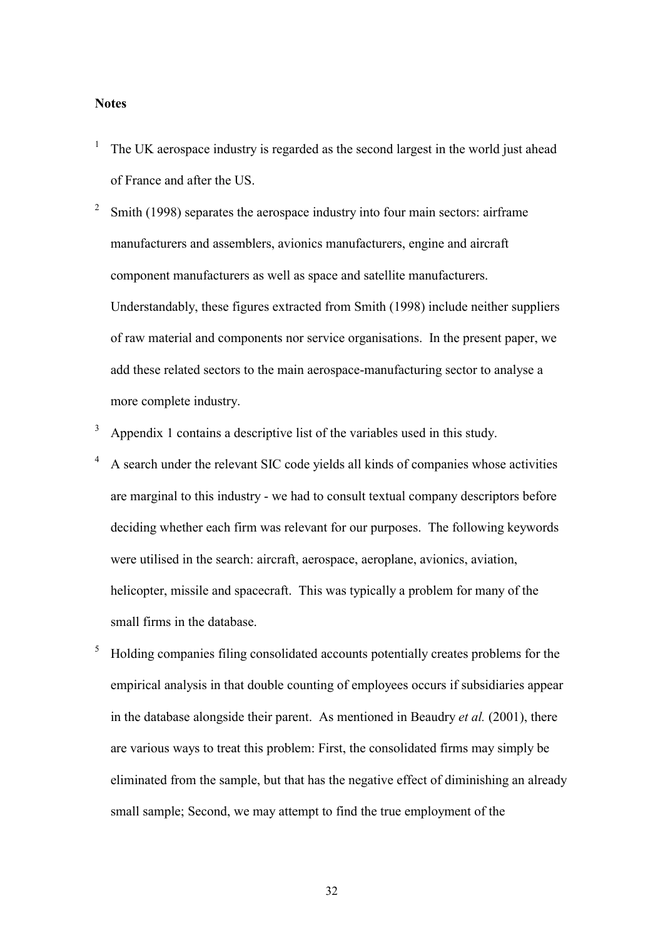#### **Notes**

1 The UK aerospace industry is regarded as the second largest in the world just ahead of France and after the US.

2 Smith (1998) separates the aerospace industry into four main sectors: airframe manufacturers and assemblers, avionics manufacturers, engine and aircraft component manufacturers as well as space and satellite manufacturers. Understandably, these figures extracted from Smith (1998) include neither suppliers of raw material and components nor service organisations. In the present paper, we add these related sectors to the main aerospace-manufacturing sector to analyse a more complete industry.

3 Appendix 1 contains a descriptive list of the variables used in this study.

- 4 A search under the relevant SIC code yields all kinds of companies whose activities are marginal to this industry - we had to consult textual company descriptors before deciding whether each firm was relevant for our purposes. The following keywords were utilised in the search: aircraft, aerospace, aeroplane, avionics, aviation, helicopter, missile and spacecraft. This was typically a problem for many of the small firms in the database.
- 5 Holding companies filing consolidated accounts potentially creates problems for the empirical analysis in that double counting of employees occurs if subsidiaries appear in the database alongside their parent. As mentioned in Beaudry *et al.* (2001), there are various ways to treat this problem: First, the consolidated firms may simply be eliminated from the sample, but that has the negative effect of diminishing an already small sample; Second, we may attempt to find the true employment of the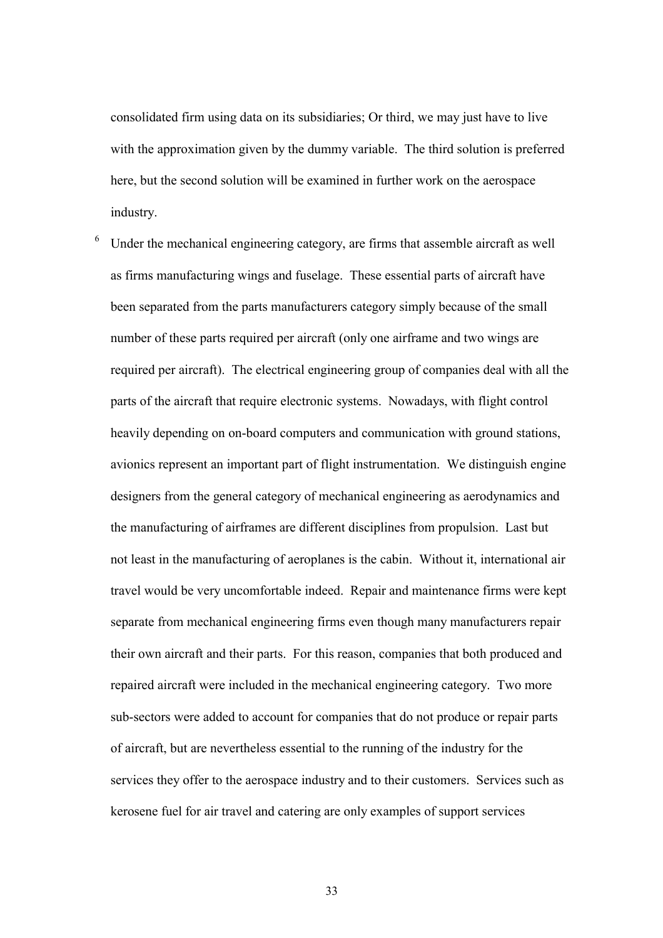consolidated firm using data on its subsidiaries; Or third, we may just have to live with the approximation given by the dummy variable. The third solution is preferred here, but the second solution will be examined in further work on the aerospace industry.

6 Under the mechanical engineering category, are firms that assemble aircraft as well as firms manufacturing wings and fuselage. These essential parts of aircraft have been separated from the parts manufacturers category simply because of the small number of these parts required per aircraft (only one airframe and two wings are required per aircraft). The electrical engineering group of companies deal with all the parts of the aircraft that require electronic systems. Nowadays, with flight control heavily depending on on-board computers and communication with ground stations, avionics represent an important part of flight instrumentation. We distinguish engine designers from the general category of mechanical engineering as aerodynamics and the manufacturing of airframes are different disciplines from propulsion. Last but not least in the manufacturing of aeroplanes is the cabin. Without it, international air travel would be very uncomfortable indeed. Repair and maintenance firms were kept separate from mechanical engineering firms even though many manufacturers repair their own aircraft and their parts. For this reason, companies that both produced and repaired aircraft were included in the mechanical engineering category. Two more sub-sectors were added to account for companies that do not produce or repair parts of aircraft, but are nevertheless essential to the running of the industry for the services they offer to the aerospace industry and to their customers. Services such as kerosene fuel for air travel and catering are only examples of support services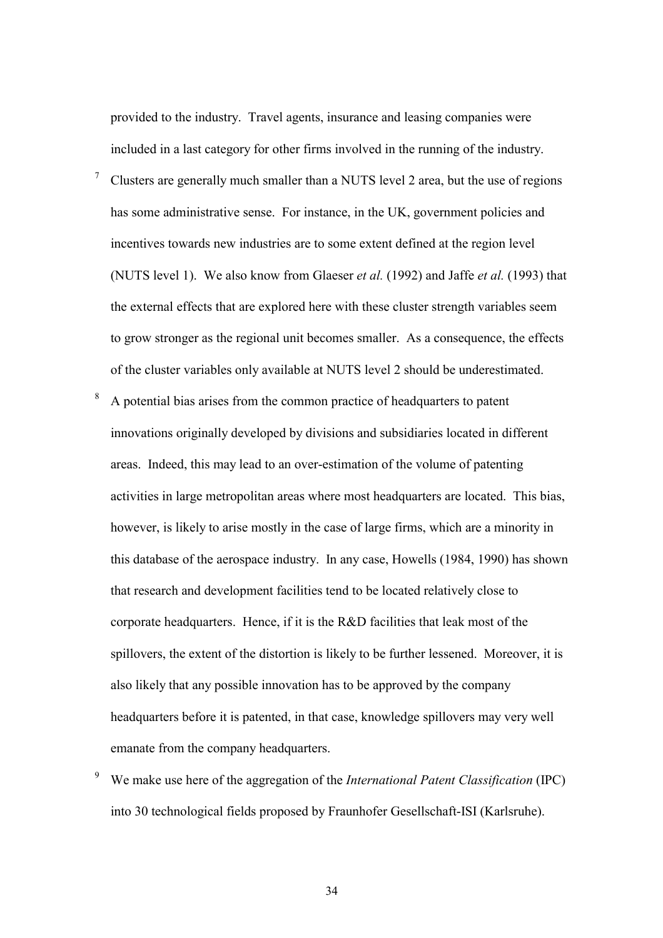provided to the industry. Travel agents, insurance and leasing companies were included in a last category for other firms involved in the running of the industry.

- 7 Clusters are generally much smaller than a NUTS level 2 area, but the use of regions has some administrative sense. For instance, in the UK, government policies and incentives towards new industries are to some extent defined at the region level (NUTS level 1). We also know from Glaeser *et al.* (1992) and Jaffe *et al.* (1993) that the external effects that are explored here with these cluster strength variables seem to grow stronger as the regional unit becomes smaller. As a consequence, the effects of the cluster variables only available at NUTS level 2 should be underestimated.
- 8 A potential bias arises from the common practice of headquarters to patent innovations originally developed by divisions and subsidiaries located in different areas. Indeed, this may lead to an over-estimation of the volume of patenting activities in large metropolitan areas where most headquarters are located. This bias, however, is likely to arise mostly in the case of large firms, which are a minority in this database of the aerospace industry. In any case, Howells (1984, 1990) has shown that research and development facilities tend to be located relatively close to corporate headquarters. Hence, if it is the R&D facilities that leak most of the spillovers, the extent of the distortion is likely to be further lessened. Moreover, it is also likely that any possible innovation has to be approved by the company headquarters before it is patented, in that case, knowledge spillovers may very well emanate from the company headquarters.
- 9 We make use here of the aggregation of the *International Patent Classification* (IPC) into 30 technological fields proposed by Fraunhofer Gesellschaft-ISI (Karlsruhe).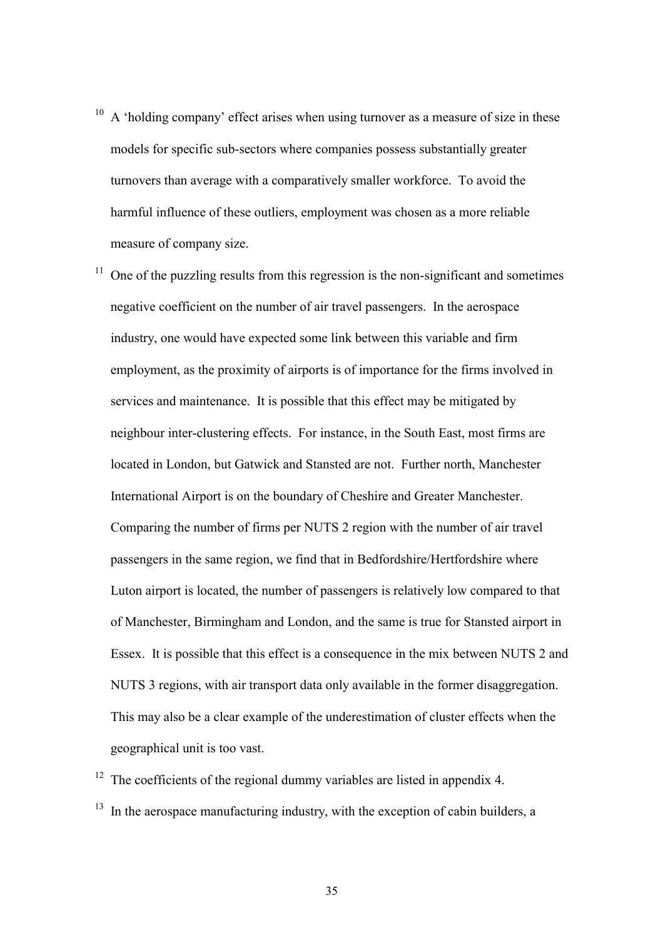- $10$  A 'holding company' effect arises when using turnover as a measure of size in these models for specific sub-sectors where companies possess substantially greater turnovers than average with a comparatively smaller workforce. To avoid the harmful influence of these outliers, employment was chosen as a more reliable measure of company size.
- $11$  One of the puzzling results from this regression is the non-significant and sometimes negative coefficient on the number of air travel passengers. In the aerospace industry, one would have expected some link between this variable and firm employment, as the proximity of airports is of importance for the firms involved in services and maintenance. It is possible that this effect may be mitigated by neighbour inter-clustering effects. For instance, in the South East, most firms are located in London, but Gatwick and Stansted are not. Further north, Manchester International Airport is on the boundary of Cheshire and Greater Manchester. Comparing the number of firms per NUTS 2 region with the number of air travel passengers in the same region, we find that in Bedfordshire/Hertfordshire where Luton airport is located, the number of passengers is relatively low compared to that of Manchester, Birmingham and London, and the same is true for Stansted airport in Essex. It is possible that this effect is a consequence in the mix between NUTS 2 and NUTS 3 regions, with air transport data only available in the former disaggregation. This may also be a clear example of the underestimation of cluster effects when the geographical unit is too vast.

 $12$  The coefficients of the regional dummy variables are listed in appendix 4.

 $13$  In the aerospace manufacturing industry, with the exception of cabin builders, a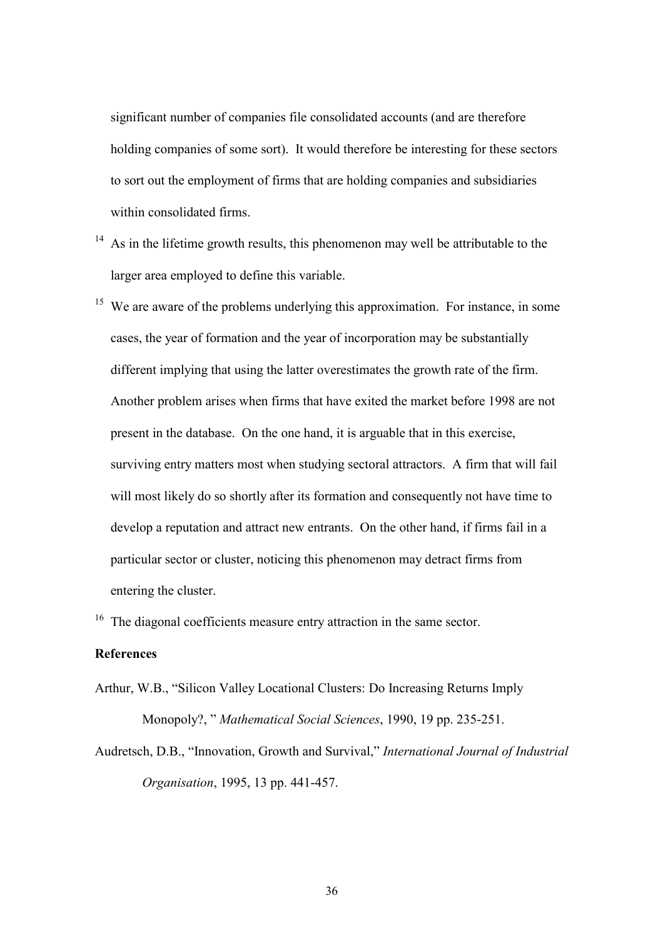significant number of companies file consolidated accounts (and are therefore holding companies of some sort). It would therefore be interesting for these sectors to sort out the employment of firms that are holding companies and subsidiaries within consolidated firms.

- <sup>14</sup> As in the lifetime growth results, this phenomenon may well be attributable to the larger area employed to define this variable.
- <sup>15</sup> We are aware of the problems underlying this approximation. For instance, in some cases, the year of formation and the year of incorporation may be substantially different implying that using the latter overestimates the growth rate of the firm. Another problem arises when firms that have exited the market before 1998 are not present in the database. On the one hand, it is arguable that in this exercise, surviving entry matters most when studying sectoral attractors. A firm that will fail will most likely do so shortly after its formation and consequently not have time to develop a reputation and attract new entrants. On the other hand, if firms fail in a particular sector or cluster, noticing this phenomenon may detract firms from entering the cluster.
- <sup>16</sup> The diagonal coefficients measure entry attraction in the same sector.

## **References**

- Arthur, W.B., "Silicon Valley Locational Clusters: Do Increasing Returns Imply Monopoly?, " *Mathematical Social Sciences*, 1990, 19 pp. 235-251.
- Audretsch, D.B., "Innovation, Growth and Survival," *International Journal of Industrial Organisation*, 1995, 13 pp. 441-457.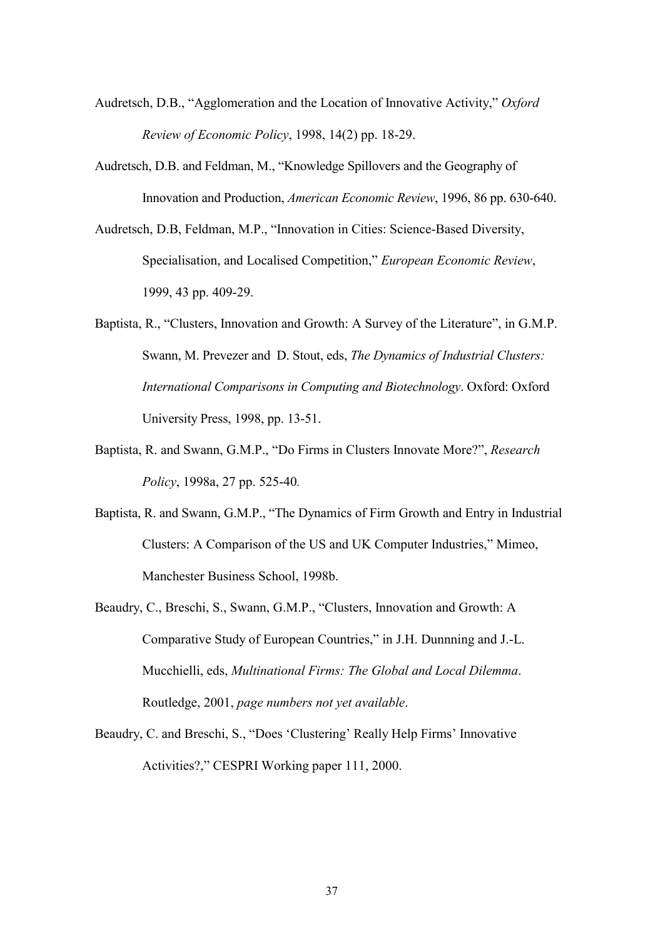- Audretsch, D.B., "Agglomeration and the Location of Innovative Activity," *Oxford Review of Economic Policy*, 1998, 14(2) pp. 18-29.
- Audretsch, D.B. and Feldman, M., "Knowledge Spillovers and the Geography of Innovation and Production, *American Economic Review*, 1996, 86 pp. 630-640.
- Audretsch, D.B, Feldman, M.P., "Innovation in Cities: Science-Based Diversity, Specialisation, and Localised Competition," *European Economic Review*, 1999, 43 pp. 409-29.
- Baptista, R., "Clusters, Innovation and Growth: A Survey of the Literature", in G.M.P. Swann, M. Prevezer and D. Stout, eds, *The Dynamics of Industrial Clusters: International Comparisons in Computing and Biotechnology*. Oxford: Oxford University Press, 1998, pp. 13-51.
- Baptista, R. and Swann, G.M.P., "Do Firms in Clusters Innovate More?", *Research Policy*, 1998a, 27 pp. 525-40*.*
- Baptista, R. and Swann, G.M.P., "The Dynamics of Firm Growth and Entry in Industrial Clusters: A Comparison of the US and UK Computer Industries," Mimeo, Manchester Business School, 1998b.
- Beaudry, C., Breschi, S., Swann, G.M.P., "Clusters, Innovation and Growth: A Comparative Study of European Countries," in J.H. Dunnning and J.-L. Mucchielli, eds, *Multinational Firms: The Global and Local Dilemma*. Routledge, 2001, *page numbers not yet available*.
- Beaudry, C. and Breschi, S., "Does 'Clustering' Really Help Firms' Innovative Activities?," CESPRI Working paper 111, 2000.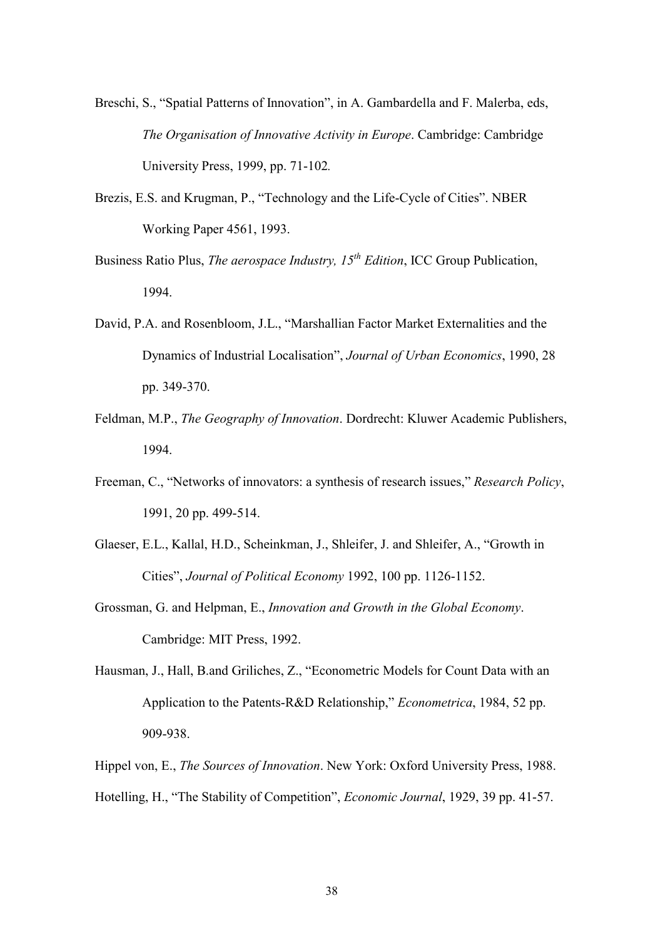- Breschi, S., "Spatial Patterns of Innovation", in A. Gambardella and F. Malerba, eds, *The Organisation of Innovative Activity in Europe*. Cambridge: Cambridge University Press, 1999, pp. 71-102*.*
- Brezis, E.S. and Krugman, P., "Technology and the Life-Cycle of Cities". NBER Working Paper 4561, 1993.
- Business Ratio Plus, *The aerospace Industry, 15th Edition*, ICC Group Publication, 1994.
- David, P.A. and Rosenbloom, J.L., "Marshallian Factor Market Externalities and the Dynamics of Industrial Localisation", *Journal of Urban Economics*, 1990, 28 pp. 349-370.
- Feldman, M.P., *The Geography of Innovation*. Dordrecht: Kluwer Academic Publishers, 1994.
- Freeman, C., "Networks of innovators: a synthesis of research issues," *Research Policy*, 1991, 20 pp. 499-514.
- Glaeser, E.L., Kallal, H.D., Scheinkman, J., Shleifer, J. and Shleifer, A., "Growth in Cities", *Journal of Political Economy* 1992, 100 pp. 1126-1152.
- Grossman, G. and Helpman, E., *Innovation and Growth in the Global Economy*. Cambridge: MIT Press, 1992.
- Hausman, J., Hall, B.and Griliches, Z., "Econometric Models for Count Data with an Application to the Patents-R&D Relationship," *Econometrica*, 1984, 52 pp. 909-938.
- Hippel von, E., *The Sources of Innovation*. New York: Oxford University Press, 1988. Hotelling, H., "The Stability of Competition", *Economic Journal*, 1929, 39 pp. 41-57.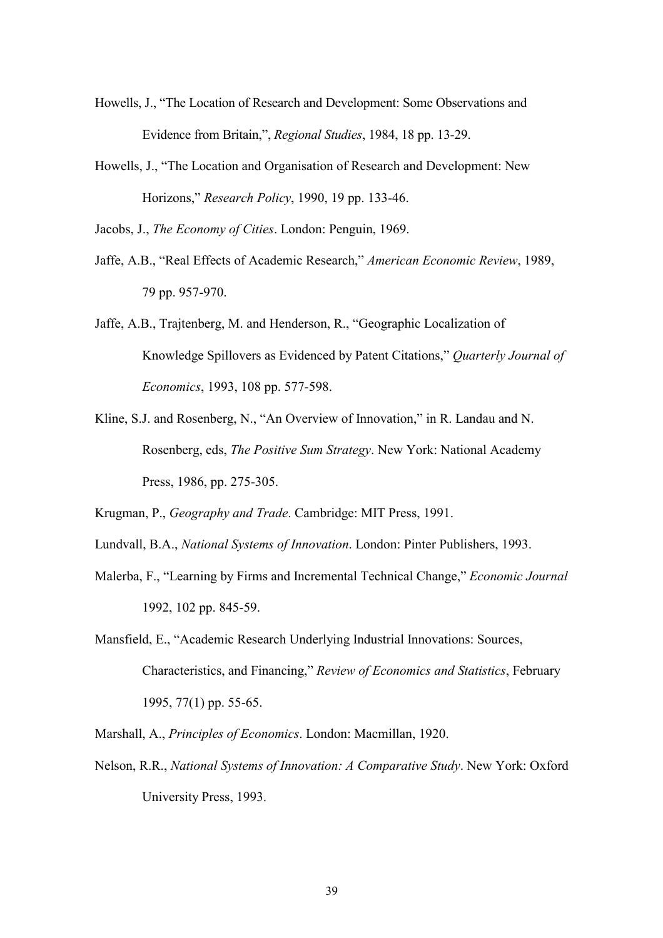- Howells, J., "The Location of Research and Development: Some Observations and Evidence from Britain,", *Regional Studies*, 1984, 18 pp. 13-29.
- Howells, J., "The Location and Organisation of Research and Development: New Horizons," *Research Policy*, 1990, 19 pp. 133-46.

Jacobs, J., *The Economy of Cities*. London: Penguin, 1969.

- Jaffe, A.B., "Real Effects of Academic Research," *American Economic Review*, 1989, 79 pp. 957-970.
- Jaffe, A.B., Trajtenberg, M. and Henderson, R., "Geographic Localization of Knowledge Spillovers as Evidenced by Patent Citations," *Quarterly Journal of Economics*, 1993, 108 pp. 577-598.
- Kline, S.J. and Rosenberg, N., "An Overview of Innovation," in R. Landau and N. Rosenberg, eds, *The Positive Sum Strategy*. New York: National Academy Press, 1986, pp. 275-305.

Krugman, P., *Geography and Trade*. Cambridge: MIT Press, 1991.

- Lundvall, B.A., *National Systems of Innovation*. London: Pinter Publishers, 1993.
- Malerba, F., "Learning by Firms and Incremental Technical Change," *Economic Journal* 1992, 102 pp. 845-59.
- Mansfield, E., "Academic Research Underlying Industrial Innovations: Sources, Characteristics, and Financing," *Review of Economics and Statistics*, February 1995, 77(1) pp. 55-65.
- Marshall, A., *Principles of Economics*. London: Macmillan, 1920.
- Nelson, R.R., *National Systems of Innovation: A Comparative Study*. New York: Oxford University Press, 1993.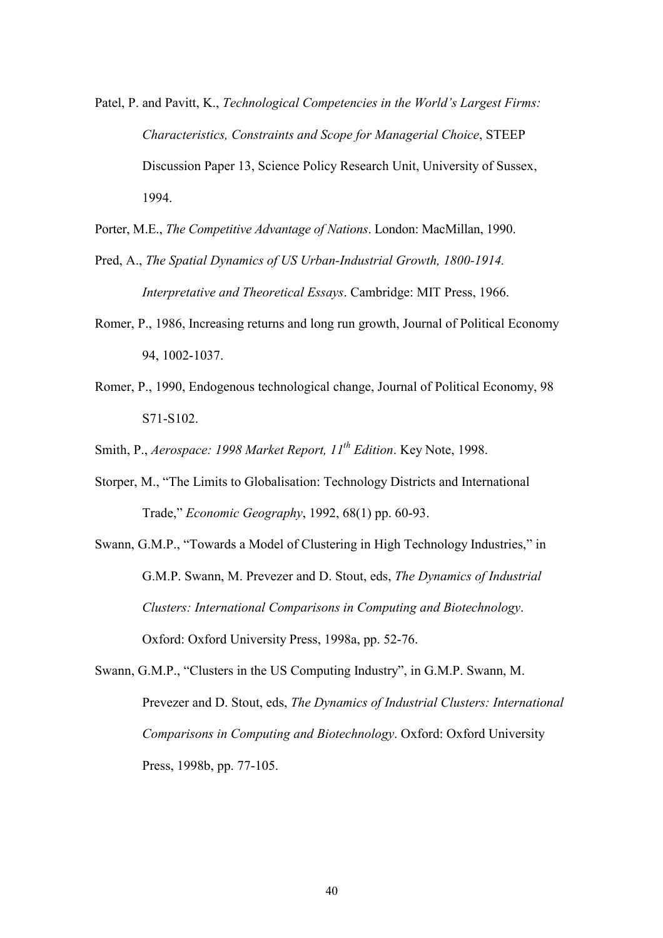- Patel, P. and Pavitt, K., *Technological Competencies in the World's Largest Firms: Characteristics, Constraints and Scope for Managerial Choice*, STEEP Discussion Paper 13, Science Policy Research Unit, University of Sussex, 1994.
- Porter, M.E., *The Competitive Advantage of Nations*. London: MacMillan, 1990.
- Pred, A., *The Spatial Dynamics of US Urban-Industrial Growth, 1800-1914. Interpretative and Theoretical Essays*. Cambridge: MIT Press, 1966.
- Romer, P., 1986, Increasing returns and long run growth, Journal of Political Economy 94, 1002-1037.
- Romer, P., 1990, Endogenous technological change, Journal of Political Economy, 98 S71-S102.
- Smith, P., *Aerospace: 1998 Market Report, 11<sup>th</sup> Edition*. Key Note, 1998.
- Storper, M., "The Limits to Globalisation: Technology Districts and International Trade," *Economic Geography*, 1992, 68(1) pp. 60-93.
- Swann, G.M.P., "Towards a Model of Clustering in High Technology Industries," in G.M.P. Swann, M. Prevezer and D. Stout, eds, *The Dynamics of Industrial Clusters: International Comparisons in Computing and Biotechnology*. Oxford: Oxford University Press, 1998a, pp. 52-76.
- Swann, G.M.P., "Clusters in the US Computing Industry", in G.M.P. Swann, M. Prevezer and D. Stout, eds, *The Dynamics of Industrial Clusters: International Comparisons in Computing and Biotechnology*. Oxford: Oxford University Press, 1998b, pp. 77-105.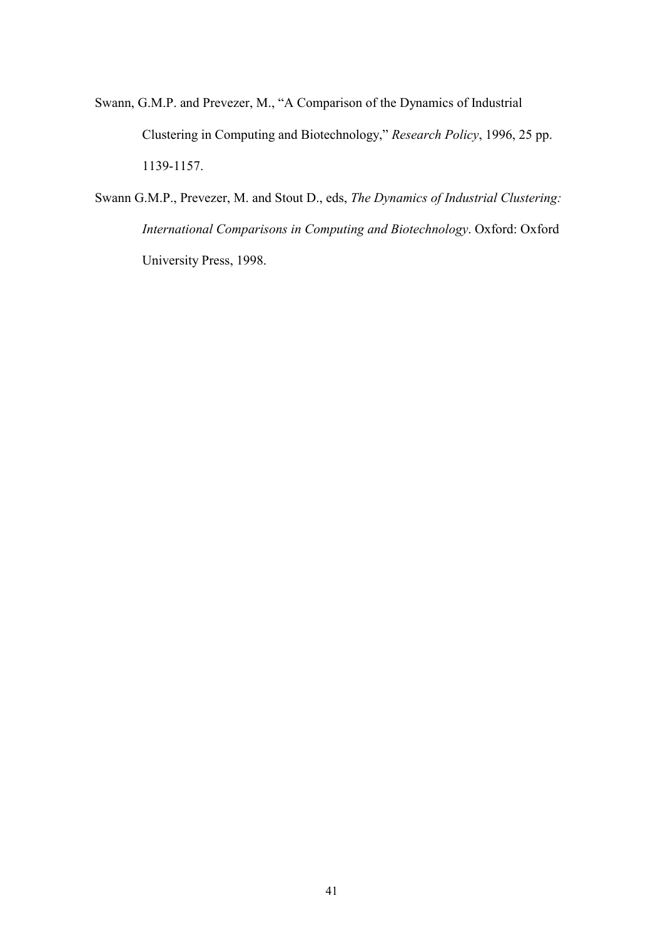Swann, G.M.P. and Prevezer, M., "A Comparison of the Dynamics of Industrial Clustering in Computing and Biotechnology," *Research Policy*, 1996, 25 pp. 1139-1157.

Swann G.M.P., Prevezer, M. and Stout D., eds, *The Dynamics of Industrial Clustering: International Comparisons in Computing and Biotechnology*. Oxford: Oxford University Press, 1998.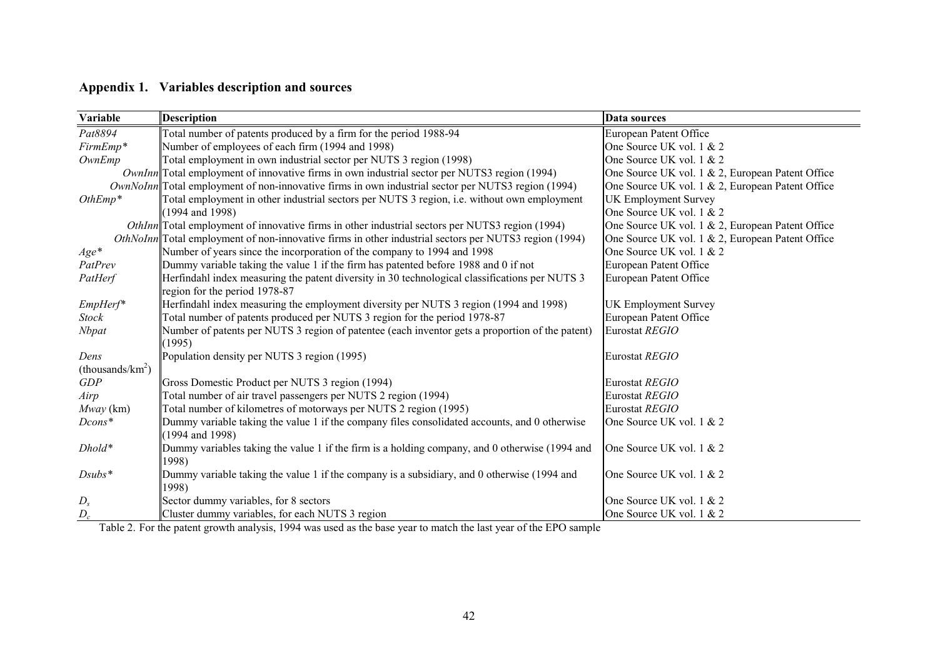## **Appendix 1. Variables description and sources**

| Variable          | <b>Description</b>                                                                                     | Data sources                                     |
|-------------------|--------------------------------------------------------------------------------------------------------|--------------------------------------------------|
| Pat8894           | Total number of patents produced by a firm for the period 1988-94                                      | European Patent Office                           |
| FirmEmp*          | Number of employees of each firm (1994 and 1998)                                                       | One Source UK vol. 1 & 2                         |
| OwnEmp            | Total employment in own industrial sector per NUTS 3 region (1998)                                     | One Source UK vol. 1 & 2                         |
|                   | OwnInn Total employment of innovative firms in own industrial sector per NUTS3 region (1994)           | One Source UK vol. 1 & 2, European Patent Office |
|                   | OwnNoInn Total employment of non-innovative firms in own industrial sector per NUTS3 region (1994)     | One Source UK vol. 1 & 2, European Patent Office |
| $OtherEmp*$       | Total employment in other industrial sectors per NUTS 3 region, i.e. without own employment            | <b>UK Employment Survey</b>                      |
|                   | $(1994$ and $1998)$                                                                                    | One Source UK vol. 1 & 2                         |
|                   | <i>OthInn</i> Total employment of innovative firms in other industrial sectors per NUTS3 region (1994) | One Source UK vol. 1 & 2, European Patent Office |
|                   | OthNoInn Total employment of non-innovative firms in other industrial sectors per NUTS3 region (1994)  | One Source UK vol. 1 & 2, European Patent Office |
| $Age*$            | Number of years since the incorporation of the company to 1994 and 1998                                | One Source UK vol. 1 & 2                         |
| PatPrev           | Dummy variable taking the value 1 if the firm has patented before 1988 and 0 if not                    | European Patent Office                           |
| PatHerf           | Herfindahl index measuring the patent diversity in 30 technological classifications per NUTS 3         | European Patent Office                           |
|                   | region for the period 1978-87                                                                          |                                                  |
| EmpHerf*          | Herfindahl index measuring the employment diversity per NUTS 3 region (1994 and 1998)                  | <b>UK Employment Survey</b>                      |
| <b>Stock</b>      | Total number of patents produced per NUTS 3 region for the period 1978-87                              | European Patent Office                           |
| <b>N</b> bpat     | Number of patents per NUTS 3 region of patentee (each inventor gets a proportion of the patent)        | Eurostat REGIO                                   |
|                   | (1995)                                                                                                 |                                                  |
| Dens              | Population density per NUTS 3 region (1995)                                                            | Eurostat REGIO                                   |
| $-thousands/km2)$ |                                                                                                        |                                                  |
| GDP               | Gross Domestic Product per NUTS 3 region (1994)                                                        | Eurostat REGIO                                   |
| Airp              | Total number of air travel passengers per NUTS 2 region (1994)                                         | Eurostat REGIO                                   |
| $Mway$ (km)       | Total number of kilometres of motorways per NUTS 2 region (1995)                                       | Eurostat REGIO                                   |
| $Dcons*$          | Dummy variable taking the value 1 if the company files consolidated accounts, and 0 otherwise          | One Source UK vol. 1 & 2                         |
|                   | $(1994$ and $1998)$                                                                                    |                                                  |
| $Dhold*$          | Dummy variables taking the value 1 if the firm is a holding company, and 0 otherwise (1994 and         | One Source UK vol. 1 & 2                         |
|                   | 1998)                                                                                                  |                                                  |
| $D_{subs}$ *      | Dummy variable taking the value 1 if the company is a subsidiary, and 0 otherwise (1994 and            | One Source UK vol. 1 & 2                         |
|                   | 1998)                                                                                                  |                                                  |
| $D_s$             | Sector dummy variables, for 8 sectors                                                                  | One Source UK vol. 1 & 2                         |
| $D_c$             | Cluster dummy variables, for each NUTS 3 region                                                        | One Source UK vol. 1 & 2                         |

Table 2. For the patent growth analysis, 1994 was used as the base year to match the last year of the EPO sample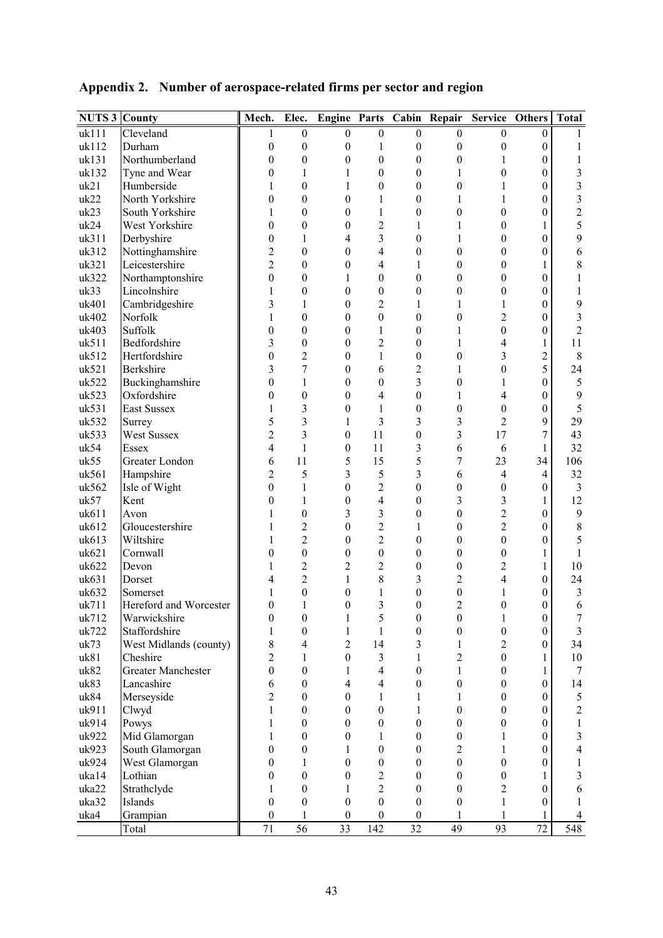| <b>NUTS 3 County</b> |                           | Mech.            | Elec.            | <b>Engine Parts</b> |                         | Cabin                   | Repair           | Service Others          |                  | <b>Total</b>            |
|----------------------|---------------------------|------------------|------------------|---------------------|-------------------------|-------------------------|------------------|-------------------------|------------------|-------------------------|
| uk111                | Cleveland                 | 1                | $\boldsymbol{0}$ | $\boldsymbol{0}$    | $\boldsymbol{0}$        | $\boldsymbol{0}$        | $\boldsymbol{0}$ | $\boldsymbol{0}$        | $\boldsymbol{0}$ | 1                       |
| uk112                | Durham                    | $\boldsymbol{0}$ | $\boldsymbol{0}$ | $\boldsymbol{0}$    | $\mathbf{1}$            | $\boldsymbol{0}$        | $\boldsymbol{0}$ | $\boldsymbol{0}$        | $\theta$         | 1                       |
| uk131                | Northumberland            | $\boldsymbol{0}$ | $\boldsymbol{0}$ | $\boldsymbol{0}$    | $\boldsymbol{0}$        | $\boldsymbol{0}$        | $\boldsymbol{0}$ | 1                       | $\theta$         | 1                       |
| uk132                | Tyne and Wear             | $\boldsymbol{0}$ | 1                | 1                   | $\boldsymbol{0}$        | $\boldsymbol{0}$        | 1                | $\boldsymbol{0}$        | $\theta$         | 3                       |
| uk21                 | Humberside                | 1                | $\boldsymbol{0}$ | 1                   | $\boldsymbol{0}$        | $\boldsymbol{0}$        | $\boldsymbol{0}$ | 1                       | $\theta$         | 3                       |
| uk22                 | North Yorkshire           | $\overline{0}$   | $\boldsymbol{0}$ | $\boldsymbol{0}$    | 1                       | $\boldsymbol{0}$        | 1                | 1                       | 0                | 3                       |
| uk23                 | South Yorkshire           | 1                | $\boldsymbol{0}$ | $\boldsymbol{0}$    | $\mathbf{1}$            | $\boldsymbol{0}$        | $\boldsymbol{0}$ | $\mathbf{0}$            | 0                | $\overline{c}$          |
| uk24                 | West Yorkshire            | $\overline{0}$   | $\boldsymbol{0}$ | $\boldsymbol{0}$    | $\overline{c}$          | 1                       | 1                | 0                       | 1                | 5                       |
| uk311                | Derbyshire                | $\boldsymbol{0}$ | 1                | 4                   | 3                       | $\boldsymbol{0}$        | 1                | $\boldsymbol{0}$        | $\overline{0}$   | 9                       |
| uk312                | Nottinghamshire           | $\overline{c}$   | $\boldsymbol{0}$ | $\boldsymbol{0}$    | $\overline{4}$          | $\boldsymbol{0}$        | $\boldsymbol{0}$ | 0                       | $\theta$         | 6                       |
| uk321                | Leicestershire            | $\overline{c}$   | $\boldsymbol{0}$ | $\boldsymbol{0}$    | 4                       | 1                       | $\boldsymbol{0}$ | $\theta$                | 1                | 8                       |
| uk322                | Northamptonshire          | $\boldsymbol{0}$ | $\boldsymbol{0}$ | 1                   | $\boldsymbol{0}$        | $\boldsymbol{0}$        | $\boldsymbol{0}$ | $\boldsymbol{0}$        | $\theta$         | $\mathbf{1}$            |
| uk33                 | Lincolnshire              | 1                | $\boldsymbol{0}$ | $\mathbf{0}$        | $\boldsymbol{0}$        | $\boldsymbol{0}$        | $\boldsymbol{0}$ | $\boldsymbol{0}$        | $\theta$         | $\mathbf{1}$            |
| uk401                | Cambridgeshire            | 3                | 1                | $\boldsymbol{0}$    | $\overline{c}$          | 1                       | 1                | 1                       | $\theta$         | 9                       |
| uk402                | Norfolk                   | 1                | $\boldsymbol{0}$ | $\boldsymbol{0}$    | $\boldsymbol{0}$        | $\boldsymbol{0}$        | $\boldsymbol{0}$ | $\overline{c}$          | $\theta$         | $\overline{\mathbf{3}}$ |
| uk403                | Suffolk                   | $\boldsymbol{0}$ | $\boldsymbol{0}$ | $\boldsymbol{0}$    | $\mathbf{1}$            | $\boldsymbol{0}$        | $\mathbf{1}$     | $\mathbf{0}$            | $\theta$         | $\overline{2}$          |
| uk511                | Bedfordshire              | 3                | $\boldsymbol{0}$ | $\boldsymbol{0}$    | $\overline{c}$          | $\boldsymbol{0}$        | $\mathbf{1}$     | 4                       | 1                | 11                      |
| uk512                | Hertfordshire             | $\boldsymbol{0}$ | $\overline{2}$   | $\boldsymbol{0}$    | $\mathbf{1}$            | $\boldsymbol{0}$        | $\boldsymbol{0}$ | 3                       | $\overline{c}$   | $\,8\,$                 |
| uk521                | <b>Berkshire</b>          | 3                | $\overline{7}$   | $\boldsymbol{0}$    | 6                       | $\overline{c}$          | $\mathbf{1}$     | $\boldsymbol{0}$        | 5                | 24                      |
| uk522                | Buckinghamshire           | $\boldsymbol{0}$ | $\mathbf{1}$     | $\boldsymbol{0}$    | $\boldsymbol{0}$        | 3                       | $\boldsymbol{0}$ | 1                       | $\theta$         | $\sqrt{5}$              |
| uk523                | Oxfordshire               | $\boldsymbol{0}$ | $\boldsymbol{0}$ | $\boldsymbol{0}$    | 4                       | $\boldsymbol{0}$        | 1                | 4                       | $\theta$         | 9                       |
| uk531                | <b>East Sussex</b>        | 1                | 3                | $\boldsymbol{0}$    | $\mathbf{1}$            | $\boldsymbol{0}$        | $\boldsymbol{0}$ | $\boldsymbol{0}$        | $\boldsymbol{0}$ | 5                       |
| uk532                |                           | 5                | 3                |                     | $\overline{\mathbf{3}}$ | 3                       | 3                | $\overline{c}$          | 9                | 29                      |
|                      | Surrey                    |                  | 3                | $\mathbf{1}$        |                         |                         |                  |                         |                  |                         |
| uk533                | West Sussex               | $\overline{c}$   |                  | $\boldsymbol{0}$    | 11                      | $\boldsymbol{0}$        | 3                | 17                      | 7                | 43<br>32                |
| uk54                 | Essex                     | 4                | $\mathbf{1}$     | $\boldsymbol{0}$    | 11                      | 3                       | 6                | 6                       | 1                |                         |
| uk55                 | Greater London            | 6                | 11               | 5                   | 15                      | 5                       | 7                | 23                      | 34               | 106                     |
| uk561                | Hampshire                 | $\overline{c}$   | 5                | 3                   | 5                       | $\overline{\mathbf{3}}$ | 6                | $\overline{4}$          | 4                | 32                      |
| uk562                | Isle of Wight             | $\boldsymbol{0}$ | $\mathbf{1}$     | $\boldsymbol{0}$    | $\overline{c}$          | $\boldsymbol{0}$        | $\boldsymbol{0}$ | $\boldsymbol{0}$        | $\theta$         | $\mathfrak{Z}$          |
| uk57                 | Kent                      | $\overline{0}$   | 1                | $\boldsymbol{0}$    | $\overline{4}$          | $\boldsymbol{0}$        | 3                | 3                       | 1                | 12                      |
| uk611                | Avon                      | 1                | $\boldsymbol{0}$ | 3                   | 3                       | $\boldsymbol{0}$        | $\boldsymbol{0}$ | $\overline{\mathbf{c}}$ | 0                | 9                       |
| uk612                | Gloucestershire           |                  | $\overline{2}$   | $\boldsymbol{0}$    | $\overline{c}$          | $\mathbf{1}$            | $\boldsymbol{0}$ | $\overline{c}$          | 0                | $\,$ $\,$               |
| uk613                | Wiltshire                 |                  | $\overline{c}$   | $\boldsymbol{0}$    | $\overline{c}$          | $\boldsymbol{0}$        | 0                | $\boldsymbol{0}$        | $\boldsymbol{0}$ | 5                       |
| uk621                | Cornwall                  | $\overline{0}$   | $\boldsymbol{0}$ | $\boldsymbol{0}$    | $\boldsymbol{0}$        | $\boldsymbol{0}$        | 0                | $\boldsymbol{0}$        | 1                | 1                       |
| uk622                | Devon                     |                  | $\overline{2}$   | $\overline{2}$      | $\overline{2}$          | $\boldsymbol{0}$        | $\boldsymbol{0}$ | 2                       | 1                | 10                      |
| uk631                | Dorset                    | 4                | $\overline{c}$   | $\mathbf{1}$        | 8                       | 3                       | $\overline{c}$   | 4                       | 0                | 24                      |
| uk632                | Somerset                  |                  | $\boldsymbol{0}$ | $\boldsymbol{0}$    | $\mathbf{1}$            | 0                       | $\boldsymbol{0}$ | 1                       | 0                | $\mathfrak{Z}$          |
| uk711                | Hereford and Worcester    | $\boldsymbol{0}$ | 1                | $\boldsymbol{0}$    | 3                       | 0                       | $\overline{c}$   | $\boldsymbol{0}$        | $\boldsymbol{0}$ | 6                       |
| uk712                | Warwickshire              | $\boldsymbol{0}$ | $\boldsymbol{0}$ | $\mathbf{1}$        | 5                       | $\boldsymbol{0}$        | $\boldsymbol{0}$ | 1                       | $\boldsymbol{0}$ | $\tau$                  |
| uk722                | Staffordshire             | 1                | $\boldsymbol{0}$ | $\mathbf{1}$        | $\mathbf{1}$            | $\boldsymbol{0}$        | $\boldsymbol{0}$ | $\boldsymbol{0}$        | $\boldsymbol{0}$ | 3                       |
| uk73                 | West Midlands (county)    | 8                | 4                | $\overline{2}$      | 14                      | 3                       | 1                | 2                       | $\theta$         | 34                      |
| uk81                 | Cheshire                  | $\overline{c}$   | 1                | $\boldsymbol{0}$    | 3                       | 1                       | $\overline{c}$   | $\boldsymbol{0}$        | 1                | $10\,$                  |
| uk82                 | <b>Greater Manchester</b> | $\boldsymbol{0}$ | $\boldsymbol{0}$ | 1                   | $\overline{4}$          | $\boldsymbol{0}$        | 1                | 0                       | 1                | 7                       |
| uk83                 | Lancashire                | 6                | $\boldsymbol{0}$ | $\overline{4}$      | $\overline{4}$          | $\boldsymbol{0}$        | $\boldsymbol{0}$ | 0                       | $\theta$         | 14                      |
| uk84                 | Merseyside                | $\overline{c}$   | $\boldsymbol{0}$ | $\boldsymbol{0}$    | $\mathbf{1}$            | 1                       | 1                | $\boldsymbol{0}$        | 0                | $\sqrt{5}$              |
| uk911                | Clwyd                     | $\mathbf{1}$     | $\boldsymbol{0}$ | $\boldsymbol{0}$    | $\boldsymbol{0}$        | 1                       | $\boldsymbol{0}$ | 0                       | $\theta$         | $\overline{c}$          |
| uk914                | Powys                     | 1                | $\boldsymbol{0}$ | $\boldsymbol{0}$    | $\boldsymbol{0}$        | $\boldsymbol{0}$        | $\boldsymbol{0}$ | 0                       | $\theta$         | $\mathbf{1}$            |
| uk922                | Mid Glamorgan             | 1                | $\boldsymbol{0}$ | $\boldsymbol{0}$    | $\mathbf{1}$            | $\boldsymbol{0}$        | $\boldsymbol{0}$ | 1                       | $\theta$         | $\mathfrak{Z}$          |
| uk923                | South Glamorgan           | 0                | $\boldsymbol{0}$ | 1                   | $\boldsymbol{0}$        | $\boldsymbol{0}$        | $\overline{c}$   | 1                       | $\boldsymbol{0}$ | $\overline{\mathbf{4}}$ |
| uk924                | West Glamorgan            | 0                | 1                | $\boldsymbol{0}$    | $\boldsymbol{0}$        | $\boldsymbol{0}$        | $\boldsymbol{0}$ | $\boldsymbol{0}$        | $\boldsymbol{0}$ | $\mathbf{1}$            |
| uka14                | Lothian                   | 0                | $\boldsymbol{0}$ | $\boldsymbol{0}$    | $\overline{c}$          | $\boldsymbol{0}$        | $\boldsymbol{0}$ | $\boldsymbol{0}$        | 1                | $\mathfrak{Z}$          |
| uka22                | Strathclyde               | 1                | $\boldsymbol{0}$ | 1                   | $\overline{c}$          | $\boldsymbol{0}$        | $\boldsymbol{0}$ | $\overline{c}$          | $\boldsymbol{0}$ | $\boldsymbol{6}$        |
| uka32                | Islands                   | $\boldsymbol{0}$ | $\boldsymbol{0}$ | $\boldsymbol{0}$    | $\boldsymbol{0}$        | $\boldsymbol{0}$        | $\boldsymbol{0}$ | 1                       | $\theta$         | $\mathbf{1}$            |
| uka4                 | Grampian                  | $\boldsymbol{0}$ | 1                | $\boldsymbol{0}$    | $\boldsymbol{0}$        | $\boldsymbol{0}$        | 1                | 1                       |                  | $\overline{4}$          |
|                      | Total                     | 71               | 56               | 33                  | 142                     | 32                      | 49               | 93                      | 72               | 548                     |

**Appendix 2. Number of aerospace-related firms per sector and region**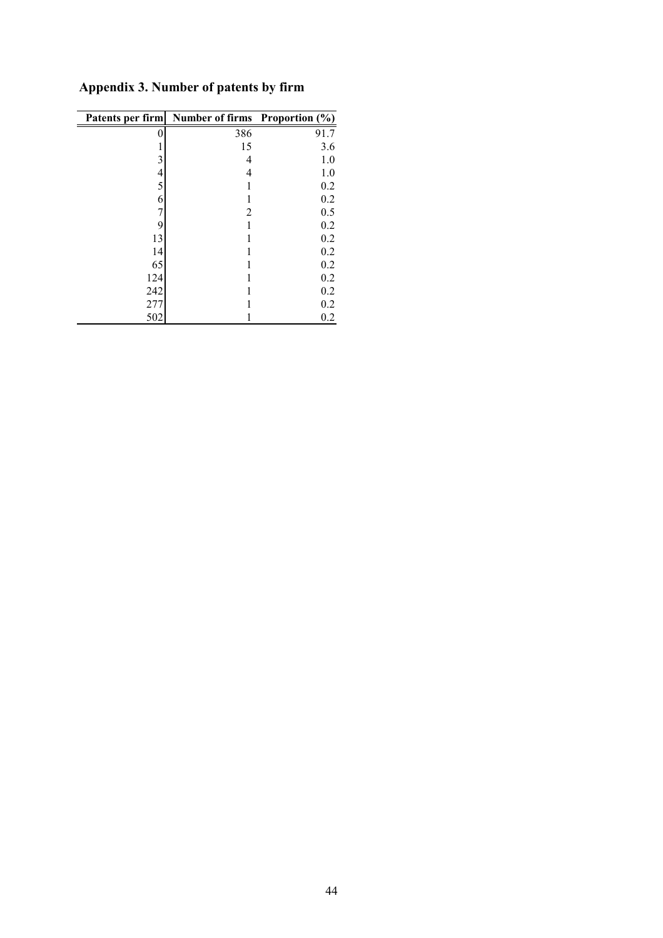|     | Patents per firm Number of firms Proportion (%) |      |
|-----|-------------------------------------------------|------|
| 0   | 386                                             | 91.7 |
|     | 15                                              | 3.6  |
| 3   |                                                 | 1.0  |
| 4   | 4                                               | 1.0  |
| 5   |                                                 | 0.2  |
| 6   |                                                 | 0.2  |
|     | 2                                               | 0.5  |
| 9   |                                                 | 0.2  |
| 13  |                                                 | 0.2  |
| 14  |                                                 | 0.2  |
| 65  |                                                 | 0.2  |
| 124 |                                                 | 0.2  |
| 242 |                                                 | 0.2  |
| 277 |                                                 | 0.2  |
| 502 |                                                 | 0.2  |

**Appendix 3. Number of patents by firm**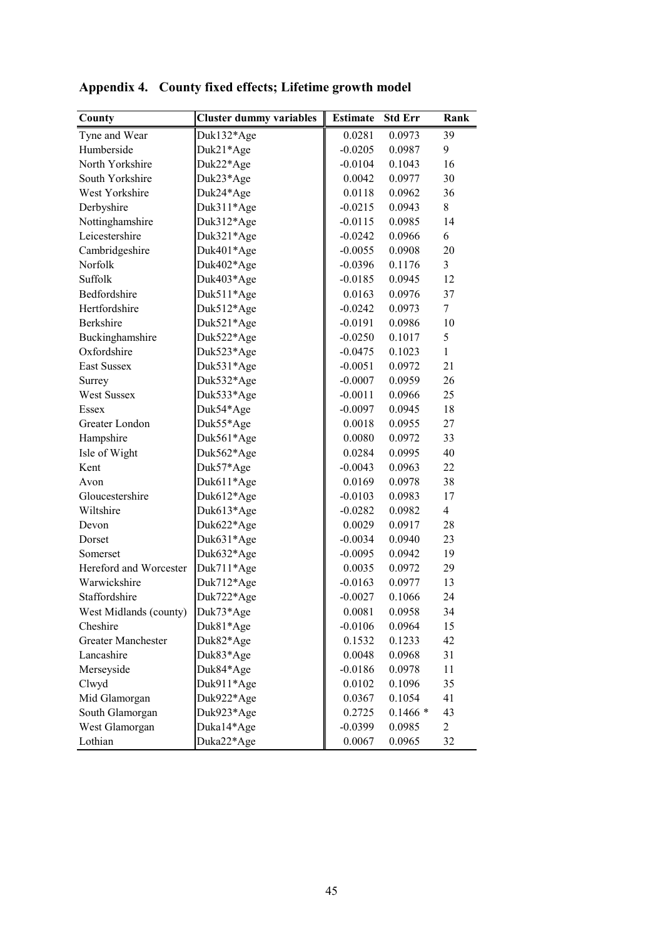| County                 | <b>Cluster dummy variables</b> | <b>Estimate</b> | <b>Std Err</b> | Rank           |
|------------------------|--------------------------------|-----------------|----------------|----------------|
| Tyne and Wear          | Duk132*Age                     | 0.0281          | 0.0973         | 39             |
| Humberside             | Duk21*Age                      | $-0.0205$       | 0.0987         | 9              |
| North Yorkshire        | Duk22*Age                      | $-0.0104$       | 0.1043         | 16             |
| South Yorkshire        | Duk23*Age                      | 0.0042          | 0.0977         | 30             |
| West Yorkshire         | Duk24*Age                      | 0.0118          | 0.0962         | 36             |
| Derbyshire             | Duk311*Age                     | $-0.0215$       | 0.0943         | 8              |
| Nottinghamshire        | Duk312*Age                     | $-0.0115$       | 0.0985         | 14             |
| Leicestershire         | Duk321*Age                     | $-0.0242$       | 0.0966         | 6              |
| Cambridgeshire         | Duk401*Age                     | $-0.0055$       | 0.0908         | 20             |
| Norfolk                | Duk402*Age                     | $-0.0396$       | 0.1176         | $\overline{3}$ |
| Suffolk                | Duk403*Age                     | $-0.0185$       | 0.0945         | 12             |
| Bedfordshire           | Duk511*Age                     | 0.0163          | 0.0976         | 37             |
| Hertfordshire          | Duk512*Age                     | $-0.0242$       | 0.0973         | 7              |
| Berkshire              | Duk521*Age                     | $-0.0191$       | 0.0986         | 10             |
| Buckinghamshire        | Duk522*Age                     | $-0.0250$       | 0.1017         | 5              |
| Oxfordshire            | Duk523*Age                     | $-0.0475$       | 0.1023         | $\mathbf{1}$   |
| <b>East Sussex</b>     | Duk531*Age                     | $-0.0051$       | 0.0972         | 21             |
| Surrey                 | Duk532*Age                     | $-0.0007$       | 0.0959         | 26             |
| <b>West Sussex</b>     | Duk533*Age                     | $-0.0011$       | 0.0966         | 25             |
| Essex                  | Duk54*Age                      | $-0.0097$       | 0.0945         | 18             |
| Greater London         | Duk55*Age                      | 0.0018          | 0.0955         | 27             |
| Hampshire              | Duk561*Age                     | 0.0080          | 0.0972         | 33             |
| Isle of Wight          | Duk562*Age                     | 0.0284          | 0.0995         | 40             |
| Kent                   | Duk57*Age                      | $-0.0043$       | 0.0963         | 22             |
| Avon                   | Duk611*Age                     | 0.0169          | 0.0978         | 38             |
| Gloucestershire        | Duk612*Age                     | $-0.0103$       | 0.0983         | 17             |
| Wiltshire              | Duk613*Age                     | $-0.0282$       | 0.0982         | $\overline{4}$ |
| Devon                  | Duk622*Age                     | 0.0029          | 0.0917         | 28             |
| Dorset                 | Duk631*Age                     | $-0.0034$       | 0.0940         | 23             |
| Somerset               | Duk632*Age                     | $-0.0095$       | 0.0942         | 19             |
| Hereford and Worcester | Duk711*Age                     | 0.0035          | 0.0972         | 29             |
| Warwickshire           | Duk712*Age                     | $-0.0163$       | 0.0977         | 13             |
| Staffordshire          | Duk722*Age                     | $-0.0027$       | 0.1066         | 24             |
| West Midlands (county) | Duk73*Age                      | 0.0081          | 0.0958         | 34             |
| Cheshire               | Duk81*Age                      | $-0.0106$       | 0.0964         | 15             |
| Greater Manchester     | Duk82*Age                      | 0.1532          | 0.1233         | 42             |
| Lancashire             | Duk83*Age                      | 0.0048          | 0.0968         | 31             |
| Merseyside             | Duk84*Age                      | $-0.0186$       | 0.0978         | 11             |
| Clwyd                  | Duk911*Age                     | 0.0102          | 0.1096         | 35             |
| Mid Glamorgan          | Duk922*Age                     | 0.0367          | 0.1054         | 41             |
| South Glamorgan        | Duk923*Age                     | 0.2725          | $0.1466*$      | 43             |
| West Glamorgan         | Duka14*Age                     | $-0.0399$       | 0.0985         | $\overline{2}$ |
| Lothian                | Duka22*Age                     | 0.0067          | 0.0965         | 32             |

# **Appendix 4. County fixed effects; Lifetime growth model**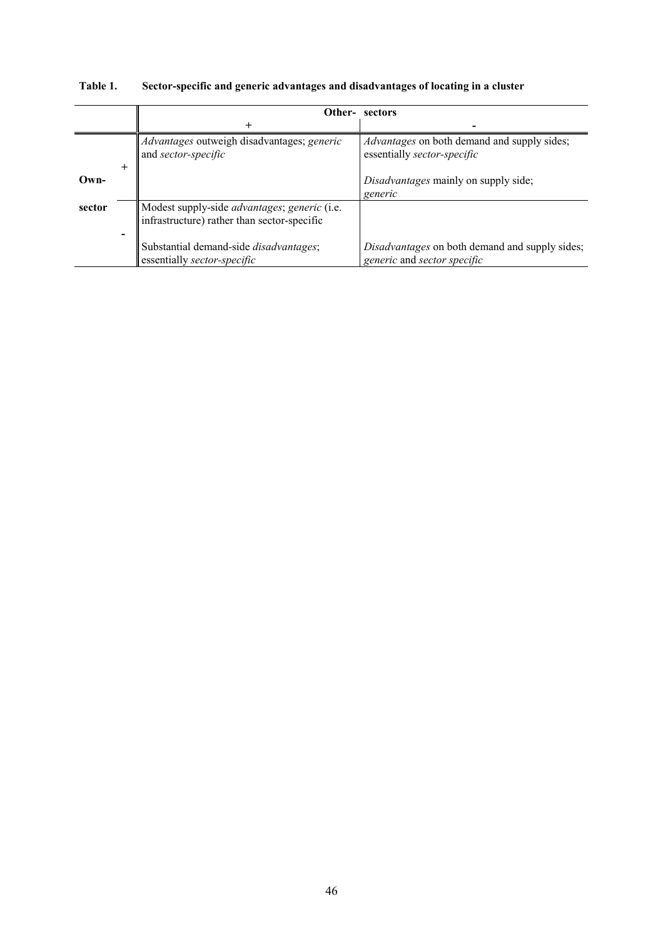|        |                          |                                                                                             | Other- sectors                                                                    |
|--------|--------------------------|---------------------------------------------------------------------------------------------|-----------------------------------------------------------------------------------|
|        |                          | $^+$                                                                                        |                                                                                   |
|        |                          | Advantages outweigh disadvantages; generic<br>and sector-specific                           | <i>Advantages</i> on both demand and supply sides;<br>essentially sector-specific |
| Own-   | $^+$                     |                                                                                             | Disadvantages mainly on supply side;<br>generic                                   |
| sector | $\overline{\phantom{a}}$ | Modest supply-side advantages; generic (i.e.<br>infrastructure) rather than sector-specific |                                                                                   |
|        |                          | Substantial demand-side <i>disadvantages</i> ;<br>essentially sector-specific               | Disadvantages on both demand and supply sides;<br>generic and sector specific     |

## **Table 1. Sector-specific and generic advantages and disadvantages of locating in a cluster**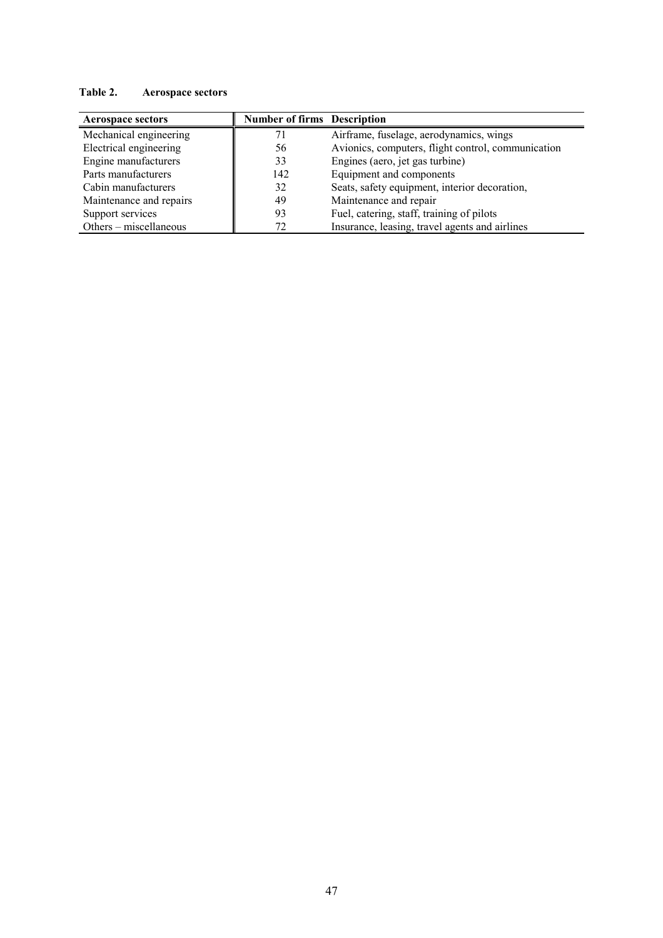### **Table 2. Aerospace sectors**

| <b>Aerospace sectors</b>       | <b>Number of firms Description</b> |                                                    |
|--------------------------------|------------------------------------|----------------------------------------------------|
| Mechanical engineering         | 71                                 | Airframe, fuselage, aerodynamics, wings            |
| Electrical engineering         | 56                                 | Avionics, computers, flight control, communication |
| Engine manufacturers           | 33                                 | Engines (aero, jet gas turbine)                    |
| Parts manufacturers            | 142                                | Equipment and components                           |
| Cabin manufacturers            | 32                                 | Seats, safety equipment, interior decoration,      |
| Maintenance and repairs        | 49                                 | Maintenance and repair                             |
| Support services               | 93                                 | Fuel, catering, staff, training of pilots          |
| $Others -{\rm{miscellaneous}}$ | 72                                 | Insurance, leasing, travel agents and airlines     |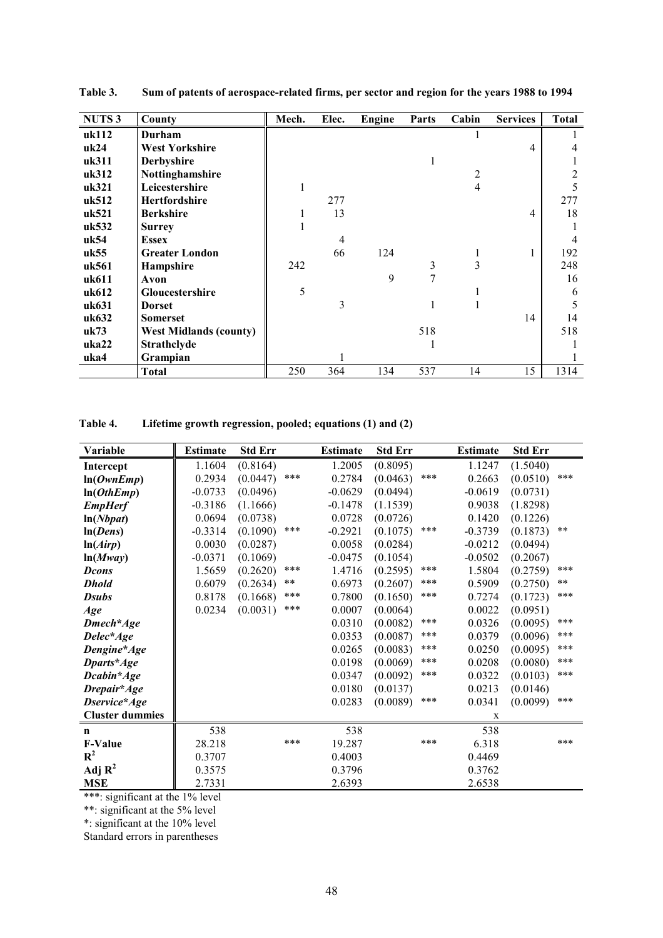| <b>NUTS 3</b> | County                        | Mech. | Elec.          | <b>Engine</b> | Parts | Cabin | <b>Services</b> | <b>Total</b> |
|---------------|-------------------------------|-------|----------------|---------------|-------|-------|-----------------|--------------|
| uk112         | Durham                        |       |                |               |       |       |                 |              |
| uk24          | <b>West Yorkshire</b>         |       |                |               |       |       | 4               |              |
| uk311         | <b>Derbyshire</b>             |       |                |               |       |       |                 |              |
| uk312         | Nottinghamshire               |       |                |               |       | 2     |                 |              |
| uk321         | Leicestershire                |       |                |               |       |       |                 |              |
| uk512         | <b>Hertfordshire</b>          |       | 277            |               |       |       |                 | 277          |
| uk521         | <b>Berkshire</b>              |       | 13             |               |       |       | 4               | 18           |
| uk532         | <b>Surrey</b>                 |       |                |               |       |       |                 |              |
| uk54          | <b>Essex</b>                  |       | 4              |               |       |       |                 | 4            |
| uk55          | <b>Greater London</b>         |       | 66             | 124           |       |       |                 | 192          |
| uk561         | Hampshire                     | 242   |                |               | 3     | 3     |                 | 248          |
| uk611         | Avon                          |       |                | 9             | 7     |       |                 | 16           |
| uk612         | <b>Gloucestershire</b>        | 5     |                |               |       |       |                 | 6            |
| uk631         | <b>Dorset</b>                 |       | $\overline{3}$ |               |       |       |                 | 5            |
| uk632         | <b>Somerset</b>               |       |                |               |       |       | 14              | 14           |
| uk73          | <b>West Midlands (county)</b> |       |                |               | 518   |       |                 | 518          |
| uka22         | <b>Strathclyde</b>            |       |                |               |       |       |                 |              |
| uka4          | Grampian                      |       |                |               |       |       |                 |              |
|               | Total                         | 250   | 364            | 134           | 537   | 14    | 15              | 1314         |

**Table 3. Sum of patents of aerospace-related firms, per sector and region for the years 1988 to 1994** 

**Table 4. Lifetime growth regression, pooled; equations (1) and (2)** 

| Variable               | <b>Estimate</b> | <b>Std Err</b> |       | <b>Estimate</b> | <b>Std Err</b> |       | <b>Estimate</b> | <b>Std Err</b> |       |
|------------------------|-----------------|----------------|-------|-----------------|----------------|-------|-----------------|----------------|-------|
| Intercept              | 1.1604          | (0.8164)       |       | 1.2005          | (0.8095)       |       | 1.1247          | (1.5040)       |       |
| ln(OwnEmp)             | 0.2934          | (0.0447)       | ***   | 0.2784          | (0.0463)       | $***$ | 0.2663          | (0.0510)       | $***$ |
| ln(OthEmp)             | $-0.0733$       | (0.0496)       |       | $-0.0629$       | (0.0494)       |       | $-0.0619$       | (0.0731)       |       |
| <b>EmpHerf</b>         | $-0.3186$       | (1.1666)       |       | $-0.1478$       | (1.1539)       |       | 0.9038          | (1.8298)       |       |
| ln(Nbpat)              | 0.0694          | (0.0738)       |       | 0.0728          | (0.0726)       |       | 0.1420          | (0.1226)       |       |
| ln(Dens)               | $-0.3314$       | (0.1090)       | ***   | $-0.2921$       | (0.1075)       | ***   | $-0.3739$       | (0.1873)       | $***$ |
| ln(Airp)               | 0.0030          | (0.0287)       |       | 0.0058          | (0.0284)       |       | $-0.0212$       | (0.0494)       |       |
| ln(Mway)               | $-0.0371$       | (0.1069)       |       | $-0.0475$       | (0.1054)       |       | $-0.0502$       | (0.2067)       |       |
| <b>Dcons</b>           | 1.5659          | (0.2620)       | $***$ | 1.4716          | (0.2595)       | ***   | 1.5804          | (0.2759)       | $***$ |
| <b>Dhold</b>           | 0.6079          | (0.2634)       | $***$ | 0.6973          | (0.2607)       | ***   | 0.5909          | (0.2750)       | $***$ |
| <b>Dsubs</b>           | 0.8178          | (0.1668)       | ***   | 0.7800          | (0.1650)       | ***   | 0.7274          | (0.1723)       | ***   |
| Age                    | 0.0234          | (0.0031)       | ***   | 0.0007          | (0.0064)       |       | 0.0022          | (0.0951)       |       |
| Dmech*Age              |                 |                |       | 0.0310          | (0.0082)       | ***   | 0.0326          | (0.0095)       | ***   |
| Delec*Age              |                 |                |       | 0.0353          | (0.0087)       | ***   | 0.0379          | (0.0096)       | ***   |
| Dengine*Age            |                 |                |       | 0.0265          | (0.0083)       | ***   | 0.0250          | (0.0095)       | ***   |
| Dparts*Age             |                 |                |       | 0.0198          | (0.0069)       | ***   | 0.0208          | (0.0080)       | ***   |
| Dcabin*Age             |                 |                |       | 0.0347          | (0.0092)       | ***   | 0.0322          | (0.0103)       | ***   |
| Drepair*Age            |                 |                |       | 0.0180          | (0.0137)       |       | 0.0213          | (0.0146)       |       |
| Dservice*Age           |                 |                |       | 0.0283          | (0.0089)       | ***   | 0.0341          | (0.0099)       | $***$ |
| <b>Cluster dummies</b> |                 |                |       |                 |                |       | X               |                |       |
| $\mathbf n$            | 538             |                |       | 538             |                |       | 538             |                |       |
| <b>F-Value</b>         | 28.218          |                | ***   | 19.287          |                | ***   | 6.318           |                | ***   |
| $\mathbf{R}^2$         | 0.3707          |                |       | 0.4003          |                |       | 0.4469          |                |       |
| Adj $\mathbf{R}^2$     | 0.3575          |                |       | 0.3796          |                |       | 0.3762          |                |       |
| <b>MSE</b>             | 2.7331          |                |       | 2.6393          |                |       | 2.6538          |                |       |

\*\*: significant at the 5% level

\*: significant at the 10% level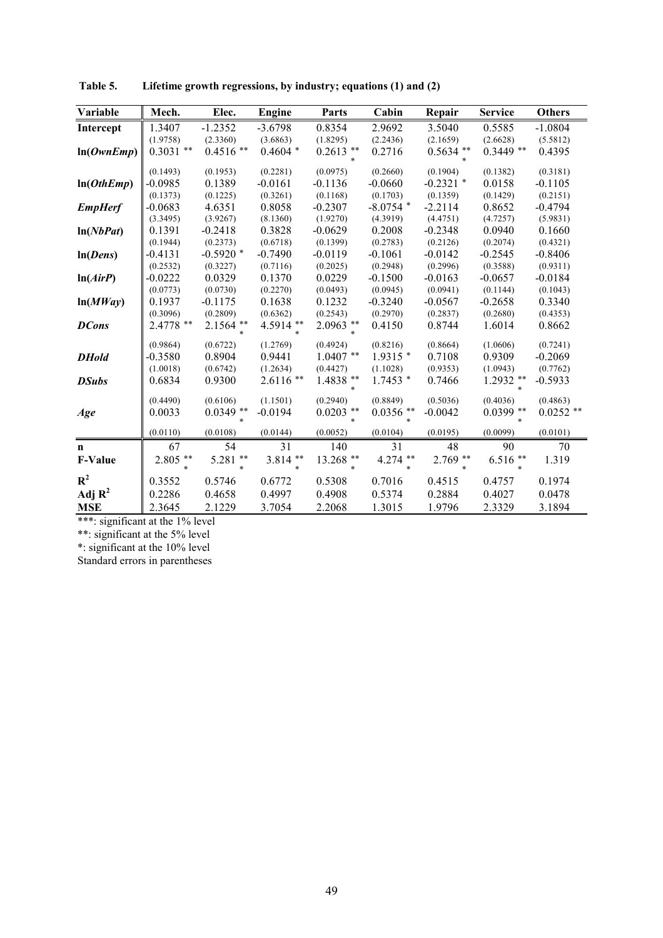| Variable           | Mech.       | Elec.          | <b>Engine</b> | Parts               | Cabin          | Repair      | <b>Service</b>      | <b>Others</b> |
|--------------------|-------------|----------------|---------------|---------------------|----------------|-------------|---------------------|---------------|
| Intercept          | 1.3407      | $-1.2352$      | $-3.6798$     | 0.8354              | 2.9692         | 3.5040      | 0.5585              | $-1.0804$     |
|                    | (1.9758)    | (2.3360)       | (3.6863)      | (1.8295)            | (2.2436)       | (2.1659)    | (2.6628)            | (5.5812)      |
| ln(OwnEmp)         | $0.3031$ ** | $0.4516**$     | $0.4604*$     | $0.2613$ **         | 0.2716         | $0.5634$ ** | $0.3449**$          | 0.4395        |
|                    |             |                |               |                     |                |             |                     |               |
|                    | (0.1493)    | (0.1953)       | (0.2281)      | (0.0975)            | (0.2660)       | (0.1904)    | (0.1382)            | (0.3181)      |
| ln(OthEmp)         | $-0.0985$   | 0.1389         | $-0.0161$     | $-0.1136$           | $-0.0660$      | $-0.2321$ * | 0.0158              | $-0.1105$     |
|                    | (0.1373)    | (0.1225)       | (0.3261)      | (0.1168)            | (0.1703)       | (0.1359)    | (0.1429)            | (0.2151)      |
| <b>EmpHerf</b>     | $-0.0683$   | 4.6351         | 0.8058        | $-0.2307$           | $-8.0754$ *    | $-2.2114$   | 0.8652              | $-0.4794$     |
|                    | (3.3495)    | (3.9267)       | (8.1360)      | (1.9270)            | (4.3919)       | (4.4751)    | (4.7257)            | (5.9831)      |
| ln(NbPat)          | 0.1391      | $-0.2418$      | 0.3828        | $-0.0629$           | 0.2008         | $-0.2348$   | 0.0940              | 0.1660        |
|                    | (0.1944)    | (0.2373)       | (0.6718)      | (0.1399)            | (0.2783)       | (0.2126)    | (0.2074)            | (0.4321)      |
| ln(Dens)           | $-0.4131$   | $-0.5920*$     | $-0.7490$     | $-0.0119$           | $-0.1061$      | $-0.0142$   | $-0.2545$           | $-0.8406$     |
|                    | (0.2532)    | (0.3227)       | (0.7116)      | (0.2025)            | (0.2948)       | (0.2996)    | (0.3588)            | (0.9311)      |
| ln(AirP)           | $-0.0222$   | 0.0329         | 0.1370        | 0.0229              | $-0.1500$      | $-0.0163$   | $-0.0657$           | $-0.0184$     |
|                    | (0.0773)    | (0.0730)       | (0.2270)      | (0.0493)            | (0.0945)       | (0.0941)    | (0.1144)            | (0.1043)      |
| ln(MWay)           | 0.1937      | $-0.1175$      | 0.1638        | 0.1232              | $-0.3240$      | $-0.0567$   | $-0.2658$           | 0.3340        |
|                    | (0.3096)    | (0.2809)       | (0.6362)      | (0.2543)            | (0.2970)       | (0.2837)    | (0.2680)            | (0.4353)      |
| <b>DCons</b>       | 2.4778 **   | 2.1564 **      | 4.5914 **     | $2.0963$ **         | 0.4150         | 0.8744      | 1.6014              | 0.8662        |
|                    |             |                |               |                     |                |             |                     |               |
|                    | (0.9864)    | (0.6722)       | (1.2769)      | (0.4924)            | (0.8216)       | (0.8664)    | (1.0606)            | (0.7241)      |
| <b>DHold</b>       | $-0.3580$   | 0.8904         | 0.9441        | $1.0407**$          | $1.9315*$      | 0.7108      | 0.9309              | $-0.2069$     |
|                    | (1.0018)    | (0.6742)       | (1.2634)      | (0.4427)            | (1.1028)       | (0.9353)    | (1.0943)            | (0.7762)      |
| <b>DSubs</b>       | 0.6834      | 0.9300         | $2.6116**$    | 1.4838 **<br>$\ast$ | $1.7453*$      | 0.7466      | 1.2932 **<br>$\ast$ | $-0.5933$     |
|                    | (0.4490)    | (0.6106)       | (1.1501)      | (0.2940)            | (0.8849)       | (0.5036)    | (0.4036)            | (0.4863)      |
| Age                | 0.0033      | $0.0349**$     | $-0.0194$     | $0.0203$ **         | $0.0356$ **    | $-0.0042$   | $0.0399**$          | $0.0252$ **   |
|                    |             |                |               |                     |                |             |                     |               |
|                    | (0.0110)    | (0.0108)       | (0.0144)      | (0.0052)            | (0.0104)       | (0.0195)    | (0.0099)            | (0.0101)      |
| n                  | 67          | 54             | 31            | 140                 | 31             | 48          | 90                  | 70            |
| <b>F-Value</b>     | $2.805$ **  | $***$<br>5.281 | $3.814$ **    | 13.268 **           | $***$<br>4.274 | 2.769 **    | $***$<br>6.516      | 1.319         |
| $R^2$              | $\ast$      | *              | $\ast$        | $\ast$              | $\ast$         | $\ast$      | $\ast$              |               |
|                    | 0.3552      | 0.5746         | 0.6772        | 0.5308              | 0.7016         | 0.4515      | 0.4757              | 0.1974        |
| Adj $\mathbf{R}^2$ | 0.2286      | 0.4658         | 0.4997        | 0.4908              | 0.5374         | 0.2884      | 0.4027              | 0.0478        |
| <b>MSE</b>         | 2.3645      | 2.1229         | 3.7054        | 2.2068              | 1.3015         | 1.9796      | 2.3329              | 3.1894        |

**Table 5. Lifetime growth regressions, by industry; equations (1) and (2)** 

\*\*: significant at the 5% level

\*: significant at the 10% level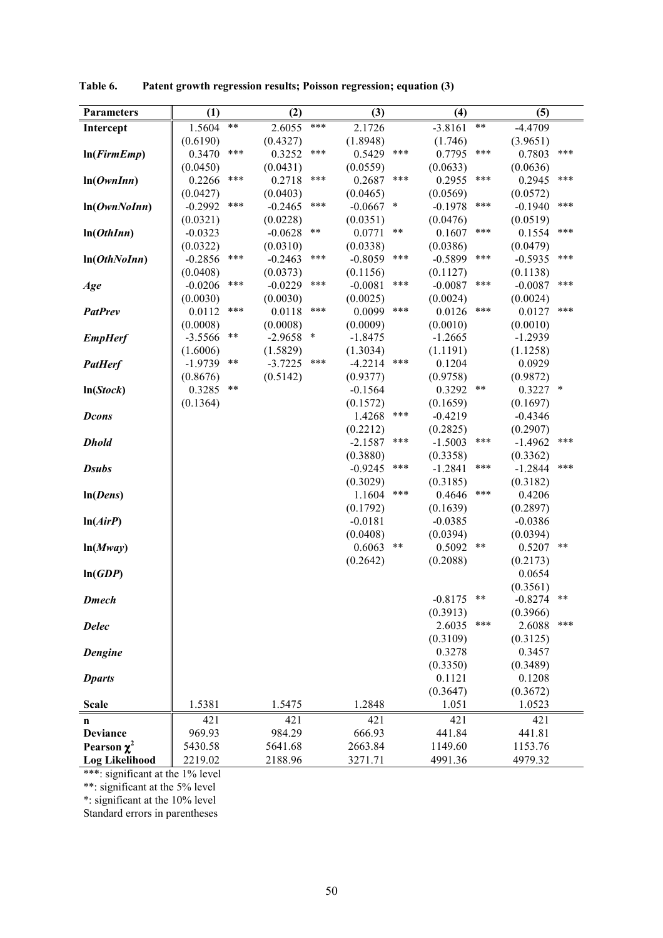| <b>Parameters</b>     | (1)                | (2)                 | (3)                 | (4)                | (5)                |
|-----------------------|--------------------|---------------------|---------------------|--------------------|--------------------|
| Intercept             | 1.5604<br>$***$    | 2.6055<br>***       | 2.1726              | $-3.8161$<br>**    | -4.4709            |
|                       | (0.6190)           | (0.4327)            | (1.8948)            | (1.746)            | (3.9651)           |
| ln(FirmEmp)           | ***<br>0.3470      | 0.3252<br>***       | $***$<br>0.5429     | ***<br>0.7795      | ***<br>0.7803      |
|                       | (0.0450)           | (0.0431)            | (0.0559)            | (0.0633)           | (0.0636)           |
| ln(OwnInn)            | ***<br>0.2266      | $***$<br>0.2718     | ***<br>0.2687       | $***$<br>0.2955    | ***<br>0.2945      |
|                       | (0.0427)           | (0.0403)            | (0.0465)            | (0.0569)           | (0.0572)           |
| ln(OwnNolnn)          | $-0.2992$<br>***   | $-0.2465$<br>***    | $-0.0667$<br>$\ast$ | $-0.1978$<br>***   | $***$<br>$-0.1940$ |
|                       | (0.0321)           | (0.0228)            | (0.0351)            | (0.0476)           | (0.0519)           |
| ln(OthInn)            | $-0.0323$          | $***$<br>$-0.0628$  | $***$<br>0.0771     | ***<br>0.1607      | $***$<br>0.1554    |
|                       | (0.0322)           | (0.0310)            | (0.0338)            | (0.0386)           | (0.0479)           |
| ln(OthNoInn)          | ***<br>$-0.2856$   | $-0.2463$<br>***    | ***<br>$-0.8059$    | ***<br>$-0.5899$   | ***<br>$-0.5935$   |
|                       | (0.0408)           | (0.0373)            | (0.1156)            | (0.1127)           | (0.1138)           |
| Age                   | ***<br>$-0.0206$   | ***<br>$-0.0229$    | ***<br>$-0.0081$    | ***<br>$-0.0087$   | $***$<br>$-0.0087$ |
|                       | (0.0030)           | (0.0030)            | (0.0025)            | (0.0024)           | (0.0024)           |
| <b>PatPrev</b>        | ***<br>0.0112      | ***<br>0.0118       | ***<br>0.0099       | ***<br>0.0126      | ***<br>0.0127      |
|                       | (0.0008)           | (0.0008)            | (0.0009)            | (0.0010)           | (0.0010)           |
| <b>EmpHerf</b>        | $-3.5566$<br>$***$ | $-2.9658$<br>$\ast$ | $-1.8475$           | $-1.2665$          | $-1.2939$          |
|                       | (1.6006)           | (1.5829)            | (1.3034)            | (1.1191)           | (1.1258)           |
| <b>PatHerf</b>        | $-1.9739$<br>$***$ | $-3.7225$<br>***    | $-4.2214$<br>***    | 0.1204             | 0.0929             |
|                       | (0.8676)           | (0.5142)            | (0.9377)            | (0.9758)           | (0.9872)           |
| ln(Stock)             | $***$<br>0.3285    |                     | $-0.1564$           | 0.3292<br>**       | 0.3227<br>$\star$  |
|                       | (0.1364)           |                     | (0.1572)            | (0.1659)           | (0.1697)           |
| <b>Dcons</b>          |                    |                     | 1.4268<br>***       | $-0.4219$          | $-0.4346$          |
|                       |                    |                     | (0.2212)            | (0.2825)           | (0.2907)           |
| <b>Dhold</b>          |                    |                     | $-2.1587$<br>***    | ***<br>$-1.5003$   | ***<br>$-1.4962$   |
|                       |                    |                     | (0.3880)            | (0.3358)           | (0.3362)           |
| <b>Dsubs</b>          |                    |                     | ***<br>$-0.9245$    | ***<br>$-1.2841$   | ***<br>$-1.2844$   |
|                       |                    |                     | (0.3029)            | (0.3185)           | (0.3182)           |
| ln(Dens)              |                    |                     | ***<br>1.1604       | ***<br>0.4646      | 0.4206             |
|                       |                    |                     | (0.1792)            | (0.1639)           | (0.2897)           |
| ln(AirP)              |                    |                     | $-0.0181$           | $-0.0385$          | $-0.0386$          |
|                       |                    |                     | (0.0408)            | (0.0394)           | (0.0394)           |
| ln(Mway)              |                    |                     | 0.6063<br>$***$     | 0.5092<br>$***$    | $***$<br>0.5207    |
|                       |                    |                     | (0.2642)            | (0.2088)           | (0.2173)           |
| ln(GDP)               |                    |                     |                     |                    | 0.0654             |
|                       |                    |                     |                     |                    | (0.3561)           |
| Dmech                 |                    |                     |                     | $-0.8175$<br>**    | $-0.8274$<br>$***$ |
|                       |                    |                     |                     | (0.3913)<br>***    | (0.3966)<br>$***$  |
| <b>Delec</b>          |                    |                     |                     | 2.6035             | 2.6088             |
|                       |                    |                     |                     | (0.3109)<br>0.3278 | (0.3125)<br>0.3457 |
| <b>Dengine</b>        |                    |                     |                     |                    | (0.3489)           |
| <b>Dparts</b>         |                    |                     |                     | (0.3350)<br>0.1121 | 0.1208             |
|                       |                    |                     |                     | (0.3647)           | (0.3672)           |
| <b>Scale</b>          | 1.5381             | 1.5475              | 1.2848              | 1.051              | 1.0523             |
|                       |                    |                     |                     |                    |                    |
| n                     | 421                | 421                 | 421                 | 421                | 421                |
| <b>Deviance</b>       | 969.93             | 984.29              | 666.93              | 441.84             | 441.81             |
| Pearson $\chi^2$      | 5430.58            | 5641.68             | 2663.84             | 1149.60            | 1153.76            |
| <b>Log Likelihood</b> | 2219.02            | 2188.96             | 3271.71             | 4991.36            | 4979.32            |

**Table 6. Patent growth regression results; Poisson regression; equation (3)** 

\*\*: significant at the 5% level

\*: significant at the 10% level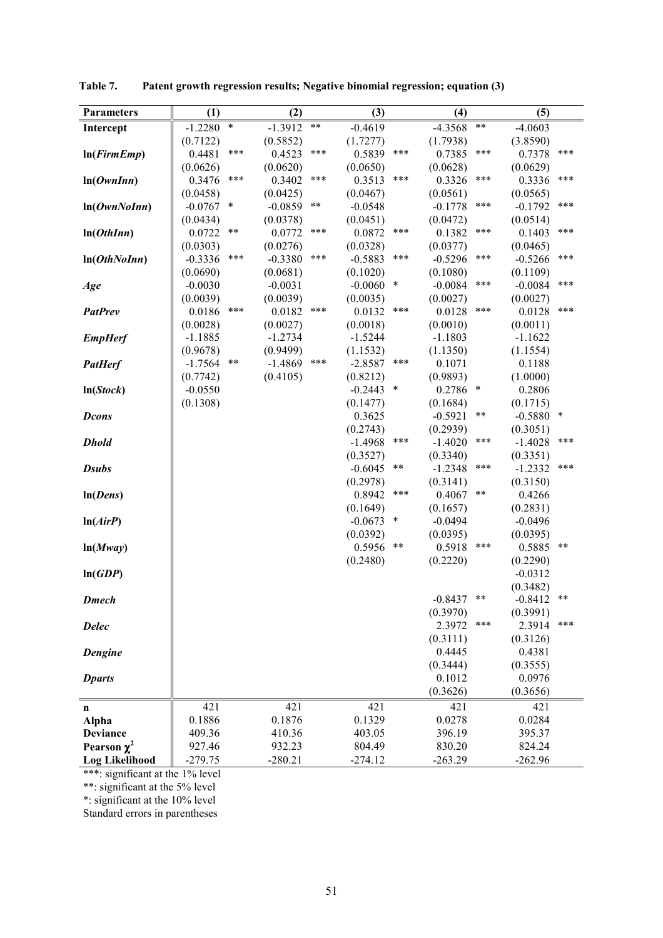| <b>Parameters</b>     | (1)                       | (2)                       | (3)                       | (4)                       | (5)                         |
|-----------------------|---------------------------|---------------------------|---------------------------|---------------------------|-----------------------------|
|                       | $-1.2280$<br>$\ast$       | $-1.3912$<br>$***$        | $-0.4619$                 | $-4.3568$<br>$***$        | $-4.0603$                   |
| Intercept             |                           |                           |                           |                           |                             |
|                       | (0.7122)<br>***<br>0.4481 | (0.5852)<br>***<br>0.4523 | (1.7277)<br>***<br>0.5839 | (1.7938)<br>***<br>0.7385 | (3.8590)<br>$***$<br>0.7378 |
| ln(FirmEmp)           |                           |                           |                           |                           |                             |
|                       | (0.0626)<br>***           | (0.0620)<br>0.3402<br>*** | (0.0650)<br>0.3513<br>*** | (0.0628)<br>***           | (0.0629)<br>***             |
| ln(Ownlnn)            | 0.3476                    |                           |                           | 0.3326                    | 0.3336                      |
|                       | (0.0458)<br>$\ast$        | (0.0425)<br>$***$         | (0.0467)                  | (0.0561)<br>***           | (0.0565)<br>***             |
| ln(OwnNolnn)          | $-0.0767$                 | $-0.0859$                 | $-0.0548$                 | $-0.1778$                 | $-0.1792$                   |
|                       | (0.0434)<br>$***$         | (0.0378)<br>***           | (0.0451)<br>***           | (0.0472)<br>***           | (0.0514)<br>***             |
| ln(OthInn)            | 0.0722                    | 0.0772                    | 0.0872                    | 0.1382                    | 0.1403                      |
|                       | (0.0303)<br>$***$         | (0.0276)                  | (0.0328)<br>***           | (0.0377)                  | (0.0465)<br>***             |
| ln(OthNoInn)          | $-0.3336$                 | ***<br>$-0.3380$          | $-0.5883$                 | $-0.5296$<br>***          | $-0.5266$                   |
|                       | (0.0690)                  | (0.0681)                  | (0.1020)                  | (0.1080)                  | (0.1109)                    |
| <b>Age</b>            | $-0.0030$                 | $-0.0031$                 | $\ast$<br>$-0.0060$       | ***<br>$-0.0084$          | ***<br>$-0.0084$            |
|                       | (0.0039)                  | (0.0039)                  | (0.0035)                  | (0.0027)                  | (0.0027)                    |
| <b>PatPrev</b>        | ***<br>0.0186             | ***<br>0.0182             | ***<br>0.0132             | ***<br>0.0128             | ***<br>0.0128               |
|                       | (0.0028)                  | (0.0027)                  | (0.0018)                  | (0.0010)                  | (0.0011)                    |
| <b>EmpHerf</b>        | $-1.1885$                 | $-1.2734$                 | $-1.5244$                 | $-1.1803$                 | $-1.1622$                   |
|                       | (0.9678)                  | (0.9499)                  | (1.1532)                  | (1.1350)                  | (1.1554)                    |
| <b>PatHerf</b>        | $-1.7564$<br>$***$        | $-1.4869$<br>***          | $-2.8587$<br>***          | 0.1071                    | 0.1188                      |
|                       | (0.7742)                  | (0.4105)                  | (0.8212)                  | (0.9893)                  | (1.0000)                    |
| ln(Stock)             | $-0.0550$                 |                           | $-0.2443$<br>$\ast$       | 0.2786<br>$\ast$          | 0.2806                      |
|                       | (0.1308)                  |                           | (0.1477)                  | (0.1684)                  | (0.1715)                    |
| <b>Dcons</b>          |                           |                           | 0.3625                    | $-0.5921$<br>$***$        | $-0.5880$<br>$\ast$         |
|                       |                           |                           | (0.2743)                  | (0.2939)                  | (0.3051)                    |
| <b>Dhold</b>          |                           |                           | $-1.4968$<br>***          | ***<br>$-1.4020$          | $***$<br>$-1.4028$          |
|                       |                           |                           | (0.3527)                  | (0.3340)                  | (0.3351)                    |
| <b>Dsubs</b>          |                           |                           | $-0.6045$<br>**           | $-1.2348$<br>***          | ***<br>$-1.2332$            |
|                       |                           |                           | (0.2978)                  | (0.3141)                  | (0.3150)                    |
| ln(Dens)              |                           |                           | ***<br>0.8942             | 0.4067<br>$***$           | 0.4266                      |
|                       |                           |                           | (0.1649)                  | (0.1657)                  | (0.2831)                    |
| ln(AirP)              |                           |                           | $-0.0673$<br>$\ast$       | $-0.0494$                 | $-0.0496$                   |
|                       |                           |                           | (0.0392)                  | (0.0395)                  | (0.0395)                    |
| ln(Mway)              |                           |                           | 0.5956<br>**              | 0.5918<br>***             | 0.5885<br>$\ast\ast$        |
|                       |                           |                           | (0.2480)                  | (0.2220)                  | (0.2290)                    |
| ln(GDP)               |                           |                           |                           |                           | $-0.0312$                   |
|                       |                           |                           |                           |                           | (0.3482)                    |
| Dmech                 |                           |                           |                           | $-0.8437$<br>$***$        | $-0.8412$<br>$***$          |
|                       |                           |                           |                           | (0.3970)                  | (0.3991)                    |
| <b>Delec</b>          |                           |                           |                           | ***<br>2.3972             | ***<br>2.3914               |
|                       |                           |                           |                           | (0.3111)                  | (0.3126)                    |
| <b>Dengine</b>        |                           |                           |                           | 0.4445                    | 0.4381                      |
|                       |                           |                           |                           | (0.3444)                  | (0.3555)                    |
| <b>Dparts</b>         |                           |                           |                           | 0.1012                    | 0.0976                      |
|                       |                           |                           |                           | (0.3626)                  | (0.3656)                    |
| n                     | 421                       | 421                       | 421                       | 421                       | 421                         |
| Alpha                 | 0.1886                    | 0.1876                    | 0.1329                    | 0.0278                    | 0.0284                      |
| <b>Deviance</b>       | 409.36                    | 410.36                    | 403.05                    | 396.19                    | 395.37                      |
| Pearson $\chi^2$      | 927.46                    | 932.23                    | 804.49                    | 830.20                    | 824.24                      |
| <b>Log Likelihood</b> | $-279.75$                 | $-280.21$                 | $-274.12$                 | $-263.29$                 | $-262.96$                   |

**Table 7. Patent growth regression results; Negative binomial regression; equation (3)** 

\*\*: significant at the 5% level

\*: significant at the 10% level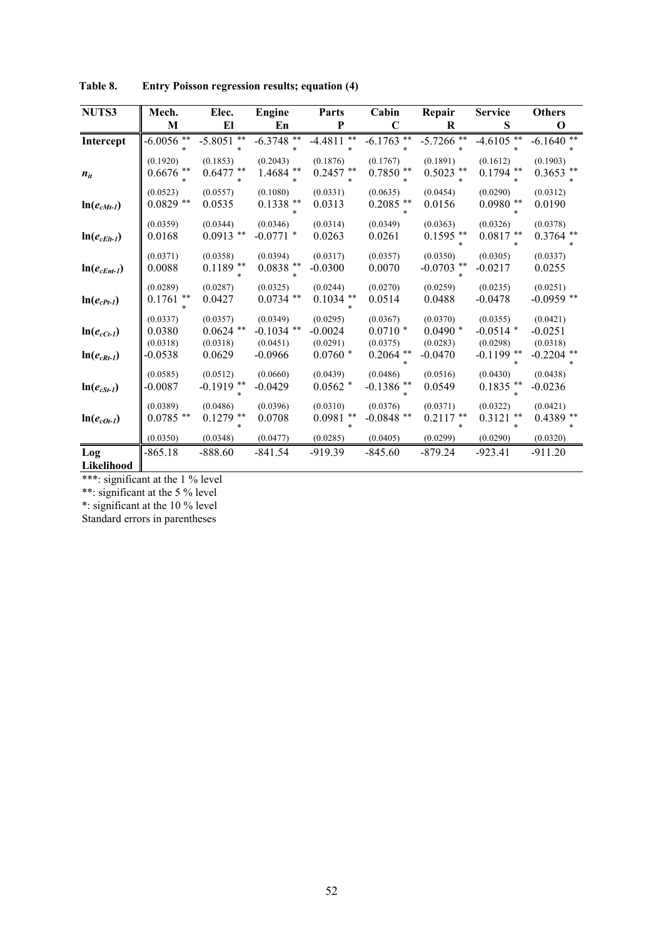| NUTS3            | Mech.        | Elec.        | <b>Engine</b> | Parts                   | Cabin        | Repair           | <b>Service</b>         | <b>Others</b> |
|------------------|--------------|--------------|---------------|-------------------------|--------------|------------------|------------------------|---------------|
|                  | M            | El           | En            | $\mathbf{P}$            | $\mathbf C$  | $\bf R$          | S                      | $\mathbf 0$   |
| Intercept        | $-6.0056$ ** | $-5.8051$ ** | $-6.3748$ **  | $\ast\ast$<br>$-4.4811$ | $-6.1763$ ** | $-5.7266$ **     | $-4.6105$ **           | $-6.1640**$   |
|                  | (0.1920)     | (0.1853)     | (0.2043)      | (0.1876)                | (0.1767)     | (0.1891)         | (0.1612)               | (0.1903)      |
| $n_{it}$         | $0.6676**$   | $0.6477**$   | $1.4684$ **   | $0.2457$ **             | $0.7850**$   | $0.5023$ **      | $0.1794$ **            | $0.3653$ **   |
|                  | (0.0523)     | (0.0557)     | (0.1080)      | (0.0331)                | (0.0635)     | (0.0454)         | (0.0290)               | (0.0312)      |
| $ln(e_{cMt-1})$  | $0.0829**$   | 0.0535       | $0.1338**$    | 0.0313                  | $0.2085$ **  | 0.0156           | $0.0980**$             | 0.0190        |
|                  | (0.0359)     | (0.0344)     | (0.0346)      | (0.0314)                | (0.0349)     | (0.0363)         | (0.0326)               | (0.0378)      |
| $ln(e_{cElt-1})$ | 0.0168       | $0.0913$ **  | $-0.0771$ *   | 0.0263                  | 0.0261       | $0.1595$ **<br>* | $0.0817$ **<br>$\ast$  | $0.3764$ **   |
|                  | (0.0371)     | (0.0358)     | (0.0394)      | (0.0317)                | (0.0357)     | (0.0350)         | (0.0305)               | (0.0337)      |
| $ln(e_{cEnt-1})$ | 0.0088       | $0.1189**$   | $0.0838$ **   | $-0.0300$               | 0.0070       | $-0.0703$ **     | $-0.0217$              | 0.0255        |
|                  | (0.0289)     | (0.0287)     | (0.0325)      | (0.0244)                | (0.0270)     | (0.0259)         | (0.0235)               | (0.0251)      |
| $ln(e_{cPt-1})$  | $0.1761$ **  | 0.0427       | $0.0734$ **   | $0.1034$ **             | 0.0514       | 0.0488           | $-0.0478$              | $-0.0959$ **  |
|                  | (0.0337)     | (0.0357)     | (0.0349)      | (0.0295)                | (0.0367)     | (0.0370)         | (0.0355)               | (0.0421)      |
| $ln(e_{cCt-1})$  | 0.0380       | $0.0624$ **  | $-0.1034$ **  | $-0.0024$               | $0.0710*$    | $0.0490*$        | $-0.0514$ *            | $-0.0251$     |
|                  | (0.0318)     | (0.0318)     | (0.0451)      | (0.0291)                | (0.0375)     | (0.0283)         | (0.0298)               | (0.0318)      |
| $ln(e_{cRt-1})$  | $-0.0538$    | 0.0629       | $-0.0966$     | $0.0760*$               | $0.2064$ **  | $-0.0470$        | $-0.1199$ **<br>$\ast$ | $-0.2204$ **  |
|                  | (0.0585)     | (0.0512)     | (0.0660)      | (0.0439)                | (0.0486)     | (0.0516)         | (0.0430)               | (0.0438)      |
| $ln(e_{cSt-1})$  | $-0.0087$    | $-0.1919**$  | $-0.0429$     | $0.0562*$               | $-0.1386**$  | 0.0549           | $0.1835$ **            | $-0.0236$     |
|                  | (0.0389)     | (0.0486)     | (0.0396)      | (0.0310)                | (0.0376)     | (0.0371)         | (0.0322)               | (0.0421)      |
| $ln(e_{c0t-1})$  | $0.0785$ **  | $0.1279$ **  | 0.0708        | $0.0981$ **             | $-0.0848$ ** | $0.2117**$       | $0.3121$ **            | $0.4389**$    |
|                  | (0.0350)     | (0.0348)     | (0.0477)      | (0.0285)                | (0.0405)     | (0.0299)         | (0.0290)               | (0.0320)      |
| Log              | $-865.18$    | $-888.60$    | $-841.54$     | -919.39                 | $-845.60$    | $-879.24$        | $-923.41$              | $-911.20$     |
| Likelihood       |              |              |               |                         |              |                  |                        |               |

**Table 8. Entry Poisson regression results; equation (4)** 

\*\*: significant at the 5 % level

\*: significant at the 10 % level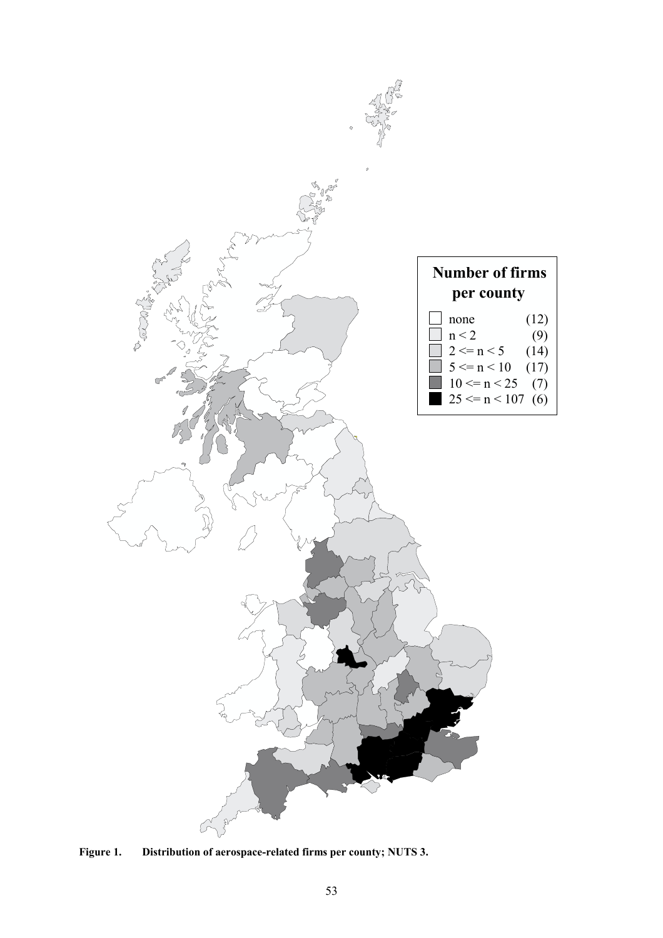

**Figure 1. Distribution of aerospace-related firms per county; NUTS 3.**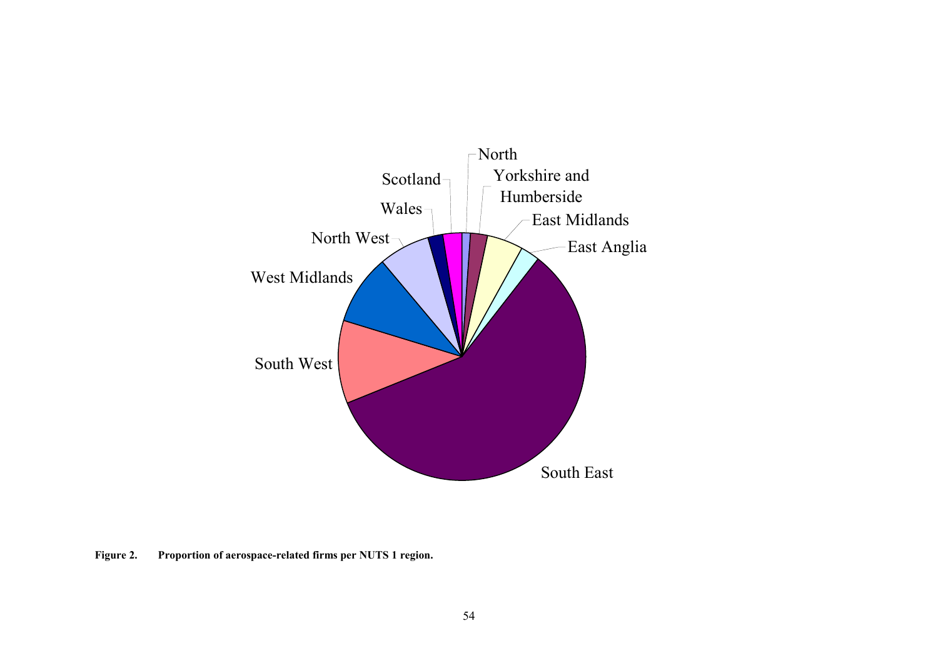

**Figure 2. Proportion of aerospace-related firms per NUTS 1 region.**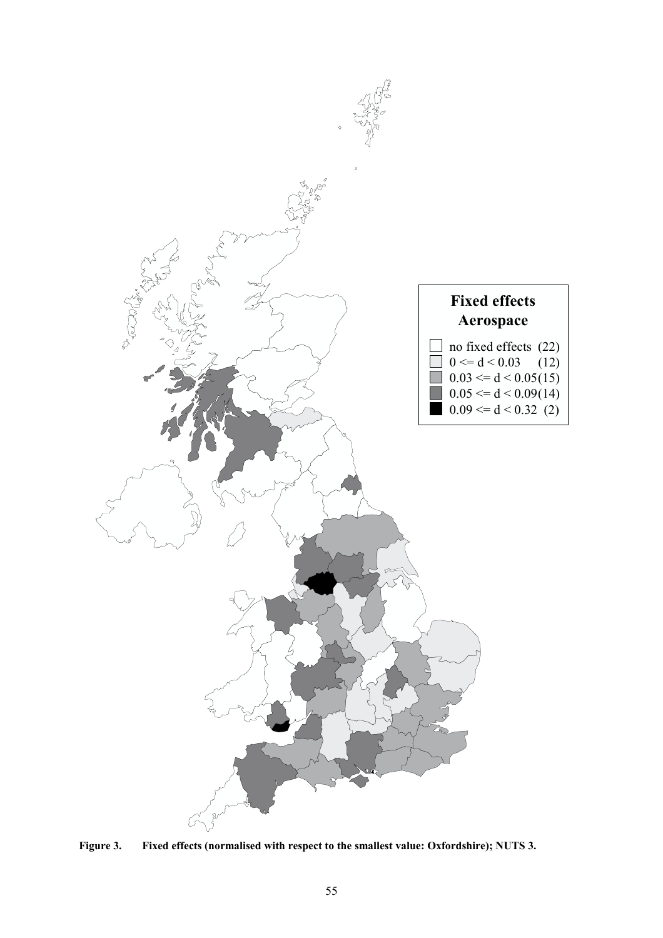

**Figure 3. Fixed effects (normalised with respect to the smallest value: Oxfordshire); NUTS 3.**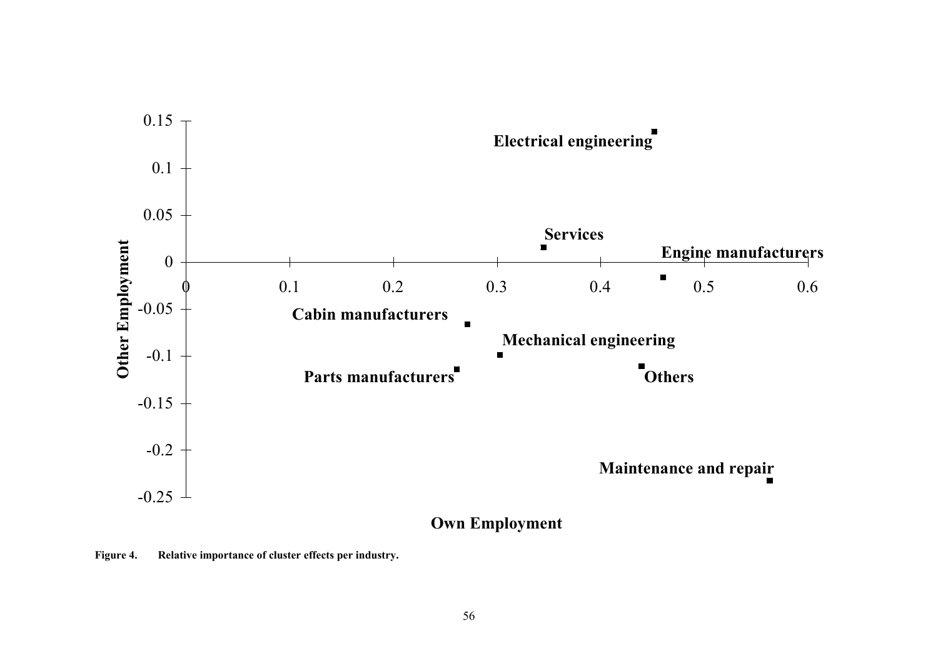

**Figure 4. Relative importance of cluster effects per industry.**